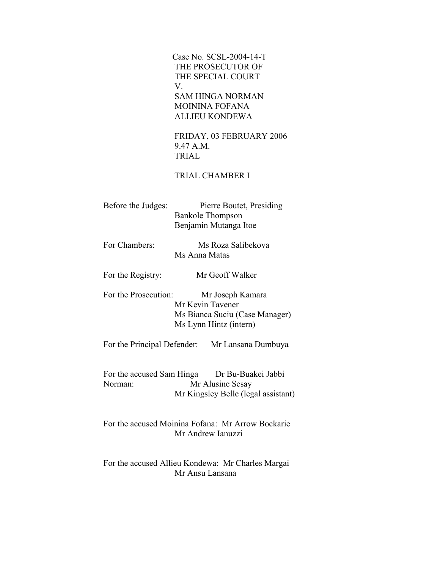Case No. SCSL-2004-14-T THE PROSECUTOR OF THE SPECIAL COURT V. SAM HINGA NORMAN MOININA FOFANA ALLIEU KONDEWA

> FRIDAY, 03 FEBRUARY 2006 9.47 A.M. TRIAL

# TRIAL CHAMBER I

| Before the Judges: | Pierre Boutet, Presiding |
|--------------------|--------------------------|
|                    | <b>Bankole Thompson</b>  |
|                    | Benjamin Mutanga Itoe    |

 For Chambers: Ms Roza Salibekova Ms Anna Matas

For the Registry: Mr Geoff Walker

For the Prosecution: Mr Joseph Kamara Mr Kevin Tavener Ms Bianca Suciu (Case Manager) Ms Lynn Hintz (intern)

For the Principal Defender: Mr Lansana Dumbuya

For the accused Sam Hinga Dr Bu-Buakei Jabbi Norman: Mr Alusine Sesay Mr Kingsley Belle (legal assistant)

 For the accused Moinina Fofana: Mr Arrow Bockarie Mr Andrew Ianuzzi

 For the accused Allieu Kondewa: Mr Charles Margai Mr Ansu Lansana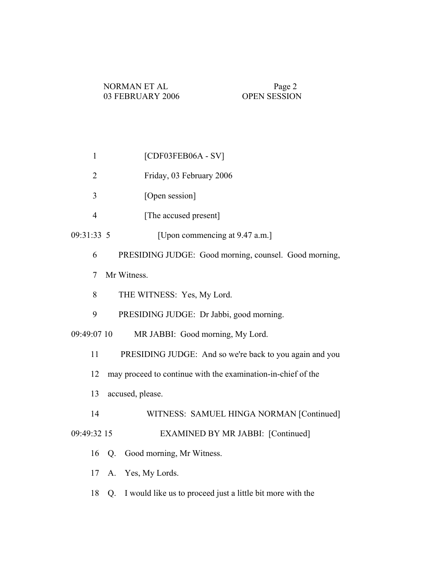| $\mathbf{1}$                                                       | $[CDF03FEB06A - SV]$                                    |
|--------------------------------------------------------------------|---------------------------------------------------------|
| $\overline{2}$                                                     | Friday, 03 February 2006                                |
| 3                                                                  | [Open session]                                          |
| $\overline{4}$                                                     | [The accused present]                                   |
| 09:31:33 5                                                         | [Upon commencing at 9.47 a.m.]                          |
| 6                                                                  | PRESIDING JUDGE: Good morning, counsel. Good morning,   |
| Mr Witness.<br>7                                                   |                                                         |
| 8                                                                  | THE WITNESS: Yes, My Lord.                              |
| 9                                                                  | PRESIDING JUDGE: Dr Jabbi, good morning.                |
| MR JABBI: Good morning, My Lord.<br>09:49:07 10                    |                                                         |
| 11                                                                 | PRESIDING JUDGE: And so we're back to you again and you |
| 12<br>may proceed to continue with the examination-in-chief of the |                                                         |
| 13<br>accused, please.                                             |                                                         |
| 14                                                                 | WITNESS: SAMUEL HINGA NORMAN [Continued]                |
| 09:49:32 15                                                        | <b>EXAMINED BY MR JABBI: [Continued]</b>                |
|                                                                    | 16 Q. Good morning, Mr Witness.                         |
|                                                                    | 17 A. Yes, My Lords.                                    |

18 Q. I would like us to proceed just a little bit more with the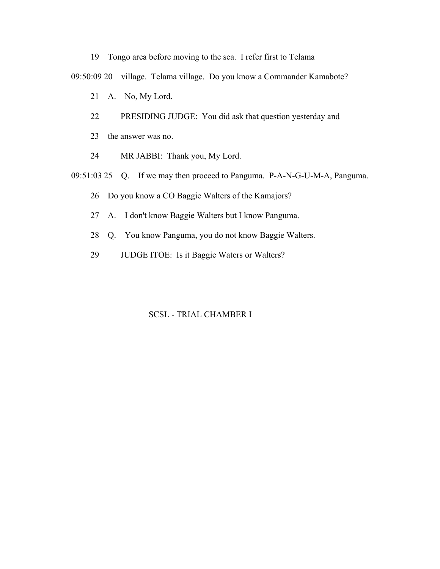- 19 Tongo area before moving to the sea. I refer first to Telama 09:50:09 20 village. Telama village. Do you know a Commander Kamabote? 21 A. No, My Lord. 22 PRESIDING JUDGE: You did ask that question yesterday and 23 the answer was no. 24 MR JABBI: Thank you, My Lord.
- 09:51:03 25 Q. If we may then proceed to Panguma. P-A-N-G-U-M-A, Panguma.
	- 26 Do you know a CO Baggie Walters of the Kamajors?
	- 27 A. I don't know Baggie Walters but I know Panguma.
	- 28 Q. You know Panguma, you do not know Baggie Walters.
	- 29 JUDGE ITOE: Is it Baggie Waters or Walters?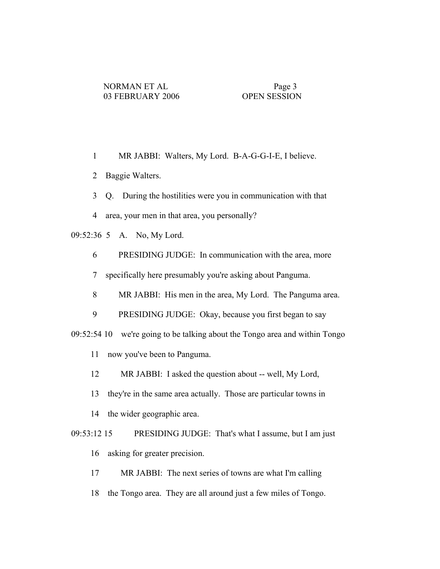- 1 MR JABBI: Walters, My Lord. B-A-G-G-I-E, I believe.
- 2 Baggie Walters.
- 3 Q. During the hostilities were you in communication with that
- 4 area, your men in that area, you personally?
- 09:52:36 5 A. No, My Lord.
	- 6 PRESIDING JUDGE: In communication with the area, more
	- 7 specifically here presumably you're asking about Panguma.
	- 8 MR JABBI: His men in the area, My Lord. The Panguma area.
	- 9 PRESIDING JUDGE: Okay, because you first began to say
- 09:52:54 10 we're going to be talking about the Tongo area and within Tongo
	- 11 now you've been to Panguma.
	- 12 MR JABBI: I asked the question about -- well, My Lord,
	- 13 they're in the same area actually. Those are particular towns in
	- 14 the wider geographic area.
- 09:53:12 15 PRESIDING JUDGE: That's what I assume, but I am just 16 asking for greater precision.
	- 17 MR JABBI: The next series of towns are what I'm calling
	- 18 the Tongo area. They are all around just a few miles of Tongo.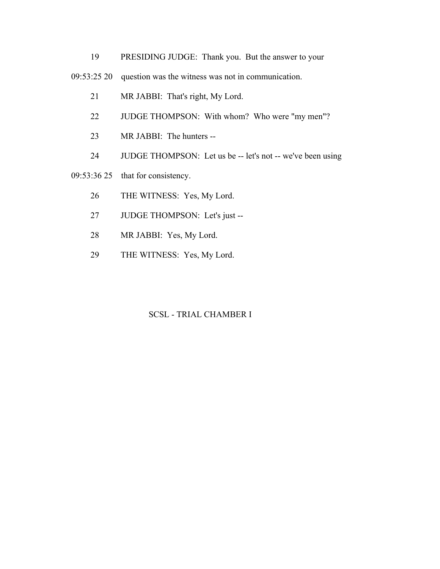- 19 PRESIDING JUDGE: Thank you. But the answer to your
- 09:53:25 20 question was the witness was not in communication.
	- 21 MR JABBI: That's right, My Lord.
	- 22 JUDGE THOMPSON: With whom? Who were "my men"?
	- 23 MR JABBI: The hunters --
	- 24 JUDGE THOMPSON: Let us be -- let's not -- we've been using
- 09:53:36 25 that for consistency.
	- 26 THE WITNESS: Yes, My Lord.
	- 27 JUDGE THOMPSON: Let's just --
	- 28 MR JABBI: Yes, My Lord.
	- 29 THE WITNESS: Yes, My Lord.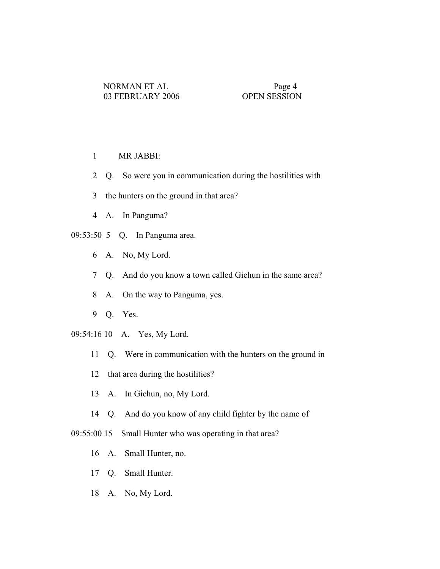- 1 MR JABBI:
- 2 Q. So were you in communication during the hostilities with
- 3 the hunters on the ground in that area?
- 4 A. In Panguma?
- 09:53:50 5 Q. In Panguma area.
	- 6 A. No, My Lord.
	- 7 Q. And do you know a town called Giehun in the same area?
	- 8 A. On the way to Panguma, yes.
	- 9 Q. Yes.
- 09:54:16 10 A. Yes, My Lord.
	- 11 Q. Were in communication with the hunters on the ground in
	- 12 that area during the hostilities?
	- 13 A. In Giehun, no, My Lord.
	- 14 Q. And do you know of any child fighter by the name of
- 09:55:00 15 Small Hunter who was operating in that area?
	- 16 A. Small Hunter, no.
	- 17 Q. Small Hunter.
	- 18 A. No, My Lord.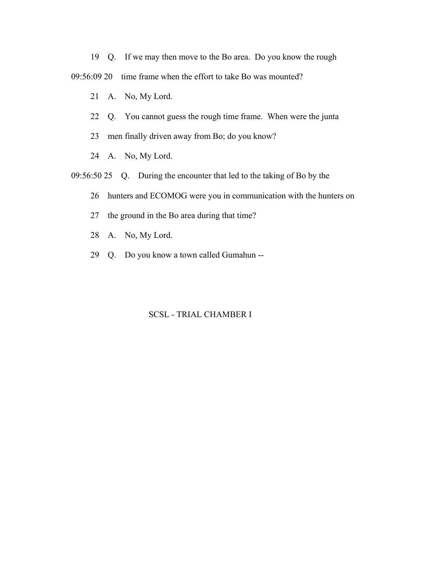19 Q. If we may then move to the Bo area. Do you know the rough

09:56:09 20 time frame when the effort to take Bo was mounted?

- 21 A. No, My Lord.
- 22 Q. You cannot guess the rough time frame. When were the junta
- 23 men finally driven away from Bo; do you know?
- 24 A. No, My Lord.
- 09:56:50 25 Q. During the encounter that led to the taking of Bo by the
	- 26 hunters and ECOMOG were you in communication with the hunters on
	- 27 the ground in the Bo area during that time?
	- 28 A. No, My Lord.
	- 29 Q. Do you know a town called Gumahun --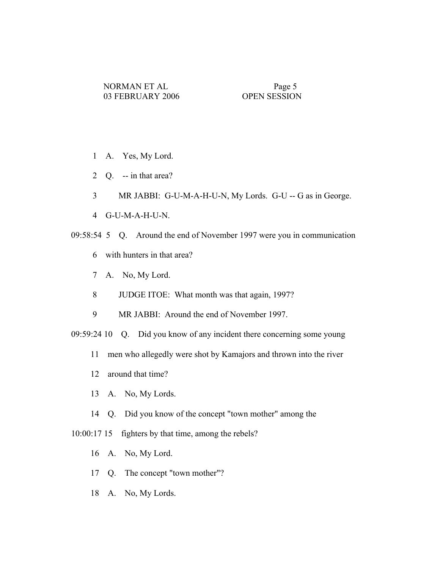- 1 A. Yes, My Lord.
- 2 Q. -- in that area?
- 3 MR JABBI: G-U-M-A-H-U-N, My Lords. G-U -- G as in George.
- 4 G-U-M-A-H-U-N.
- 09:58:54 5 Q. Around the end of November 1997 were you in communication
	- 6 with hunters in that area?
	- 7 A. No, My Lord.
	- 8 JUDGE ITOE: What month was that again, 1997?
	- 9 MR JABBI: Around the end of November 1997.
- 09:59:24 10 Q. Did you know of any incident there concerning some young
	- 11 men who allegedly were shot by Kamajors and thrown into the river
	- 12 around that time?
	- 13 A. No, My Lords.
	- 14 Q. Did you know of the concept "town mother" among the
- 10:00:17 15 fighters by that time, among the rebels?
	- 16 A. No, My Lord.
	- 17 Q. The concept "town mother"?
	- 18 A. No, My Lords.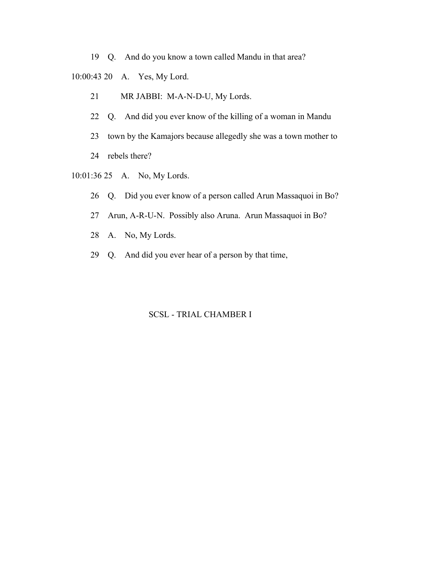19 Q. And do you know a town called Mandu in that area?

10:00:43 20 A. Yes, My Lord.

- 21 MR JABBI: M-A-N-D-U, My Lords.
- 22 Q. And did you ever know of the killing of a woman in Mandu
- 23 town by the Kamajors because allegedly she was a town mother to
- 24 rebels there?
- 10:01:36 25 A. No, My Lords.
	- 26 Q. Did you ever know of a person called Arun Massaquoi in Bo?
	- 27 Arun, A-R-U-N. Possibly also Aruna. Arun Massaquoi in Bo?
	- 28 A. No, My Lords.
	- 29 Q. And did you ever hear of a person by that time,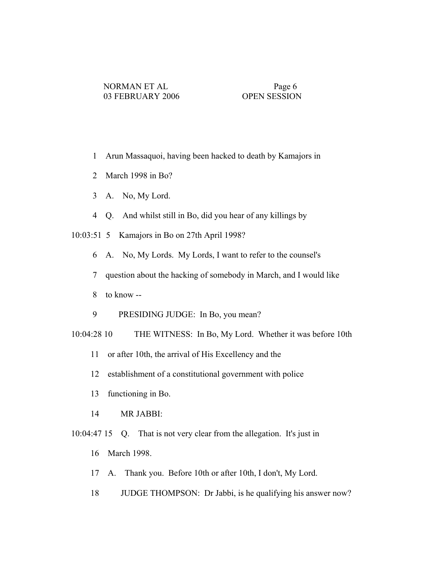- 1 Arun Massaquoi, having been hacked to death by Kamajors in
- 2 March 1998 in Bo?
- 3 A. No, My Lord.
- 4 Q. And whilst still in Bo, did you hear of any killings by

10:03:51 5 Kamajors in Bo on 27th April 1998?

- 6 A. No, My Lords. My Lords, I want to refer to the counsel's
- 7 question about the hacking of somebody in March, and I would like
- 8 to know --
- 9 PRESIDING JUDGE: In Bo, you mean?

10:04:28 10 THE WITNESS: In Bo, My Lord. Whether it was before 10th

- 11 or after 10th, the arrival of His Excellency and the
- 12 establishment of a constitutional government with police
- 13 functioning in Bo.
- 14 MR JABBI:

10:04:47 15 Q. That is not very clear from the allegation. It's just in

- 16 March 1998.
- 17 A. Thank you. Before 10th or after 10th, I don't, My Lord.
- 18 JUDGE THOMPSON: Dr Jabbi, is he qualifying his answer now?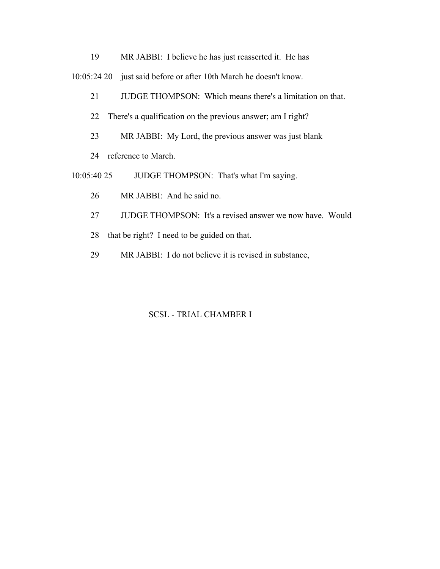19 MR JABBI: I believe he has just reasserted it. He has

10:05:24 20 just said before or after 10th March he doesn't know.

- 21 JUDGE THOMPSON: Which means there's a limitation on that.
- 22 There's a qualification on the previous answer; am I right?
- 23 MR JABBI: My Lord, the previous answer was just blank
- 24 reference to March.
- 10:05:40 25 JUDGE THOMPSON: That's what I'm saying.
	- 26 MR JABBI: And he said no.
	- 27 JUDGE THOMPSON: It's a revised answer we now have. Would
	- 28 that be right? I need to be guided on that.
	- 29 MR JABBI: I do not believe it is revised in substance,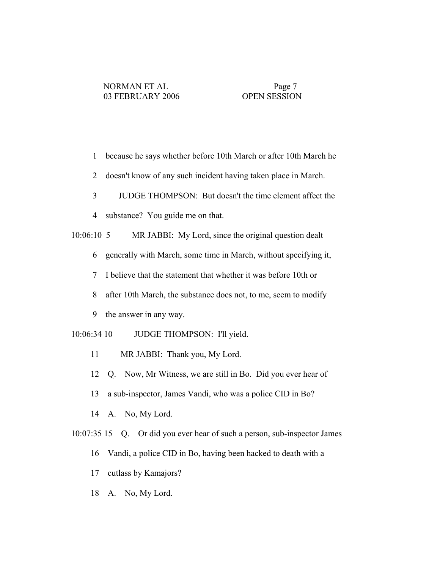- 1 because he says whether before 10th March or after 10th March he
- 2 doesn't know of any such incident having taken place in March.
- 3 JUDGE THOMPSON: But doesn't the time element affect the
- 4 substance? You guide me on that.

10:06:10 5 MR JABBI: My Lord, since the original question dealt

- 6 generally with March, some time in March, without specifying it,
- 7 I believe that the statement that whether it was before 10th or
- 8 after 10th March, the substance does not, to me, seem to modify
- 9 the answer in any way.
- 10:06:34 10 JUDGE THOMPSON: I'll yield.
	- 11 MR JABBI: Thank you, My Lord.
	- 12 Q. Now, Mr Witness, we are still in Bo. Did you ever hear of
	- 13 a sub-inspector, James Vandi, who was a police CID in Bo?
	- 14 A. No, My Lord.
- 10:07:35 15 Q. Or did you ever hear of such a person, sub-inspector James
	- 16 Vandi, a police CID in Bo, having been hacked to death with a
	- 17 cutlass by Kamajors?
	- 18 A. No, My Lord.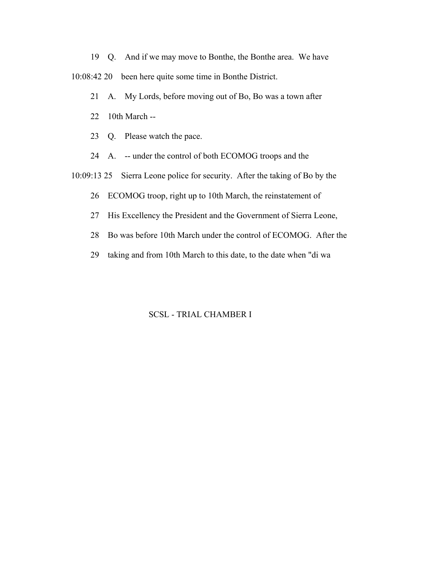19 Q. And if we may move to Bonthe, the Bonthe area. We have 10:08:42 20 been here quite some time in Bonthe District.

- 21 A. My Lords, before moving out of Bo, Bo was a town after
- 22 10th March --
- 23 Q. Please watch the pace.
- 24 A. -- under the control of both ECOMOG troops and the
- 10:09:13 25 Sierra Leone police for security. After the taking of Bo by the
	- 26 ECOMOG troop, right up to 10th March, the reinstatement of
	- 27 His Excellency the President and the Government of Sierra Leone,
	- 28 Bo was before 10th March under the control of ECOMOG. After the
	- 29 taking and from 10th March to this date, to the date when "di wa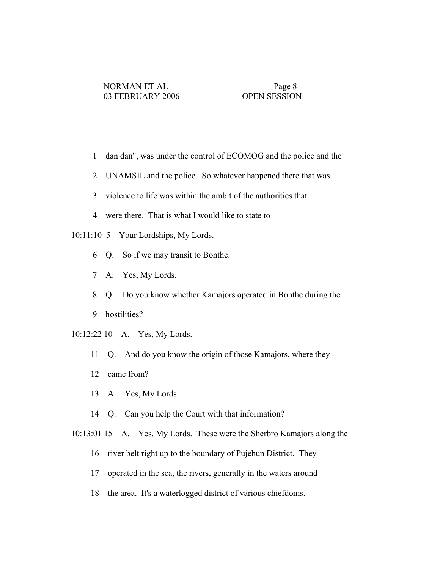- 1 dan dan", was under the control of ECOMOG and the police and the
- 2 UNAMSIL and the police. So whatever happened there that was
- 3 violence to life was within the ambit of the authorities that
- 4 were there. That is what I would like to state to
- 10:11:10 5 Your Lordships, My Lords.
	- 6 Q. So if we may transit to Bonthe.
	- 7 A. Yes, My Lords.
	- 8 Q. Do you know whether Kamajors operated in Bonthe during the
	- 9 hostilities?
- 10:12:22 10 A. Yes, My Lords.
	- 11 Q. And do you know the origin of those Kamajors, where they
	- 12 came from?
	- 13 A. Yes, My Lords.
	- 14 Q. Can you help the Court with that information?
- 10:13:01 15 A. Yes, My Lords. These were the Sherbro Kamajors along the
	- 16 river belt right up to the boundary of Pujehun District. They
	- 17 operated in the sea, the rivers, generally in the waters around
	- 18 the area. It's a waterlogged district of various chiefdoms.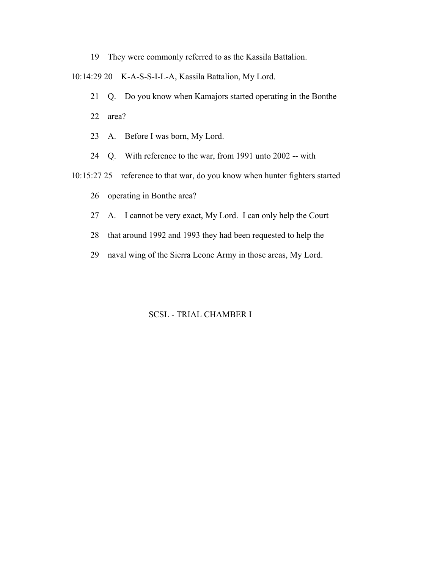19 They were commonly referred to as the Kassila Battalion.

10:14:29 20 K-A-S-S-I-L-A, Kassila Battalion, My Lord.

21 Q. Do you know when Kamajors started operating in the Bonthe

22 area?

- 23 A. Before I was born, My Lord.
- 24 Q. With reference to the war, from 1991 unto 2002 -- with

10:15:27 25 reference to that war, do you know when hunter fighters started

26 operating in Bonthe area?

- 27 A. I cannot be very exact, My Lord. I can only help the Court
- 28 that around 1992 and 1993 they had been requested to help the
- 29 naval wing of the Sierra Leone Army in those areas, My Lord.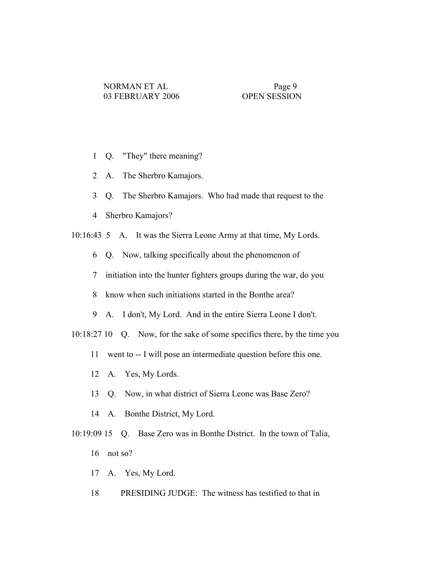- 1 Q. "They" there meaning?
- 2 A. The Sherbro Kamajors.
- 3 Q. The Sherbro Kamajors. Who had made that request to the
- 4 Sherbro Kamajors?
- 10:16:43 5 A. It was the Sierra Leone Army at that time, My Lords.
	- 6 Q. Now, talking specifically about the phenomenon of
	- 7 initiation into the hunter fighters groups during the war, do you
	- 8 know when such initiations started in the Bonthe area?
	- 9 A. I don't, My Lord. And in the entire Sierra Leone I don't.
- 10:18:27 10 Q. Now, for the sake of some specifics there, by the time you
	- 11 went to -- I will pose an intermediate question before this one.
	- 12 A. Yes, My Lords.
	- 13 Q. Now, in what district of Sierra Leone was Base Zero?
	- 14 A. Bonthe District, My Lord.

 10:19:09 15 Q. Base Zero was in Bonthe District. In the town of Talia, 16 not so?

- 17 A. Yes, My Lord.
- 18 PRESIDING JUDGE: The witness has testified to that in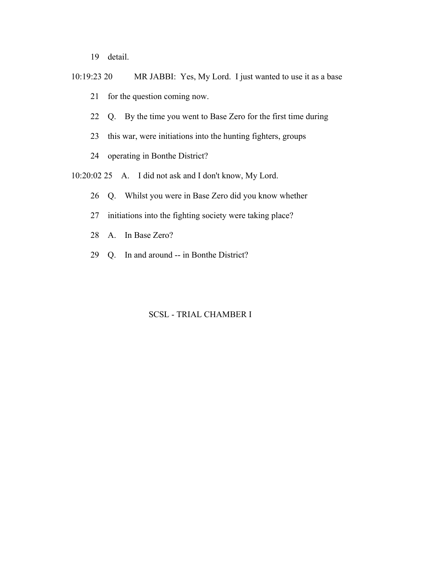19 detail.

- 10:19:23 20 MR JABBI: Yes, My Lord. I just wanted to use it as a base 21 for the question coming now.
	- 22 Q. By the time you went to Base Zero for the first time during
	- 23 this war, were initiations into the hunting fighters, groups
	- 24 operating in Bonthe District?
- 10:20:02 25 A. I did not ask and I don't know, My Lord.
	- 26 Q. Whilst you were in Base Zero did you know whether
	- 27 initiations into the fighting society were taking place?
	- 28 A. In Base Zero?
	- 29 Q. In and around -- in Bonthe District?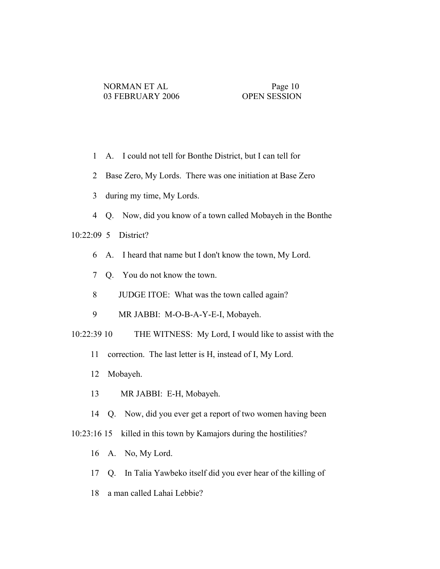- 1 A. I could not tell for Bonthe District, but I can tell for
- 2 Base Zero, My Lords. There was one initiation at Base Zero
- 3 during my time, My Lords.
- 4 Q. Now, did you know of a town called Mobayeh in the Bonthe

10:22:09 5 District?

- 6 A. I heard that name but I don't know the town, My Lord.
- 7 Q. You do not know the town.
- 8 JUDGE ITOE: What was the town called again?
- 9 MR JABBI: M-O-B-A-Y-E-I, Mobayeh.
- 10:22:39 10 THE WITNESS: My Lord, I would like to assist with the
	- 11 correction. The last letter is H, instead of I, My Lord.
	- 12 Mobayeh.
	- 13 MR JABBI: E-H, Mobayeh.
	- 14 Q. Now, did you ever get a report of two women having been
- 10:23:16 15 killed in this town by Kamajors during the hostilities?
	- 16 A. No, My Lord.
	- 17 Q. In Talia Yawbeko itself did you ever hear of the killing of
	- 18 a man called Lahai Lebbie?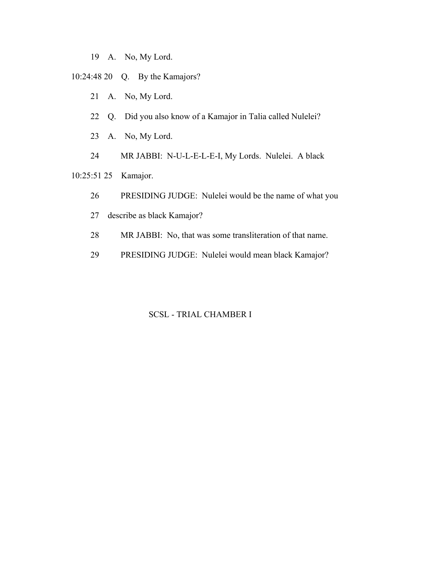- 19 A. No, My Lord.
- 10:24:48 20 Q. By the Kamajors?
	- 21 A. No, My Lord.
	- 22 Q. Did you also know of a Kamajor in Talia called Nulelei?
	- 23 A. No, My Lord.
	- 24 MR JABBI: N-U-L-E-L-E-I, My Lords. Nulelei. A black
- 10:25:51 25 Kamajor.
	- 26 PRESIDING JUDGE: Nulelei would be the name of what you
	- 27 describe as black Kamajor?
	- 28 MR JABBI: No, that was some transliteration of that name.
	- 29 PRESIDING JUDGE: Nulelei would mean black Kamajor?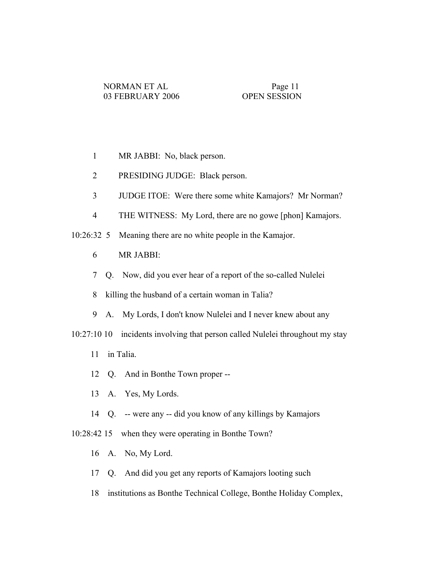- 1 MR JABBI: No, black person.
- 2 PRESIDING JUDGE: Black person.
- 3 JUDGE ITOE: Were there some white Kamajors? Mr Norman?
- 4 THE WITNESS: My Lord, there are no gowe [phon] Kamajors.
- 10:26:32 5 Meaning there are no white people in the Kamajor.
	- 6 MR JABBI:
	- 7 Q. Now, did you ever hear of a report of the so-called Nulelei
	- 8 killing the husband of a certain woman in Talia?
	- 9 A. My Lords, I don't know Nulelei and I never knew about any
- 10:27:10 10 incidents involving that person called Nulelei throughout my stay
	- 11 in Talia.
	- 12 Q. And in Bonthe Town proper --
	- 13 A. Yes, My Lords.
	- 14 Q. -- were any -- did you know of any killings by Kamajors
- 10:28:42 15 when they were operating in Bonthe Town?
	- 16 A. No, My Lord.
	- 17 Q. And did you get any reports of Kamajors looting such
	- 18 institutions as Bonthe Technical College, Bonthe Holiday Complex,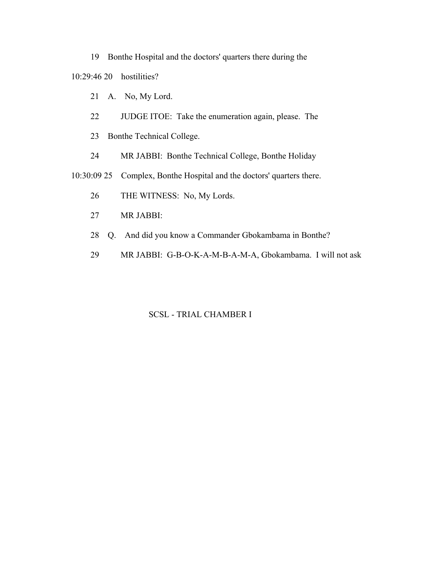19 Bonthe Hospital and the doctors' quarters there during the

10:29:46 20 hostilities?

- 21 A. No, My Lord.
- 22 JUDGE ITOE: Take the enumeration again, please. The
- 23 Bonthe Technical College.
- 24 MR JABBI: Bonthe Technical College, Bonthe Holiday

10:30:09 25 Complex, Bonthe Hospital and the doctors' quarters there.

- 26 THE WITNESS: No, My Lords.
- 27 MR JABBI:
- 28 Q. And did you know a Commander Gbokambama in Bonthe?
- 29 MR JABBI: G-B-O-K-A-M-B-A-M-A, Gbokambama. I will not ask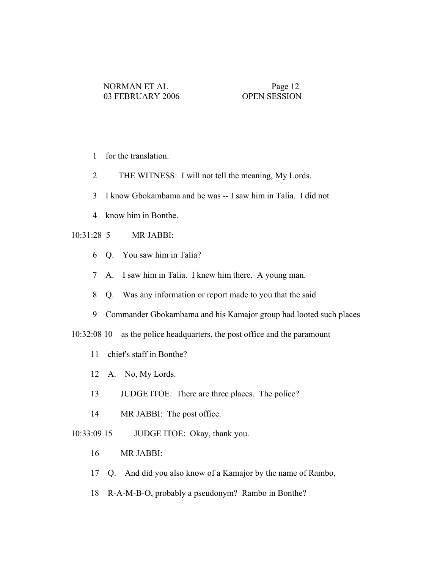- 1 for the translation.
- 2 THE WITNESS: I will not tell the meaning, My Lords.
- 3 I know Gbokambama and he was -- I saw him in Talia. I did not
- 4 know him in Bonthe.

# 10:31:28 5 MR JABBI:

- 6 Q. You saw him in Talia?
- 7 A. I saw him in Talia. I knew him there. A young man.
- 8 Q. Was any information or report made to you that the said
- 9 Commander Gbokambama and his Kamajor group had looted such places

10:32:08 10 as the police headquarters, the post office and the paramount

- 11 chief's staff in Bonthe?
- 12 A. No, My Lords.
- 13 JUDGE ITOE: There are three places. The police?
- 14 MR JABBI: The post office.
- 10:33:09 15 JUDGE ITOE: Okay, thank you.
	- 16 MR JABBI:
	- 17 Q. And did you also know of a Kamajor by the name of Rambo,
	- 18 R-A-M-B-O, probably a pseudonym? Rambo in Bonthe?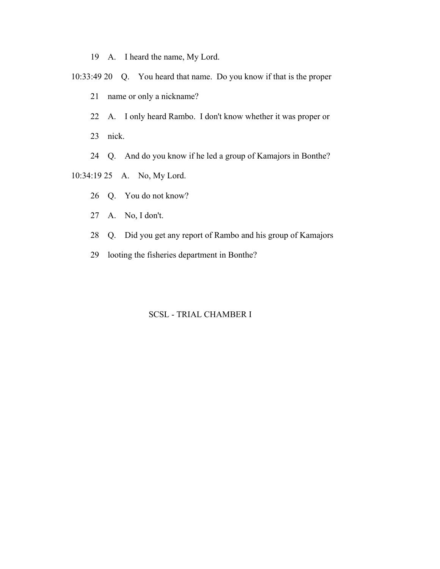- 19 A. I heard the name, My Lord.
- 10:33:49 20 Q. You heard that name. Do you know if that is the proper
	- 21 name or only a nickname?
	- 22 A. I only heard Rambo. I don't know whether it was proper or
	- 23 nick.
	- 24 Q. And do you know if he led a group of Kamajors in Bonthe?
- 10:34:19 25 A. No, My Lord.
	- 26 Q. You do not know?
	- 27 A. No, I don't.
	- 28 Q. Did you get any report of Rambo and his group of Kamajors
	- 29 looting the fisheries department in Bonthe?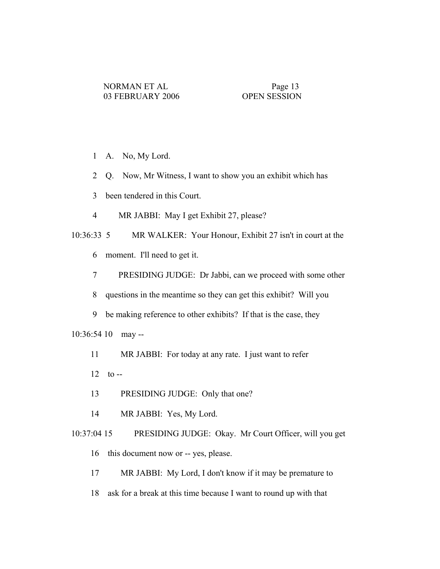- 1 A. No, My Lord.
- 2 Q. Now, Mr Witness, I want to show you an exhibit which has
- 3 been tendered in this Court.
- 4 MR JABBI: May I get Exhibit 27, please?

 10:36:33 5 MR WALKER: Your Honour, Exhibit 27 isn't in court at the 6 moment. I'll need to get it.

7 PRESIDING JUDGE: Dr Jabbi, can we proceed with some other

8 questions in the meantime so they can get this exhibit? Will you

9 be making reference to other exhibits? If that is the case, they

10:36:54 10 may --

- 11 MR JABBI: For today at any rate. I just want to refer
- $12$  to  $-$
- 13 PRESIDING JUDGE: Only that one?
- 14 MR JABBI: Yes, My Lord.

 10:37:04 15 PRESIDING JUDGE: Okay. Mr Court Officer, will you get 16 this document now or -- yes, please.

- 17 MR JABBI: My Lord, I don't know if it may be premature to
- 18 ask for a break at this time because I want to round up with that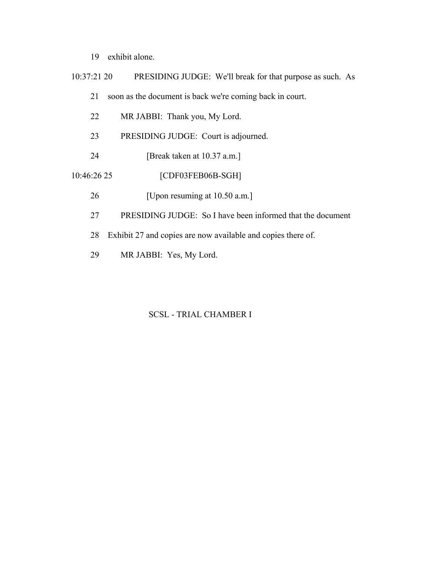- 19 exhibit alone.
- 10:37:21 20 PRESIDING JUDGE: We'll break for that purpose as such. As 21 soon as the document is back we're coming back in court. 22 MR JABBI: Thank you, My Lord. 23 PRESIDING JUDGE: Court is adjourned. 24 [Break taken at 10.37 a.m.] 10:46:26 25 [CDF03FEB06B-SGH] 26 [Upon resuming at 10.50 a.m.] 27 PRESIDING JUDGE: So I have been informed that the document
	- 28 Exhibit 27 and copies are now available and copies there of.
	- 29 MR JABBI: Yes, My Lord.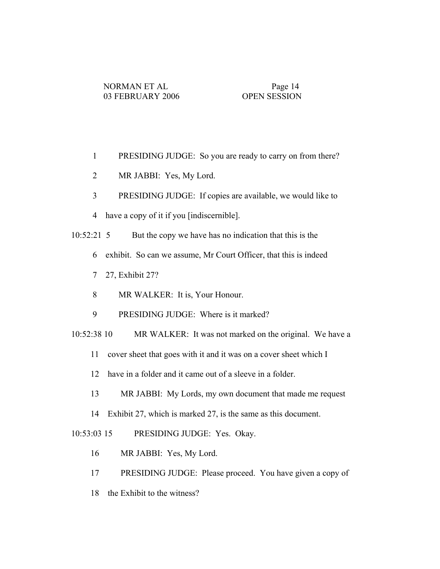- 1 PRESIDING JUDGE: So you are ready to carry on from there?
- 2 MR JABBI: Yes, My Lord.
- 3 PRESIDING JUDGE: If copies are available, we would like to
- 4 have a copy of it if you [indiscernible].
- 10:52:21 5 But the copy we have has no indication that this is the
	- 6 exhibit. So can we assume, Mr Court Officer, that this is indeed
	- 7 27, Exhibit 27?
	- 8 MR WALKER: It is, Your Honour.
	- 9 PRESIDING JUDGE: Where is it marked?
- 10:52:38 10 MR WALKER: It was not marked on the original. We have a
	- 11 cover sheet that goes with it and it was on a cover sheet which I
	- 12 have in a folder and it came out of a sleeve in a folder.
	- 13 MR JABBI: My Lords, my own document that made me request
	- 14 Exhibit 27, which is marked 27, is the same as this document.

10:53:03 15 PRESIDING JUDGE: Yes. Okay.

- 16 MR JABBI: Yes, My Lord.
- 17 PRESIDING JUDGE: Please proceed. You have given a copy of
- 18 the Exhibit to the witness?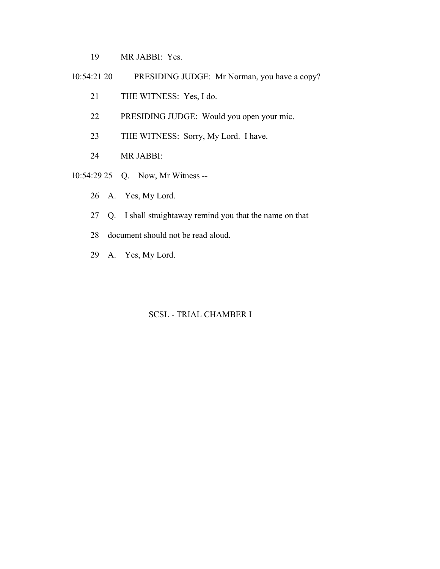- 19 MR JABBI: Yes.
- 10:54:21 20 PRESIDING JUDGE: Mr Norman, you have a copy?
	- 21 THE WITNESS: Yes, I do.
	- 22 PRESIDING JUDGE: Would you open your mic.
	- 23 THE WITNESS: Sorry, My Lord. I have.
	- 24 MR JABBI:
- 10:54:29 25 Q. Now, Mr Witness --
	- 26 A. Yes, My Lord.
	- 27 Q. I shall straightaway remind you that the name on that
	- 28 document should not be read aloud.
	- 29 A. Yes, My Lord.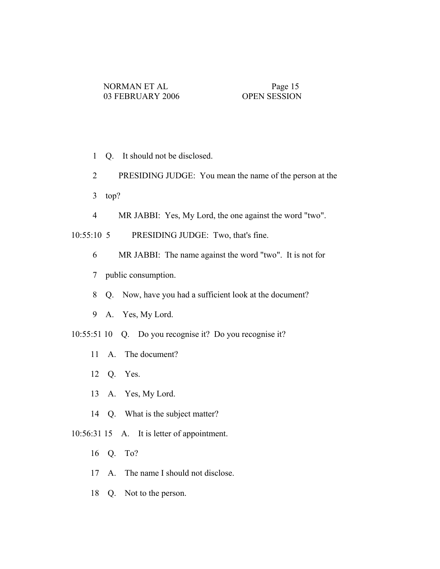- 1 Q. It should not be disclosed.
- 2 PRESIDING JUDGE: You mean the name of the person at the
- 3 top?
- 4 MR JABBI: Yes, My Lord, the one against the word "two".

10:55:10 5 PRESIDING JUDGE: Two, that's fine.

- 6 MR JABBI: The name against the word "two". It is not for
- 7 public consumption.
- 8 Q. Now, have you had a sufficient look at the document?
- 9 A. Yes, My Lord.
- 10:55:51 10 Q. Do you recognise it? Do you recognise it?
	- 11 A. The document?
	- 12 Q. Yes.
	- 13 A. Yes, My Lord.
	- 14 Q. What is the subject matter?
- 10:56:31 15 A. It is letter of appointment.
	- 16 Q. To?
	- 17 A. The name I should not disclose.
	- 18 Q. Not to the person.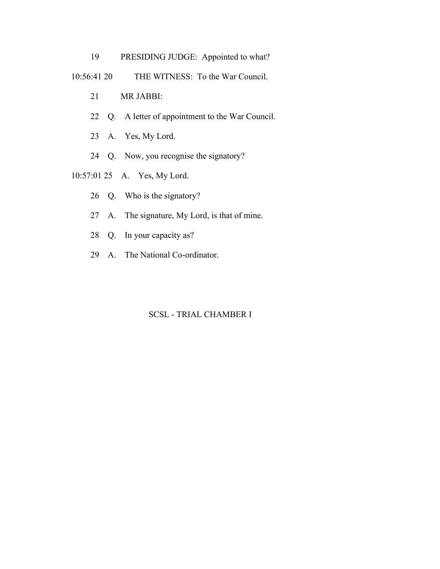- 19 PRESIDING JUDGE: Appointed to what?
- 10:56:41 20 THE WITNESS: To the War Council.
	- 21 MR JABBI:
	- 22 Q. A letter of appointment to the War Council.
	- 23 A. Yes, My Lord.
	- 24 Q. Now, you recognise the signatory?
- 10:57:01 25 A. Yes, My Lord.
	- 26 Q. Who is the signatory?
	- 27 A. The signature, My Lord, is that of mine.
	- 28 Q. In your capacity as?
	- 29 A. The National Co-ordinator.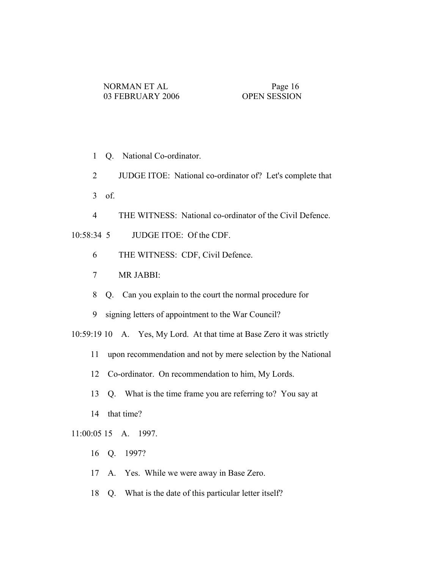- 1 Q. National Co-ordinator.
- 2 JUDGE ITOE: National co-ordinator of? Let's complete that
- 3 of.
- 4 THE WITNESS: National co-ordinator of the Civil Defence.

# 10:58:34 5 JUDGE ITOE: Of the CDF.

- 6 THE WITNESS: CDF, Civil Defence.
- 7 MR JABBI:
- 8 Q. Can you explain to the court the normal procedure for
- 9 signing letters of appointment to the War Council?

10:59:19 10 A. Yes, My Lord. At that time at Base Zero it was strictly

- 11 upon recommendation and not by mere selection by the National
- 12 Co-ordinator. On recommendation to him, My Lords.
- 13 Q. What is the time frame you are referring to? You say at
- 14 that time?

# 11:00:05 15 A. 1997.

- 16 Q. 1997?
- 17 A. Yes. While we were away in Base Zero.
- 18 Q. What is the date of this particular letter itself?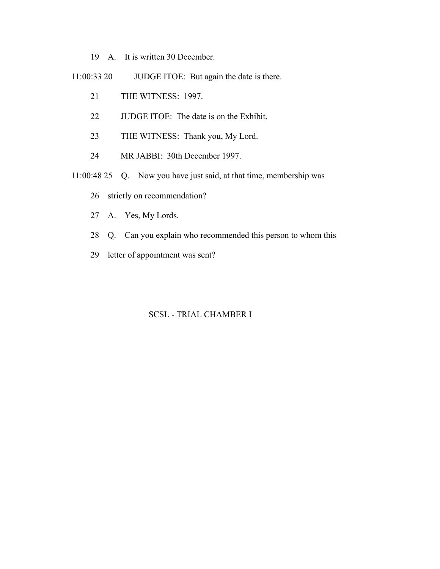- 19 A. It is written 30 December.
- 11:00:33 20 JUDGE ITOE: But again the date is there.
	- 21 THE WITNESS: 1997.
	- 22 JUDGE ITOE: The date is on the Exhibit.
	- 23 THE WITNESS: Thank you, My Lord.
	- 24 MR JABBI: 30th December 1997.
- 11:00:48 25 Q. Now you have just said, at that time, membership was
	- 26 strictly on recommendation?
	- 27 A. Yes, My Lords.
	- 28 Q. Can you explain who recommended this person to whom this
	- 29 letter of appointment was sent?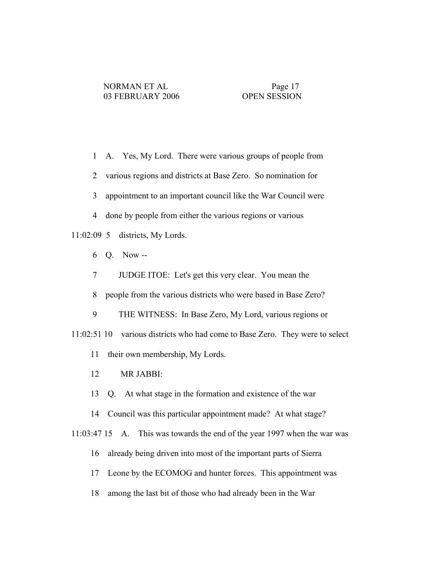- 1 A. Yes, My Lord. There were various groups of people from
- 2 various regions and districts at Base Zero. So nomination for
- 3 appointment to an important council like the War Council were
- 4 done by people from either the various regions or various

## 11:02:09 5 districts, My Lords.

- 6 Q. Now --
- 7 JUDGE ITOE: Let's get this very clear. You mean the
- 8 people from the various districts who were based in Base Zero?
- 9 THE WITNESS: In Base Zero, My Lord, various regions or
- 11:02:51 10 various districts who had come to Base Zero. They were to select
	- 11 their own membership, My Lords.
	- 12 MR JABBI:
	- 13 Q. At what stage in the formation and existence of the war
	- 14 Council was this particular appointment made? At what stage?
- 11:03:47 15 A. This was towards the end of the year 1997 when the war was
	- 16 already being driven into most of the important parts of Sierra
	- 17 Leone by the ECOMOG and hunter forces. This appointment was
	- 18 among the last bit of those who had already been in the War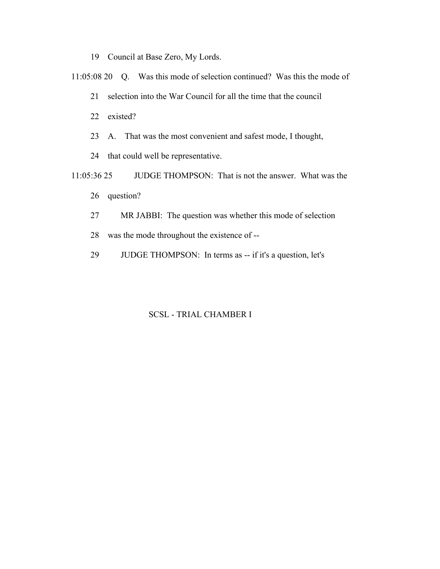19 Council at Base Zero, My Lords.

11:05:08 20 Q. Was this mode of selection continued? Was this the mode of

- 21 selection into the War Council for all the time that the council
- 22 existed?
- 23 A. That was the most convenient and safest mode, I thought,
- 24 that could well be representative.
- 11:05:36 25 JUDGE THOMPSON: That is not the answer. What was the
	- 26 question?
	- 27 MR JABBI: The question was whether this mode of selection
	- 28 was the mode throughout the existence of --
	- 29 JUDGE THOMPSON: In terms as -- if it's a question, let's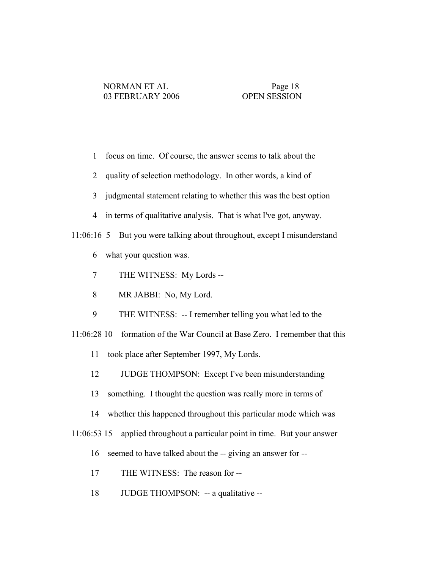- 1 focus on time. Of course, the answer seems to talk about the
- 2 quality of selection methodology. In other words, a kind of
- 3 judgmental statement relating to whether this was the best option
- 4 in terms of qualitative analysis. That is what I've got, anyway.

## 11:06:16 5 But you were talking about throughout, except I misunderstand

- 6 what your question was.
- 7 THE WITNESS: My Lords --
- 8 MR JABBI: No, My Lord.
- 9 THE WITNESS: -- I remember telling you what led to the
- 11:06:28 10 formation of the War Council at Base Zero. I remember that this
	- 11 took place after September 1997, My Lords.
	- 12 JUDGE THOMPSON: Except I've been misunderstanding
	- 13 something. I thought the question was really more in terms of
	- 14 whether this happened throughout this particular mode which was
- 11:06:53 15 applied throughout a particular point in time. But your answer
	- 16 seemed to have talked about the -- giving an answer for --
	- 17 THE WITNESS: The reason for --
	- 18 JUDGE THOMPSON: -- a qualitative --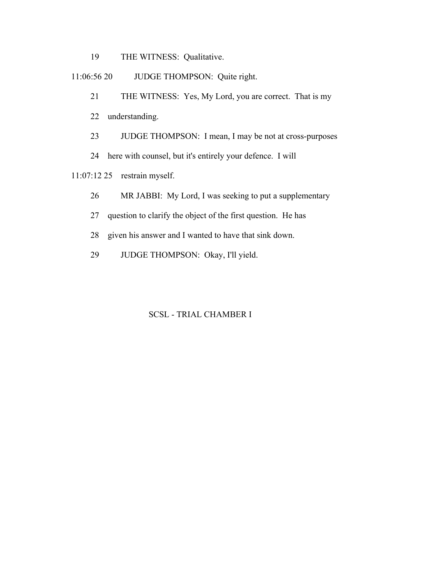19 THE WITNESS: Qualitative.

11:06:56 20 JUDGE THOMPSON: Quite right.

- 21 THE WITNESS: Yes, My Lord, you are correct. That is my
- 22 understanding.
- 23 JUDGE THOMPSON: I mean, I may be not at cross-purposes
- 24 here with counsel, but it's entirely your defence. I will

11:07:12 25 restrain myself.

- 26 MR JABBI: My Lord, I was seeking to put a supplementary
- 27 question to clarify the object of the first question. He has
- 28 given his answer and I wanted to have that sink down.
- 29 JUDGE THOMPSON: Okay, I'll yield.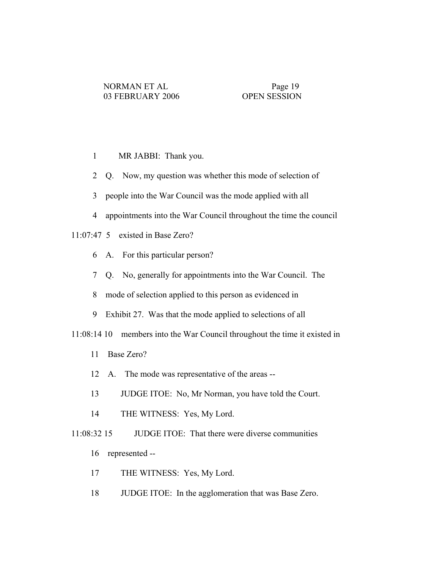- 1 MR JABBI: Thank you.
- 2 Q. Now, my question was whether this mode of selection of
- 3 people into the War Council was the mode applied with all
- 4 appointments into the War Council throughout the time the council

# 11:07:47 5 existed in Base Zero?

- 6 A. For this particular person?
- 7 Q. No, generally for appointments into the War Council. The
- 8 mode of selection applied to this person as evidenced in
- 9 Exhibit 27. Was that the mode applied to selections of all

11:08:14 10 members into the War Council throughout the time it existed in

- 11 Base Zero?
- 12 A. The mode was representative of the areas --
- 13 JUDGE ITOE: No, Mr Norman, you have told the Court.
- 14 THE WITNESS: Yes, My Lord.

11:08:32 15 JUDGE ITOE: That there were diverse communities

- 16 represented --
- 17 THE WITNESS: Yes, My Lord.
- 18 JUDGE ITOE: In the agglomeration that was Base Zero.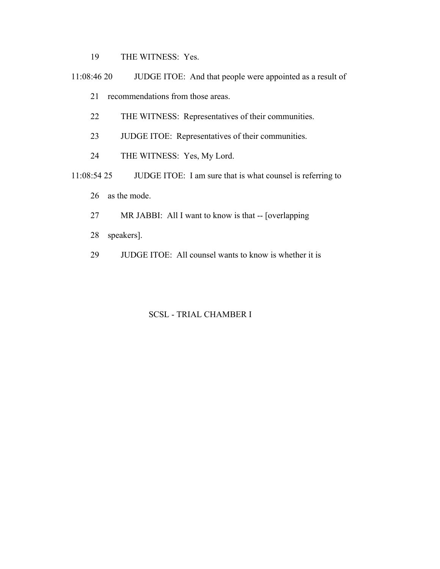19 THE WITNESS: Yes.

 11:08:46 20 JUDGE ITOE: And that people were appointed as a result of 21 recommendations from those areas.

- 22 THE WITNESS: Representatives of their communities.
- 23 JUDGE ITOE: Representatives of their communities.
- 24 THE WITNESS: Yes, My Lord.
- 11:08:54 25 JUDGE ITOE: I am sure that is what counsel is referring to 26 as the mode.
	- 27 MR JABBI: All I want to know is that -- [overlapping
	- 28 speakers].
	- 29 JUDGE ITOE: All counsel wants to know is whether it is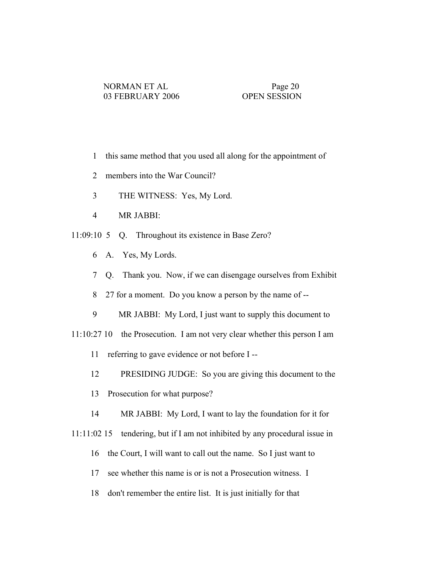- 1 this same method that you used all along for the appointment of
- 2 members into the War Council?
- 3 THE WITNESS: Yes, My Lord.
- 4 MR JABBI:
- 11:09:10 5 Q. Throughout its existence in Base Zero?
	- 6 A. Yes, My Lords.
	- 7 Q. Thank you. Now, if we can disengage ourselves from Exhibit
	- 8 27 for a moment. Do you know a person by the name of --
	- 9 MR JABBI: My Lord, I just want to supply this document to
- 11:10:27 10 the Prosecution. I am not very clear whether this person I am
	- 11 referring to gave evidence or not before I --
	- 12 PRESIDING JUDGE: So you are giving this document to the
	- 13 Prosecution for what purpose?
	- 14 MR JABBI: My Lord, I want to lay the foundation for it for
- 11:11:02 15 tendering, but if I am not inhibited by any procedural issue in
	- 16 the Court, I will want to call out the name. So I just want to
	- 17 see whether this name is or is not a Prosecution witness. I
	- 18 don't remember the entire list. It is just initially for that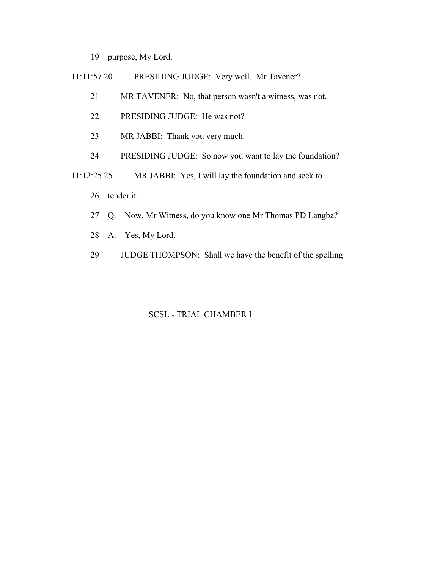- 19 purpose, My Lord.
- 11:11:57 20 PRESIDING JUDGE: Very well. Mr Tavener?
	- 21 MR TAVENER: No, that person wasn't a witness, was not.
	- 22 PRESIDING JUDGE: He was not?
	- 23 MR JABBI: Thank you very much.
	- 24 PRESIDING JUDGE: So now you want to lay the foundation?
- 11:12:25 25 MR JABBI: Yes, I will lay the foundation and seek to
	- 26 tender it.
	- 27 Q. Now, Mr Witness, do you know one Mr Thomas PD Langba?
	- 28 A. Yes, My Lord.
	- 29 JUDGE THOMPSON: Shall we have the benefit of the spelling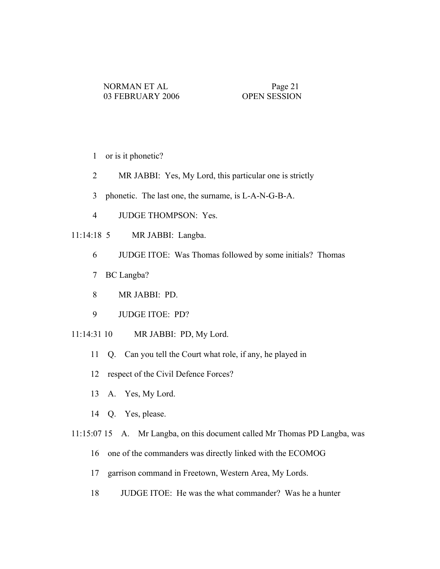- 1 or is it phonetic?
- 2 MR JABBI: Yes, My Lord, this particular one is strictly
- 3 phonetic. The last one, the surname, is L-A-N-G-B-A.
- 4 JUDGE THOMPSON: Yes.
- 11:14:18 5 MR JABBI: Langba.
	- 6 JUDGE ITOE: Was Thomas followed by some initials? Thomas
	- 7 BC Langba?
	- 8 MR JABBI: PD.
	- 9 JUDGE ITOE: PD?
- 11:14:31 10 MR JABBI: PD, My Lord.
	- 11 Q. Can you tell the Court what role, if any, he played in
	- 12 respect of the Civil Defence Forces?
	- 13 A. Yes, My Lord.
	- 14 Q. Yes, please.
- 11:15:07 15 A. Mr Langba, on this document called Mr Thomas PD Langba, was
	- 16 one of the commanders was directly linked with the ECOMOG
	- 17 garrison command in Freetown, Western Area, My Lords.
	- 18 JUDGE ITOE: He was the what commander? Was he a hunter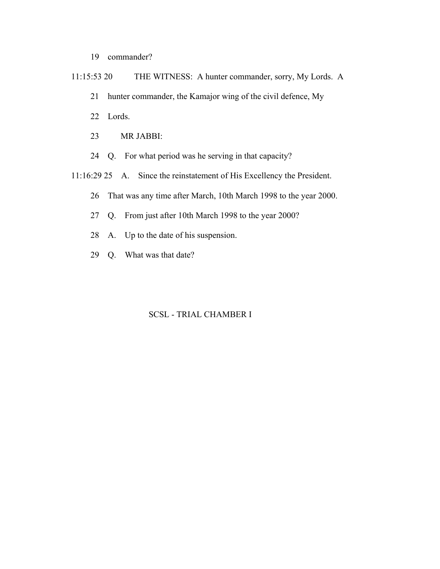- 19 commander?
- 11:15:53 20 THE WITNESS: A hunter commander, sorry, My Lords. A 21 hunter commander, the Kamajor wing of the civil defence, My 22 Lords. 23 MR JABBI: 24 Q. For what period was he serving in that capacity?
- 11:16:29 25 A. Since the reinstatement of His Excellency the President.
	- 26 That was any time after March, 10th March 1998 to the year 2000.
	- 27 Q. From just after 10th March 1998 to the year 2000?
	- 28 A. Up to the date of his suspension.
	- 29 Q. What was that date?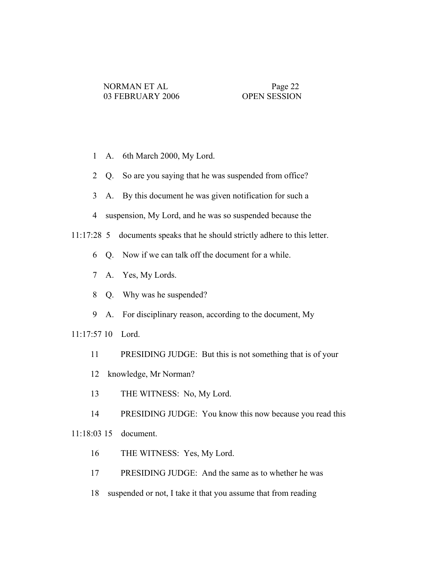- 1 A. 6th March 2000, My Lord.
- 2 Q. So are you saying that he was suspended from office?
- 3 A. By this document he was given notification for such a
- 4 suspension, My Lord, and he was so suspended because the

11:17:28 5 documents speaks that he should strictly adhere to this letter.

- 6 Q. Now if we can talk off the document for a while.
- 7 A. Yes, My Lords.
- 8 Q. Why was he suspended?
- 9 A. For disciplinary reason, according to the document, My

11:17:57 10 Lord.

- 11 PRESIDING JUDGE: But this is not something that is of your
- 12 knowledge, Mr Norman?
- 13 THE WITNESS: No, My Lord.

14 PRESIDING JUDGE: You know this now because you read this 11:18:03 15 document.

- 16 THE WITNESS: Yes, My Lord.
- 17 PRESIDING JUDGE: And the same as to whether he was
- 18 suspended or not, I take it that you assume that from reading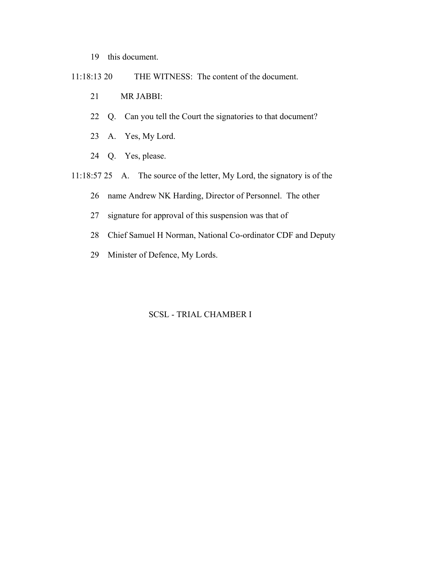- 19 this document.
- 11:18:13 20 THE WITNESS: The content of the document.
	- 21 MR JABBI:
	- 22 Q. Can you tell the Court the signatories to that document?
	- 23 A. Yes, My Lord.
	- 24 Q. Yes, please.
- 11:18:57 25 A. The source of the letter, My Lord, the signatory is of the
	- 26 name Andrew NK Harding, Director of Personnel. The other
	- 27 signature for approval of this suspension was that of
	- 28 Chief Samuel H Norman, National Co-ordinator CDF and Deputy
	- 29 Minister of Defence, My Lords.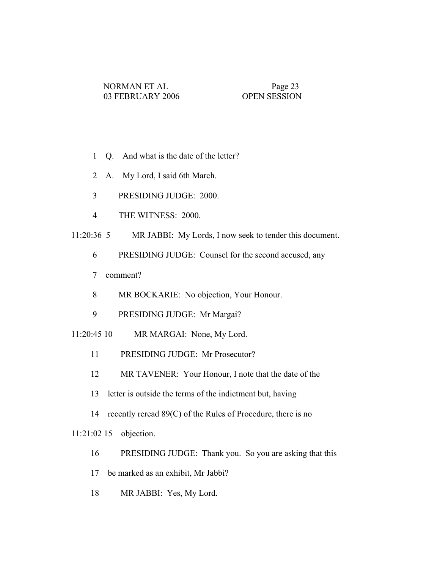- 1 Q. And what is the date of the letter?
- 2 A. My Lord, I said 6th March.
- 3 PRESIDING JUDGE: 2000.
- 4 THE WITNESS: 2000.
- 11:20:36 5 MR JABBI: My Lords, I now seek to tender this document.
	- 6 PRESIDING JUDGE: Counsel for the second accused, any
	- 7 comment?
	- 8 MR BOCKARIE: No objection, Your Honour.
	- 9 PRESIDING JUDGE: Mr Margai?
- 11:20:45 10 MR MARGAI: None, My Lord.
	- 11 PRESIDING JUDGE: Mr Prosecutor?
	- 12 MR TAVENER: Your Honour, I note that the date of the
	- 13 letter is outside the terms of the indictment but, having
	- 14 recently reread 89(C) of the Rules of Procedure, there is no

## 11:21:02 15 objection.

- 16 PRESIDING JUDGE: Thank you. So you are asking that this
- 17 be marked as an exhibit, Mr Jabbi?
- 18 MR JABBI: Yes, My Lord.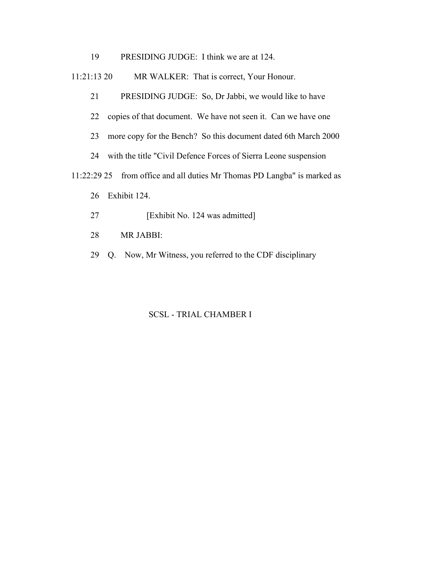19 PRESIDING JUDGE: I think we are at 124.

11:21:13 20 MR WALKER: That is correct, Your Honour.

21 PRESIDING JUDGE: So, Dr Jabbi, we would like to have

22 copies of that document. We have not seen it. Can we have one

23 more copy for the Bench? So this document dated 6th March 2000

24 with the title "Civil Defence Forces of Sierra Leone suspension

11:22:29 25 from office and all duties Mr Thomas PD Langba" is marked as

- 26 Exhibit 124.
- 27 [Exhibit No. 124 was admitted]
- 28 MR JABBI:
- 29 Q. Now, Mr Witness, you referred to the CDF disciplinary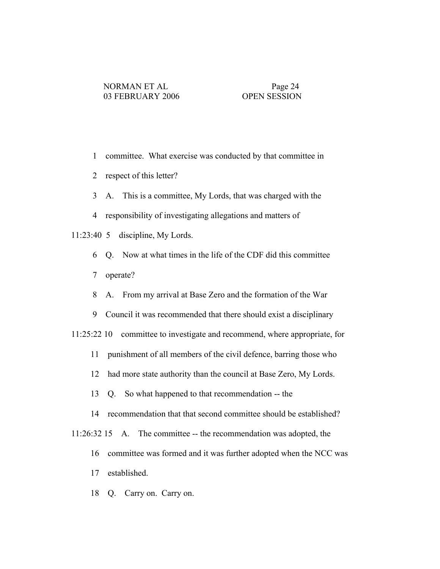- 1 committee. What exercise was conducted by that committee in
- 2 respect of this letter?
- 3 A. This is a committee, My Lords, that was charged with the
- 4 responsibility of investigating allegations and matters of

11:23:40 5 discipline, My Lords.

- 6 Q. Now at what times in the life of the CDF did this committee
- 7 operate?
- 8 A. From my arrival at Base Zero and the formation of the War
- 9 Council it was recommended that there should exist a disciplinary
- 11:25:22 10 committee to investigate and recommend, where appropriate, for
	- 11 punishment of all members of the civil defence, barring those who
	- 12 had more state authority than the council at Base Zero, My Lords.
	- 13 Q. So what happened to that recommendation -- the
	- 14 recommendation that that second committee should be established?
- 11:26:32 15 A. The committee -- the recommendation was adopted, the
	- 16 committee was formed and it was further adopted when the NCC was
	- 17 established.
	- 18 Q. Carry on. Carry on.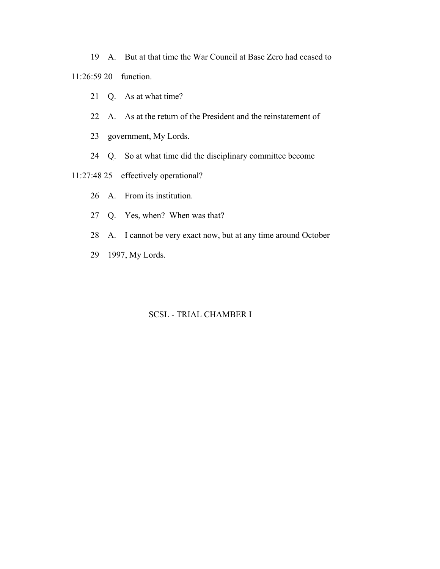19 A. But at that time the War Council at Base Zero had ceased to

11:26:59 20 function.

- 21 Q. As at what time?
- 22 A. As at the return of the President and the reinstatement of
- 23 government, My Lords.
- 24 Q. So at what time did the disciplinary committee become
- 11:27:48 25 effectively operational?
	- 26 A. From its institution.
	- 27 Q. Yes, when? When was that?
	- 28 A. I cannot be very exact now, but at any time around October
	- 29 1997, My Lords.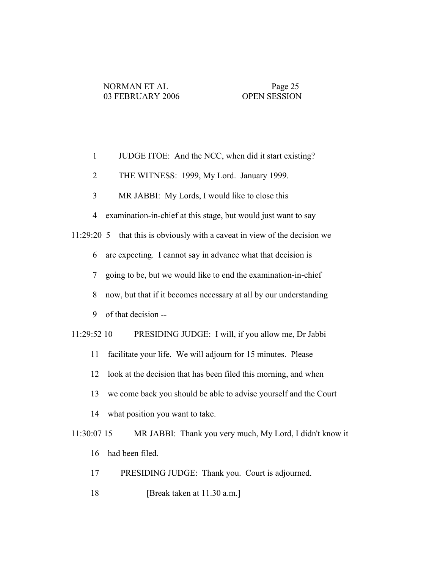| $\mathbf{1}$<br>JUDGE ITOE: And the NCC, when did it start existing?             |
|----------------------------------------------------------------------------------|
| THE WITNESS: 1999, My Lord. January 1999.<br>$\overline{2}$                      |
| 3<br>MR JABBI: My Lords, I would like to close this                              |
| examination-in-chief at this stage, but would just want to say<br>$\overline{4}$ |
| 11:29:20 5 that this is obviously with a caveat in view of the decision we       |
| are expecting. I cannot say in advance what that decision is<br>6                |
| going to be, but we would like to end the examination-in-chief<br>7              |
| 8<br>now, but that if it becomes necessary at all by our understanding           |
| of that decision --<br>9                                                         |
| PRESIDING JUDGE: I will, if you allow me, Dr Jabbi<br>11:29:52 10                |
| 11<br>facilitate your life. We will adjourn for 15 minutes. Please               |
| look at the decision that has been filed this morning, and when<br>12            |
| 13<br>we come back you should be able to advise yourself and the Court           |
| what position you want to take.<br>14                                            |
| 11:30:07 15<br>MR JABBI: Thank you very much, My Lord, I didn't know it          |
| had been filed.<br>16                                                            |
| PRESIDING JUDGE: Thank you. Court is adjourned.<br>17                            |

18 [Break taken at 11.30 a.m.]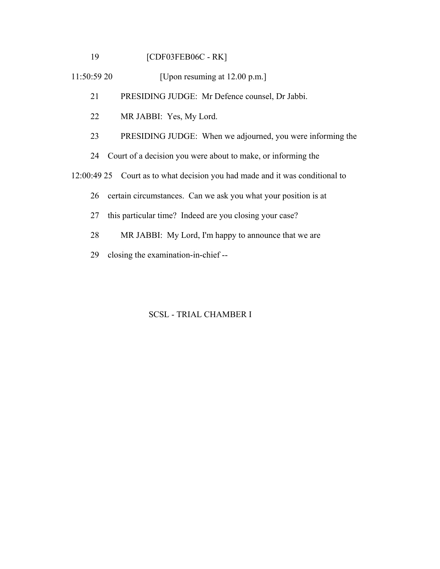19 [CDF03FEB06C - RK]

11:50:59 20 [Upon resuming at 12.00 p.m.]

21 PRESIDING JUDGE: Mr Defence counsel, Dr Jabbi.

- 22 MR JABBI: Yes, My Lord.
- 23 PRESIDING JUDGE: When we adjourned, you were informing the
- 24 Court of a decision you were about to make, or informing the

12:00:49 25 Court as to what decision you had made and it was conditional to

- 26 certain circumstances. Can we ask you what your position is at
- 27 this particular time? Indeed are you closing your case?
- 28 MR JABBI: My Lord, I'm happy to announce that we are
- 29 closing the examination-in-chief --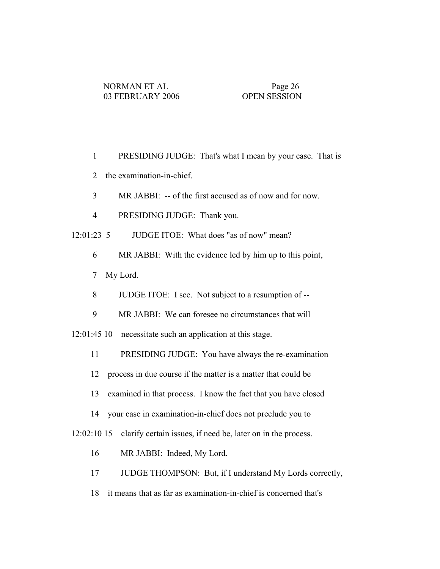- 1 PRESIDING JUDGE: That's what I mean by your case. That is
- 2 the examination-in-chief.
- 3 MR JABBI: -- of the first accused as of now and for now.
- 4 PRESIDING JUDGE: Thank you.
- 12:01:23 5 JUDGE ITOE: What does "as of now" mean?
	- 6 MR JABBI: With the evidence led by him up to this point,
	- 7 My Lord.
	- 8 JUDGE ITOE: I see. Not subject to a resumption of --
	- 9 MR JABBI: We can foresee no circumstances that will
- 12:01:45 10 necessitate such an application at this stage.
	- 11 PRESIDING JUDGE: You have always the re-examination
	- 12 process in due course if the matter is a matter that could be
	- 13 examined in that process. I know the fact that you have closed
	- 14 your case in examination-in-chief does not preclude you to

12:02:10 15 clarify certain issues, if need be, later on in the process.

- 16 MR JABBI: Indeed, My Lord.
- 17 JUDGE THOMPSON: But, if I understand My Lords correctly,
- 18 it means that as far as examination-in-chief is concerned that's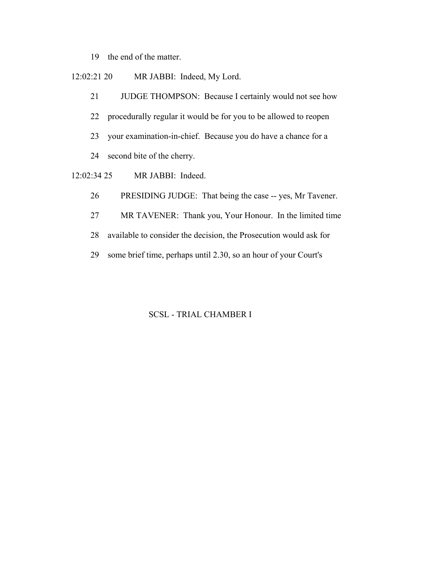19 the end of the matter.

12:02:21 20 MR JABBI: Indeed, My Lord.

21 JUDGE THOMPSON: Because I certainly would not see how

- 22 procedurally regular it would be for you to be allowed to reopen
- 23 your examination-in-chief. Because you do have a chance for a
- 24 second bite of the cherry.
- 12:02:34 25 MR JABBI: Indeed.
	- 26 PRESIDING JUDGE: That being the case -- yes, Mr Tavener.
	- 27 MR TAVENER: Thank you, Your Honour. In the limited time
	- 28 available to consider the decision, the Prosecution would ask for
	- 29 some brief time, perhaps until 2.30, so an hour of your Court's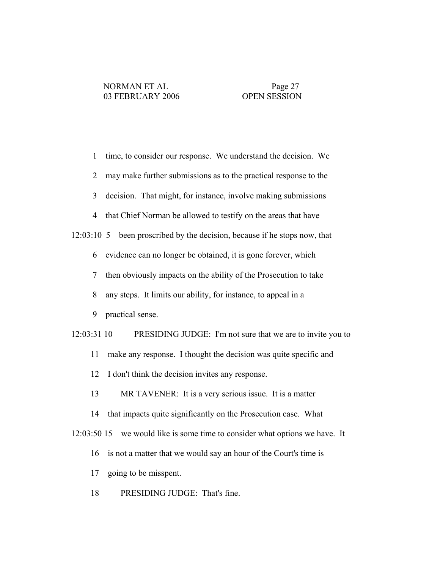| $\mathbf{1}$   | time, to consider our response. We understand the decision. We            |
|----------------|---------------------------------------------------------------------------|
| $\overline{2}$ | may make further submissions as to the practical response to the          |
| 3              | decision. That might, for instance, involve making submissions            |
| 4              | that Chief Norman be allowed to testify on the areas that have            |
|                | 12:03:10 5 been proscribed by the decision, because if he stops now, that |
| 6              | evidence can no longer be obtained, it is gone forever, which             |
| $\overline{7}$ | then obviously impacts on the ability of the Prosecution to take          |
| 8              | any steps. It limits our ability, for instance, to appeal in a            |
| 9              | practical sense.                                                          |
| 12:03:31 10    | PRESIDING JUDGE: I'm not sure that we are to invite you to                |
| 11             | make any response. I thought the decision was quite specific and          |
| 12             | I don't think the decision invites any response.                          |
| 13             | MR TAVENER: It is a very serious issue. It is a matter                    |
| 14             | that impacts quite significantly on the Prosecution case. What            |
| 12:03:50 15    | we would like is some time to consider what options we have. It           |
| 16             | is not a matter that we would say an hour of the Court's time is          |
| 17             | going to be misspent.                                                     |
| 18             | PRESIDING JUDGE: That's fine.                                             |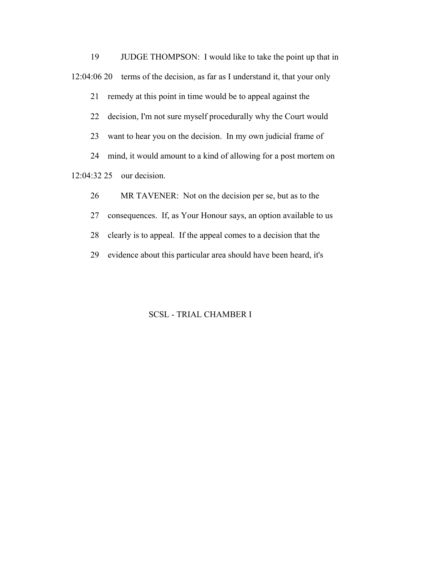19 JUDGE THOMPSON: I would like to take the point up that in 12:04:06 20 terms of the decision, as far as I understand it, that your only

21 remedy at this point in time would be to appeal against the

22 decision, I'm not sure myself procedurally why the Court would

23 want to hear you on the decision. In my own judicial frame of

24 mind, it would amount to a kind of allowing for a post mortem on

12:04:32 25 our decision.

26 MR TAVENER: Not on the decision per se, but as to the

27 consequences. If, as Your Honour says, an option available to us

28 clearly is to appeal. If the appeal comes to a decision that the

29 evidence about this particular area should have been heard, it's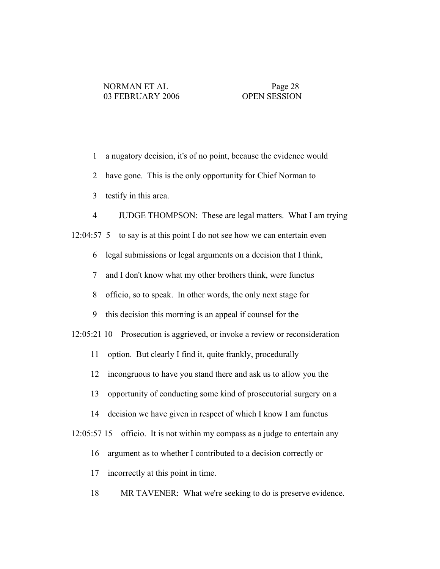1 a nugatory decision, it's of no point, because the evidence would

2 have gone. This is the only opportunity for Chief Norman to

3 testify in this area.

4 JUDGE THOMPSON: These are legal matters. What I am trying

12:04:57 5 to say is at this point I do not see how we can entertain even

6 legal submissions or legal arguments on a decision that I think,

7 and I don't know what my other brothers think, were functus

8 officio, so to speak. In other words, the only next stage for

9 this decision this morning is an appeal if counsel for the

12:05:21 10 Prosecution is aggrieved, or invoke a review or reconsideration

11 option. But clearly I find it, quite frankly, procedurally

12 incongruous to have you stand there and ask us to allow you the

13 opportunity of conducting some kind of prosecutorial surgery on a

14 decision we have given in respect of which I know I am functus

12:05:57 15 officio. It is not within my compass as a judge to entertain any

16 argument as to whether I contributed to a decision correctly or

17 incorrectly at this point in time.

18 MR TAVENER: What we're seeking to do is preserve evidence.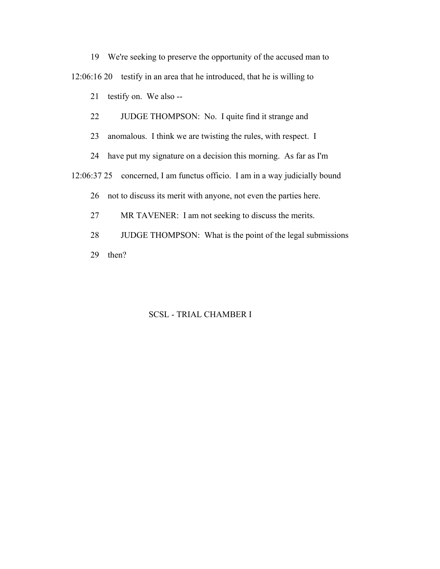19 We're seeking to preserve the opportunity of the accused man to

12:06:16 20 testify in an area that he introduced, that he is willing to

21 testify on. We also --

22 JUDGE THOMPSON: No. I quite find it strange and

23 anomalous. I think we are twisting the rules, with respect. I

24 have put my signature on a decision this morning. As far as I'm

12:06:37 25 concerned, I am functus officio. I am in a way judicially bound

26 not to discuss its merit with anyone, not even the parties here.

27 MR TAVENER: I am not seeking to discuss the merits.

28 JUDGE THOMPSON: What is the point of the legal submissions 29 then?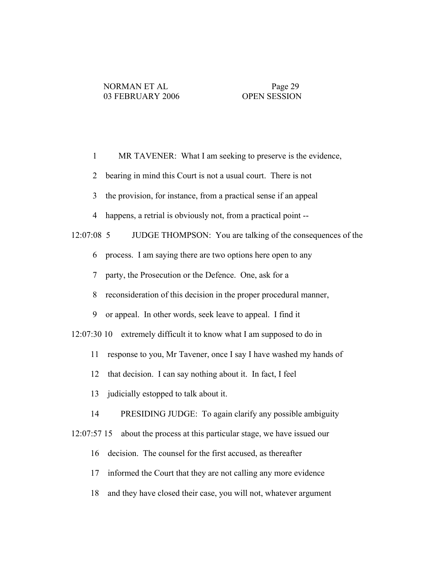1 MR TAVENER: What I am seeking to preserve is the evidence,

2 bearing in mind this Court is not a usual court. There is not

3 the provision, for instance, from a practical sense if an appeal

4 happens, a retrial is obviously not, from a practical point --

12:07:08 5 JUDGE THOMPSON: You are talking of the consequences of the

6 process. I am saying there are two options here open to any

7 party, the Prosecution or the Defence. One, ask for a

8 reconsideration of this decision in the proper procedural manner,

9 or appeal. In other words, seek leave to appeal. I find it

12:07:30 10 extremely difficult it to know what I am supposed to do in

11 response to you, Mr Tavener, once I say I have washed my hands of

12 that decision. I can say nothing about it. In fact, I feel

13 judicially estopped to talk about it.

14 PRESIDING JUDGE: To again clarify any possible ambiguity

12:07:57 15 about the process at this particular stage, we have issued our

16 decision. The counsel for the first accused, as thereafter

17 informed the Court that they are not calling any more evidence

18 and they have closed their case, you will not, whatever argument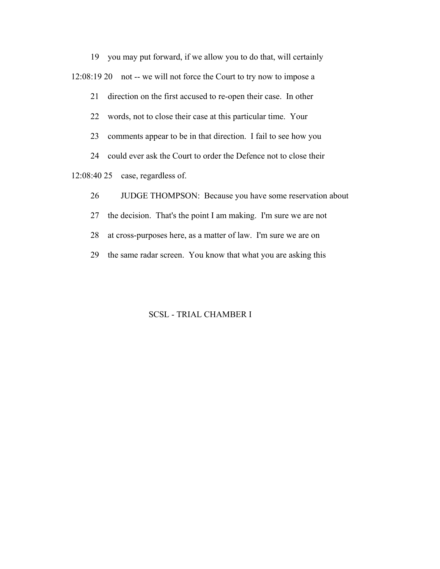19 you may put forward, if we allow you to do that, will certainly 12:08:19 20 not -- we will not force the Court to try now to impose a

21 direction on the first accused to re-open their case. In other

22 words, not to close their case at this particular time. Your

23 comments appear to be in that direction. I fail to see how you

24 could ever ask the Court to order the Defence not to close their

12:08:40 25 case, regardless of.

26 JUDGE THOMPSON: Because you have some reservation about

27 the decision. That's the point I am making. I'm sure we are not

28 at cross-purposes here, as a matter of law. I'm sure we are on

29 the same radar screen. You know that what you are asking this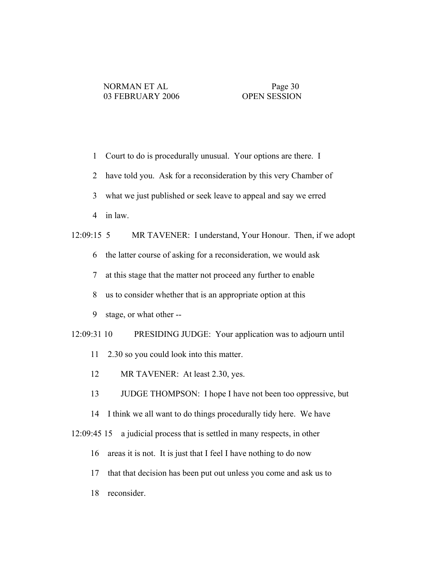- 1 Court to do is procedurally unusual. Your options are there. I
- 2 have told you. Ask for a reconsideration by this very Chamber of
- 3 what we just published or seek leave to appeal and say we erred
- 4 in law.

# 12:09:15 5 MR TAVENER: I understand, Your Honour. Then, if we adopt

- 6 the latter course of asking for a reconsideration, we would ask
- 7 at this stage that the matter not proceed any further to enable
- 8 us to consider whether that is an appropriate option at this
- 9 stage, or what other --
- 12:09:31 10 PRESIDING JUDGE: Your application was to adjourn until
	- 11 2.30 so you could look into this matter.
	- 12 MR TAVENER: At least 2.30, yes.
	- 13 JUDGE THOMPSON: I hope I have not been too oppressive, but
	- 14 I think we all want to do things procedurally tidy here. We have
- 12:09:45 15 a judicial process that is settled in many respects, in other
	- 16 areas it is not. It is just that I feel I have nothing to do now
	- 17 that that decision has been put out unless you come and ask us to
	- 18 reconsider.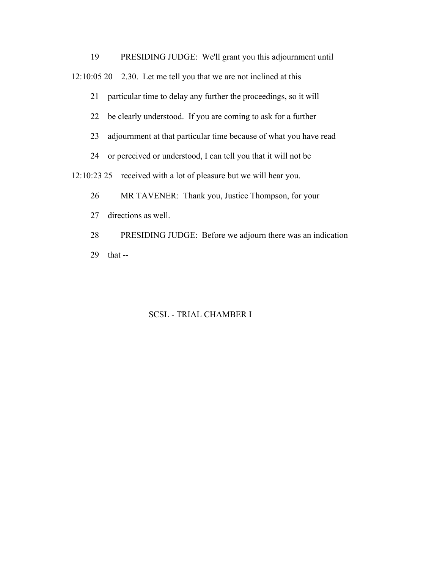19 PRESIDING JUDGE: We'll grant you this adjournment until 12:10:05 20 2.30. Let me tell you that we are not inclined at this

21 particular time to delay any further the proceedings, so it will

22 be clearly understood. If you are coming to ask for a further

23 adjournment at that particular time because of what you have read

24 or perceived or understood, I can tell you that it will not be

12:10:23 25 received with a lot of pleasure but we will hear you.

26 MR TAVENER: Thank you, Justice Thompson, for your

27 directions as well.

 28 PRESIDING JUDGE: Before we adjourn there was an indication 29 that --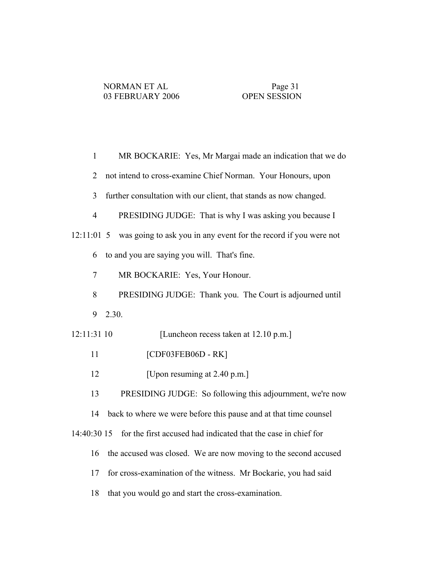| $\mathbf{1}$   | MR BOCKARIE: Yes, Mr Margai made an indication that we do         |
|----------------|-------------------------------------------------------------------|
| $\overline{2}$ | not intend to cross-examine Chief Norman. Your Honours, upon      |
| $\overline{3}$ | further consultation with our client, that stands as now changed. |
| $\overline{4}$ | PRESIDING JUDGE: That is why I was asking you because I           |
| $12:11:01$ 5   | was going to ask you in any event for the record if you were not  |
| 6              | to and you are saying you will. That's fine.                      |
| 7              | MR BOCKARIE: Yes, Your Honour.                                    |
| 8              | PRESIDING JUDGE: Thank you. The Court is adjourned until          |
| 9              | 2.30.                                                             |
|                |                                                                   |
| 12:11:31 10    | [Luncheon recess taken at 12.10 p.m.]                             |
| 11             | [CDF03FEB06D - RK]                                                |
| 12             | [Upon resuming at 2.40 p.m.]                                      |
| 13             | PRESIDING JUDGE: So following this adjournment, we're now         |
| 14             | back to where we were before this pause and at that time counsel  |
| 14:40:30 15    | for the first accused had indicated that the case in chief for    |
| 16             | the accused was closed. We are now moving to the second accused   |
| 17             | for cross-examination of the witness. Mr Bockarie, you had said   |
| 18             | that you would go and start the cross-examination.                |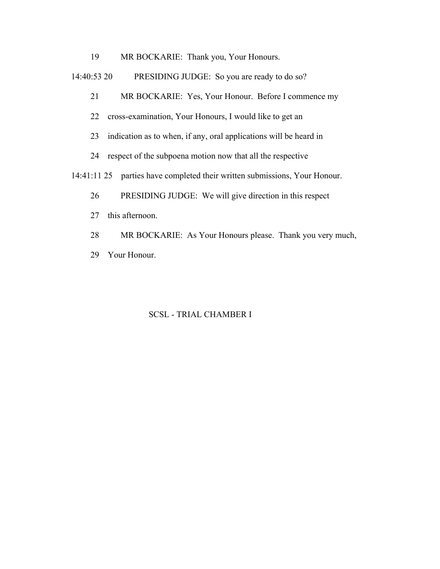19 MR BOCKARIE: Thank you, Your Honours.

14:40:53 20 PRESIDING JUDGE: So you are ready to do so?

21 MR BOCKARIE: Yes, Your Honour. Before I commence my

22 cross-examination, Your Honours, I would like to get an

23 indication as to when, if any, oral applications will be heard in

24 respect of the subpoena motion now that all the respective

14:41:11 25 parties have completed their written submissions, Your Honour.

26 PRESIDING JUDGE: We will give direction in this respect

27 this afternoon.

28 MR BOCKARIE: As Your Honours please. Thank you very much,

29 Your Honour.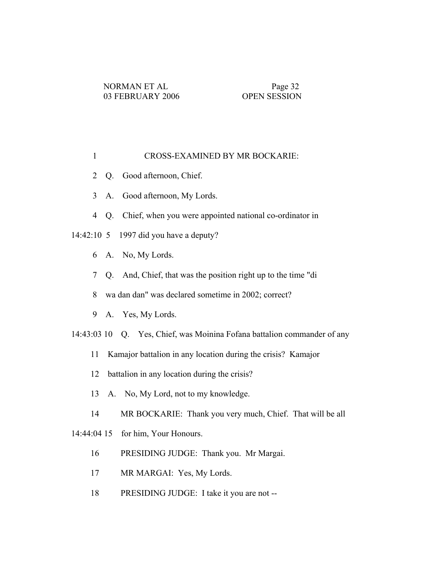## 1 CROSS-EXAMINED BY MR BOCKARIE:

- 2 Q. Good afternoon, Chief.
- 3 A. Good afternoon, My Lords.
- 4 Q. Chief, when you were appointed national co-ordinator in

## 14:42:10 5 1997 did you have a deputy?

- 6 A. No, My Lords.
- 7 Q. And, Chief, that was the position right up to the time "di
- 8 wa dan dan" was declared sometime in 2002; correct?
- 9 A. Yes, My Lords.
- 14:43:03 10 Q. Yes, Chief, was Moinina Fofana battalion commander of any
	- 11 Kamajor battalion in any location during the crisis? Kamajor
	- 12 battalion in any location during the crisis?
	- 13 A. No, My Lord, not to my knowledge.
	- 14 MR BOCKARIE: Thank you very much, Chief. That will be all

14:44:04 15 for him, Your Honours.

- 16 PRESIDING JUDGE: Thank you. Mr Margai.
- 17 MR MARGAI: Yes, My Lords.
- 18 PRESIDING JUDGE: I take it you are not --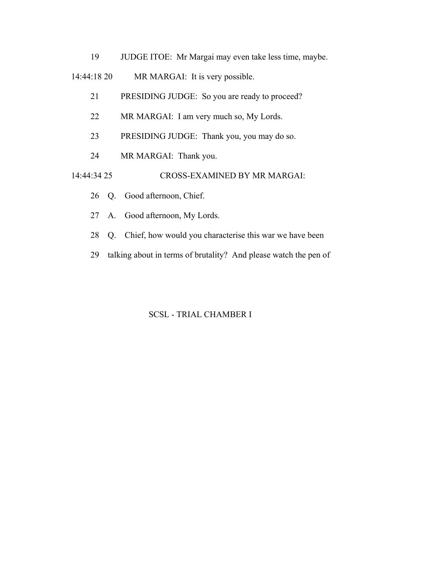19 JUDGE ITOE: Mr Margai may even take less time, maybe.

14:44:18 20 MR MARGAI: It is very possible.

- 21 PRESIDING JUDGE: So you are ready to proceed?
- 22 MR MARGAI: I am very much so, My Lords.
- 23 PRESIDING JUDGE: Thank you, you may do so.
- 24 MR MARGAI: Thank you.

14:44:34 25 CROSS-EXAMINED BY MR MARGAI:

- 26 Q. Good afternoon, Chief.
- 27 A. Good afternoon, My Lords.
- 28 Q. Chief, how would you characterise this war we have been
- 29 talking about in terms of brutality? And please watch the pen of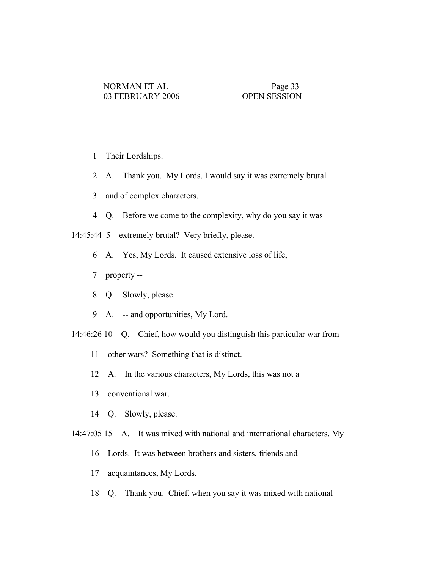- 1 Their Lordships.
- 2 A. Thank you. My Lords, I would say it was extremely brutal
- 3 and of complex characters.
- 4 Q. Before we come to the complexity, why do you say it was

14:45:44 5 extremely brutal? Very briefly, please.

- 6 A. Yes, My Lords. It caused extensive loss of life,
- 7 property --
- 8 Q. Slowly, please.
- 9 A. -- and opportunities, My Lord.
- 14:46:26 10 Q. Chief, how would you distinguish this particular war from
	- 11 other wars? Something that is distinct.
	- 12 A. In the various characters, My Lords, this was not a
	- 13 conventional war.
	- 14 Q. Slowly, please.
- 14:47:05 15 A. It was mixed with national and international characters, My
	- 16 Lords. It was between brothers and sisters, friends and
	- 17 acquaintances, My Lords.
	- 18 Q. Thank you. Chief, when you say it was mixed with national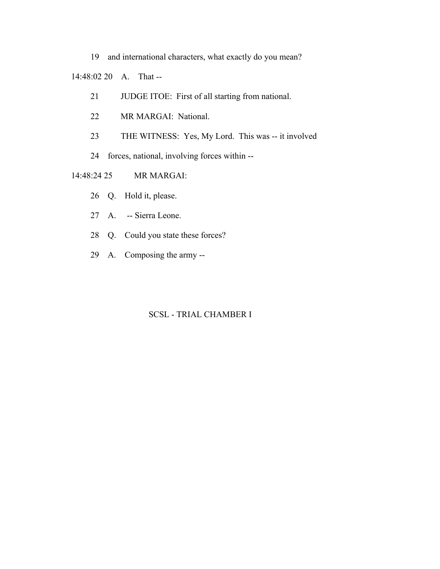19 and international characters, what exactly do you mean?

14:48:02 20 A. That --

- 21 JUDGE ITOE: First of all starting from national.
- 22 MR MARGAI: National.
- 23 THE WITNESS: Yes, My Lord. This was -- it involved
- 24 forces, national, involving forces within --
- 14:48:24 25 MR MARGAI:
	- 26 Q. Hold it, please.
	- 27 A. -- Sierra Leone.
	- 28 Q. Could you state these forces?
	- 29 A. Composing the army --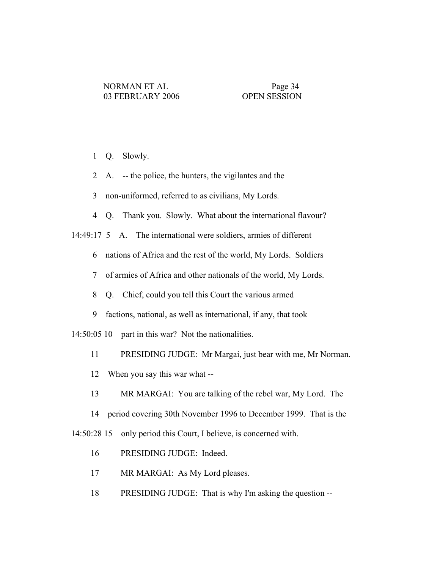1 Q. Slowly.

- 2 A. -- the police, the hunters, the vigilantes and the
- 3 non-uniformed, referred to as civilians, My Lords.
- 4 Q. Thank you. Slowly. What about the international flavour?

14:49:17 5 A. The international were soldiers, armies of different

- 6 nations of Africa and the rest of the world, My Lords. Soldiers
- 7 of armies of Africa and other nationals of the world, My Lords.
- 8 Q. Chief, could you tell this Court the various armed
- 9 factions, national, as well as international, if any, that took

14:50:05 10 part in this war? Not the nationalities.

- 11 PRESIDING JUDGE: Mr Margai, just bear with me, Mr Norman.
- 12 When you say this war what --
- 13 MR MARGAI: You are talking of the rebel war, My Lord. The
- 14 period covering 30th November 1996 to December 1999. That is the

14:50:28 15 only period this Court, I believe, is concerned with.

- 16 PRESIDING JUDGE: Indeed.
- 17 MR MARGAI: As My Lord pleases.
- 18 PRESIDING JUDGE: That is why I'm asking the question --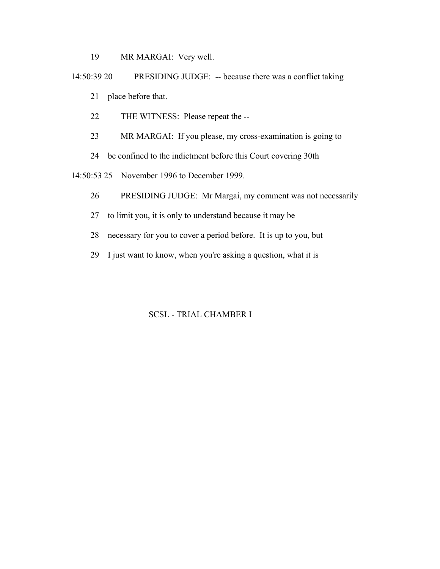19 MR MARGAI: Very well.

 14:50:39 20 PRESIDING JUDGE: -- because there was a conflict taking 21 place before that.

22 THE WITNESS: Please repeat the --

23 MR MARGAI: If you please, my cross-examination is going to

24 be confined to the indictment before this Court covering 30th

14:50:53 25 November 1996 to December 1999.

- 26 PRESIDING JUDGE: Mr Margai, my comment was not necessarily
- 27 to limit you, it is only to understand because it may be
- 28 necessary for you to cover a period before. It is up to you, but
- 29 I just want to know, when you're asking a question, what it is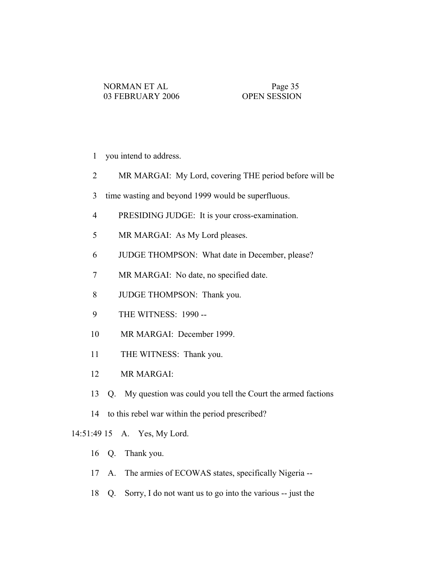- 1 you intend to address.
- 2 MR MARGAI: My Lord, covering THE period before will be
- 3 time wasting and beyond 1999 would be superfluous.
- 4 PRESIDING JUDGE: It is your cross-examination.
- 5 MR MARGAI: As My Lord pleases.
- 6 JUDGE THOMPSON: What date in December, please?
- 7 MR MARGAI: No date, no specified date.
- 8 JUDGE THOMPSON: Thank you.
- 9 THE WITNESS: 1990 --
- 10 MR MARGAI: December 1999.
- 11 THE WITNESS: Thank you.
- 12 MR MARGAI:
- 13 Q. My question was could you tell the Court the armed factions
- 14 to this rebel war within the period prescribed?

## 14:51:49 15 A. Yes, My Lord.

- 16 Q. Thank you.
- 17 A. The armies of ECOWAS states, specifically Nigeria --
- 18 Q. Sorry, I do not want us to go into the various -- just the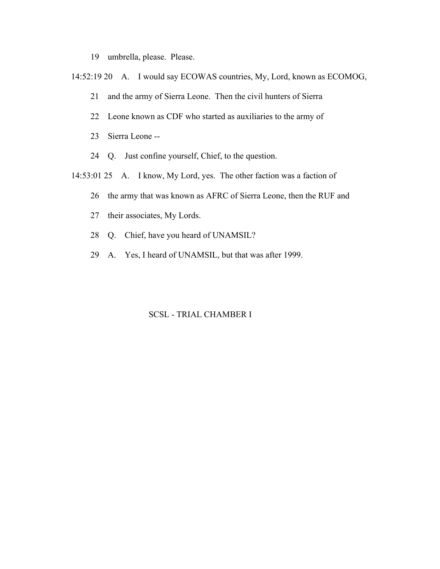- 19 umbrella, please. Please.
- 14:52:19 20 A. I would say ECOWAS countries, My, Lord, known as ECOMOG,
	- 21 and the army of Sierra Leone. Then the civil hunters of Sierra
	- 22 Leone known as CDF who started as auxiliaries to the army of
	- 23 Sierra Leone --
	- 24 Q. Just confine yourself, Chief, to the question.
- 14:53:01 25 A. I know, My Lord, yes. The other faction was a faction of
	- 26 the army that was known as AFRC of Sierra Leone, then the RUF and
	- 27 their associates, My Lords.
	- 28 Q. Chief, have you heard of UNAMSIL?
	- 29 A. Yes, I heard of UNAMSIL, but that was after 1999.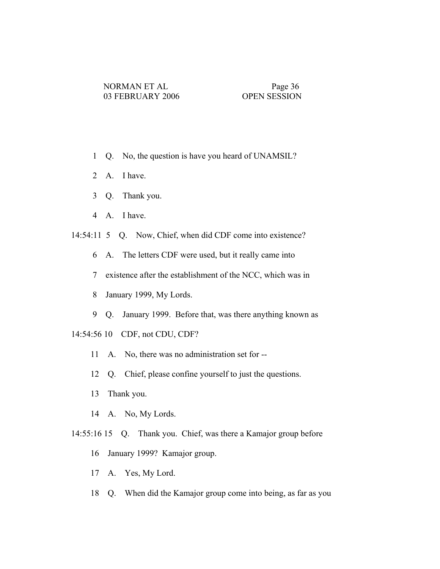- 1 Q. No, the question is have you heard of UNAMSIL?
- 2 A. I have.
- 3 Q. Thank you.
- 4 A. I have.

14:54:11 5 Q. Now, Chief, when did CDF come into existence?

- 6 A. The letters CDF were used, but it really came into
- 7 existence after the establishment of the NCC, which was in
- 8 January 1999, My Lords.
- 9 Q. January 1999. Before that, was there anything known as
- 14:54:56 10 CDF, not CDU, CDF?
	- 11 A. No, there was no administration set for --
	- 12 Q. Chief, please confine yourself to just the questions.
	- 13 Thank you.
	- 14 A. No, My Lords.
- 14:55:16 15 Q. Thank you. Chief, was there a Kamajor group before
	- 16 January 1999? Kamajor group.
	- 17 A. Yes, My Lord.
	- 18 Q. When did the Kamajor group come into being, as far as you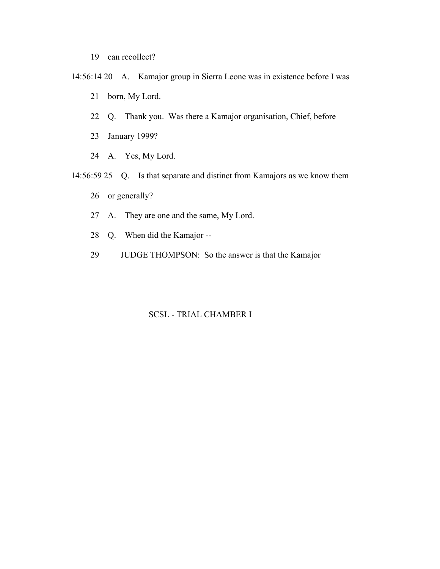- 19 can recollect?
- 14:56:14 20 A. Kamajor group in Sierra Leone was in existence before I was
	- 21 born, My Lord.
	- 22 Q. Thank you. Was there a Kamajor organisation, Chief, before
	- 23 January 1999?
	- 24 A. Yes, My Lord.
- 14:56:59 25 Q. Is that separate and distinct from Kamajors as we know them
	- 26 or generally?
	- 27 A. They are one and the same, My Lord.
	- 28 Q. When did the Kamajor --
	- 29 JUDGE THOMPSON: So the answer is that the Kamajor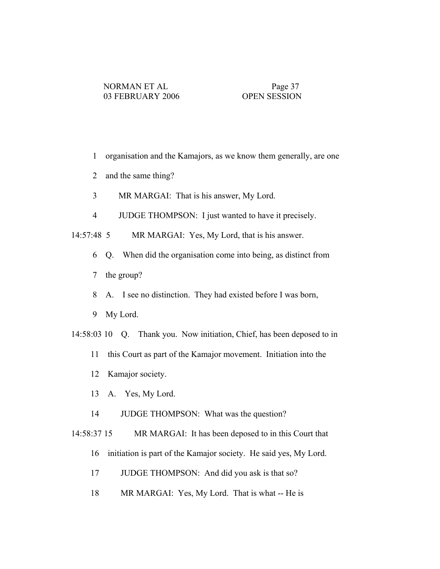- 1 organisation and the Kamajors, as we know them generally, are one
- 2 and the same thing?
- 3 MR MARGAI: That is his answer, My Lord.
- 4 JUDGE THOMPSON: I just wanted to have it precisely.

14:57:48 5 MR MARGAI: Yes, My Lord, that is his answer.

- 6 Q. When did the organisation come into being, as distinct from
- 7 the group?
- 8 A. I see no distinction. They had existed before I was born,
- 9 My Lord.
- 14:58:03 10 Q. Thank you. Now initiation, Chief, has been deposed to in
	- 11 this Court as part of the Kamajor movement. Initiation into the
	- 12 Kamajor society.
	- 13 A. Yes, My Lord.
	- 14 JUDGE THOMPSON: What was the question?

 14:58:37 15 MR MARGAI: It has been deposed to in this Court that 16 initiation is part of the Kamajor society. He said yes, My Lord.

- 17 JUDGE THOMPSON: And did you ask is that so?
- 
- 18 MR MARGAI: Yes, My Lord. That is what -- He is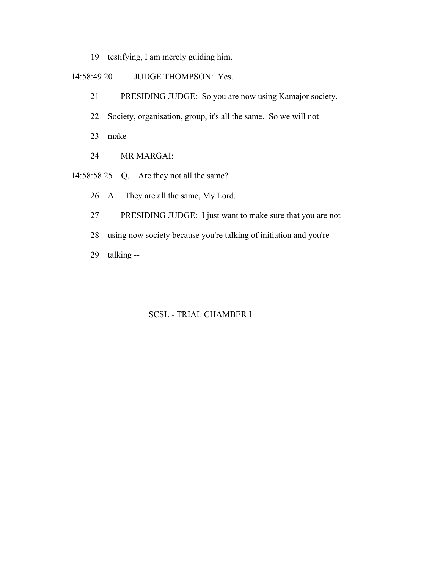- 19 testifying, I am merely guiding him.
- 14:58:49 20 JUDGE THOMPSON: Yes.
	- 21 PRESIDING JUDGE: So you are now using Kamajor society.
	- 22 Society, organisation, group, it's all the same. So we will not
	- 23 make --
	- 24 MR MARGAI:
- 14:58:58 25 Q. Are they not all the same?
	- 26 A. They are all the same, My Lord.
	- 27 PRESIDING JUDGE: I just want to make sure that you are not
	- 28 using now society because you're talking of initiation and you're
	- 29 talking --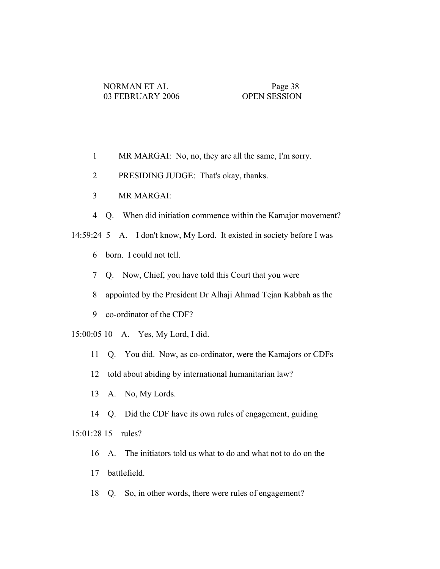- 1 MR MARGAI: No, no, they are all the same, I'm sorry.
- 2 PRESIDING JUDGE: That's okay, thanks.
- 3 MR MARGAI:
- 4 Q. When did initiation commence within the Kamajor movement?
- 14:59:24 5 A. I don't know, My Lord. It existed in society before I was
	- 6 born. I could not tell.
	- 7 Q. Now, Chief, you have told this Court that you were
	- 8 appointed by the President Dr Alhaji Ahmad Tejan Kabbah as the
	- 9 co-ordinator of the CDF?
- 15:00:05 10 A. Yes, My Lord, I did.
	- 11 Q. You did. Now, as co-ordinator, were the Kamajors or CDFs
	- 12 told about abiding by international humanitarian law?
	- 13 A. No, My Lords.
	- 14 Q. Did the CDF have its own rules of engagement, guiding

15:01:28 15 rules?

- 16 A. The initiators told us what to do and what not to do on the
- 17 battlefield.
- 18 Q. So, in other words, there were rules of engagement?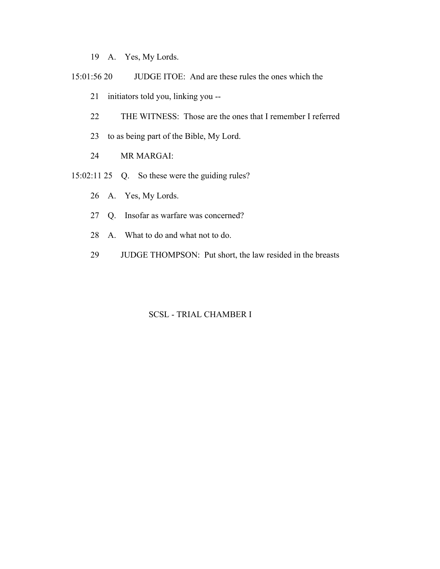19 A. Yes, My Lords.

- 15:01:56 20 JUDGE ITOE: And are these rules the ones which the
	- 21 initiators told you, linking you --
	- 22 THE WITNESS: Those are the ones that I remember I referred
	- 23 to as being part of the Bible, My Lord.
	- 24 MR MARGAI:
- 15:02:11 25 Q. So these were the guiding rules?
	- 26 A. Yes, My Lords.
	- 27 Q. Insofar as warfare was concerned?
	- 28 A. What to do and what not to do.
	- 29 JUDGE THOMPSON: Put short, the law resided in the breasts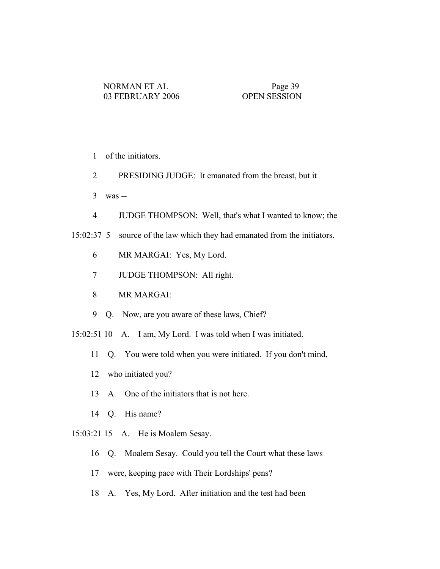- 1 of the initiators.
- 2 PRESIDING JUDGE: It emanated from the breast, but it
- 3 was --
- 4 JUDGE THOMPSON: Well, that's what I wanted to know; the
- 15:02:37 5 source of the law which they had emanated from the initiators.
	- 6 MR MARGAI: Yes, My Lord.
	- 7 JUDGE THOMPSON: All right.
	- 8 MR MARGAI:
	- 9 Q. Now, are you aware of these laws, Chief?
- 15:02:51 10 A. I am, My Lord. I was told when I was initiated.
	- 11 Q. You were told when you were initiated. If you don't mind,
	- 12 who initiated you?
	- 13 A. One of the initiators that is not here.
	- 14 Q. His name?
- 15:03:21 15 A. He is Moalem Sesay.
	- 16 Q. Moalem Sesay. Could you tell the Court what these laws
	- 17 were, keeping pace with Their Lordships' pens?
	- 18 A. Yes, My Lord. After initiation and the test had been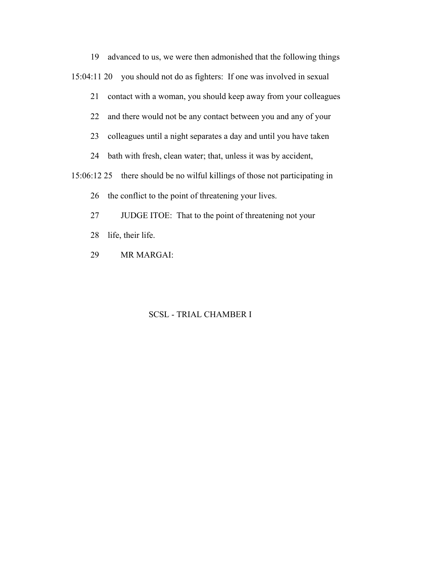19 advanced to us, we were then admonished that the following things 15:04:11 20 you should not do as fighters: If one was involved in sexual

21 contact with a woman, you should keep away from your colleagues

22 and there would not be any contact between you and any of your

23 colleagues until a night separates a day and until you have taken

24 bath with fresh, clean water; that, unless it was by accident,

15:06:12 25 there should be no wilful killings of those not participating in

26 the conflict to the point of threatening your lives.

- 27 JUDGE ITOE: That to the point of threatening not your
- 28 life, their life.
- 29 MR MARGAI: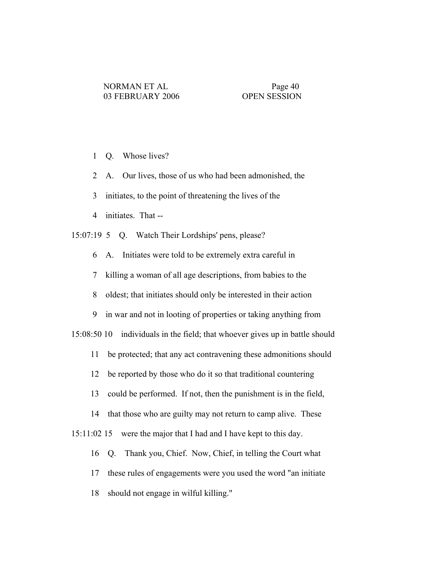- 1 Q. Whose lives?
- 2 A. Our lives, those of us who had been admonished, the
- 3 initiates, to the point of threatening the lives of the
- 4 initiates. That --

15:07:19 5 Q. Watch Their Lordships' pens, please?

6 A. Initiates were told to be extremely extra careful in

7 killing a woman of all age descriptions, from babies to the

8 oldest; that initiates should only be interested in their action

9 in war and not in looting of properties or taking anything from

15:08:50 10 individuals in the field; that whoever gives up in battle should

- 11 be protected; that any act contravening these admonitions should
- 12 be reported by those who do it so that traditional countering

13 could be performed. If not, then the punishment is in the field,

14 that those who are guilty may not return to camp alive. These

15:11:02 15 were the major that I had and I have kept to this day.

16 Q. Thank you, Chief. Now, Chief, in telling the Court what

17 these rules of engagements were you used the word "an initiate

18 should not engage in wilful killing."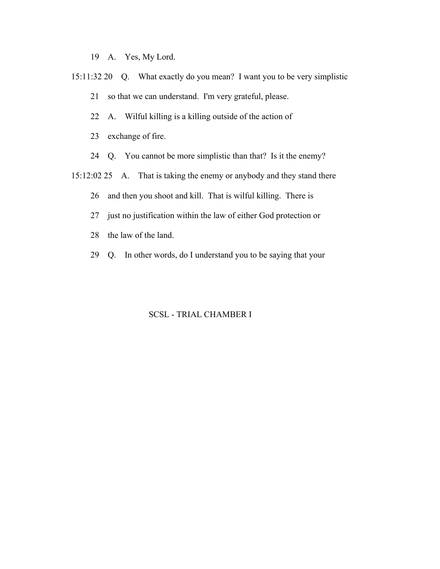19 A. Yes, My Lord.

- 15:11:32 20 Q. What exactly do you mean? I want you to be very simplistic
	- 21 so that we can understand. I'm very grateful, please.
	- 22 A. Wilful killing is a killing outside of the action of
	- 23 exchange of fire.
	- 24 Q. You cannot be more simplistic than that? Is it the enemy?
- 15:12:02 25 A. That is taking the enemy or anybody and they stand there
	- 26 and then you shoot and kill. That is wilful killing. There is
	- 27 just no justification within the law of either God protection or
	- 28 the law of the land.
	- 29 Q. In other words, do I understand you to be saying that your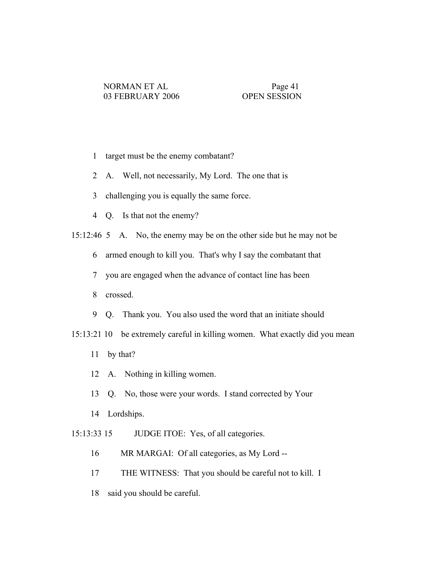- 1 target must be the enemy combatant?
- 2 A. Well, not necessarily, My Lord. The one that is
- 3 challenging you is equally the same force.
- 4 Q. Is that not the enemy?
- 15:12:46 5 A. No, the enemy may be on the other side but he may not be
	- 6 armed enough to kill you. That's why I say the combatant that
	- 7 you are engaged when the advance of contact line has been
	- 8 crossed.
	- 9 Q. Thank you. You also used the word that an initiate should
- 15:13:21 10 be extremely careful in killing women. What exactly did you mean
	- 11 by that?
	- 12 A. Nothing in killing women.
	- 13 Q. No, those were your words. I stand corrected by Your
	- 14 Lordships.
- 15:13:33 15 JUDGE ITOE: Yes, of all categories.
	- 16 MR MARGAI: Of all categories, as My Lord --
	- 17 THE WITNESS: That you should be careful not to kill. I
	- 18 said you should be careful.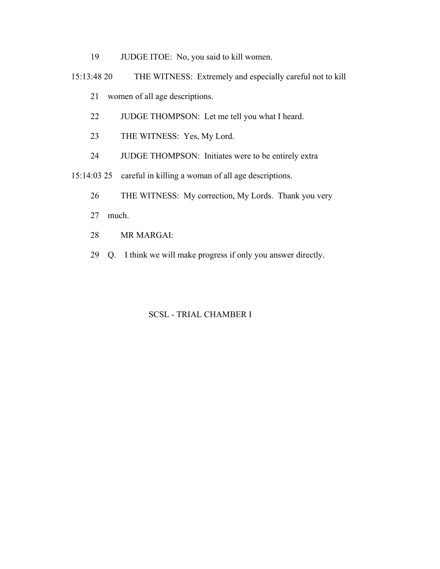- 19 JUDGE ITOE: No, you said to kill women.
- 15:13:48 20 THE WITNESS: Extremely and especially careful not to kill
	- 21 women of all age descriptions.
	- 22 JUDGE THOMPSON: Let me tell you what I heard.
	- 23 THE WITNESS: Yes, My Lord.
	- 24 JUDGE THOMPSON: Initiates were to be entirely extra

15:14:03 25 careful in killing a woman of all age descriptions.

- 26 THE WITNESS: My correction, My Lords. Thank you very
- 27 much.
- 28 MR MARGAI:
- 29 Q. I think we will make progress if only you answer directly.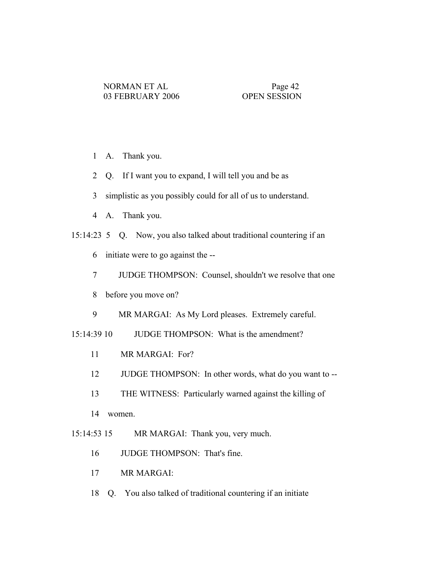- 1 A. Thank you.
- 2 Q. If I want you to expand, I will tell you and be as
- 3 simplistic as you possibly could for all of us to understand.
- 4 A. Thank you.
- 15:14:23 5 Q. Now, you also talked about traditional countering if an
	- 6 initiate were to go against the --
	- 7 JUDGE THOMPSON: Counsel, shouldn't we resolve that one
	- 8 before you move on?
	- 9 MR MARGAI: As My Lord pleases. Extremely careful.
- 15:14:39 10 JUDGE THOMPSON: What is the amendment?
	- 11 MR MARGAI: For?
	- 12 JUDGE THOMPSON: In other words, what do you want to --
	- 13 THE WITNESS: Particularly warned against the killing of
	- 14 women.
- 15:14:53 15 MR MARGAI: Thank you, very much.
	- 16 JUDGE THOMPSON: That's fine.
	- 17 MR MARGAI:
	- 18 Q. You also talked of traditional countering if an initiate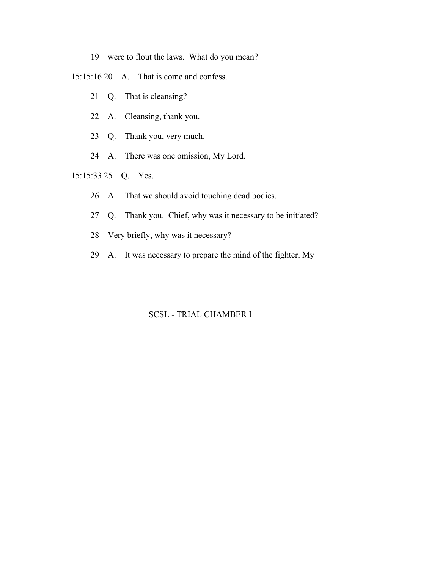- 19 were to flout the laws. What do you mean?
- 15:15:16 20 A. That is come and confess.
	- 21 Q. That is cleansing?
	- 22 A. Cleansing, thank you.
	- 23 Q. Thank you, very much.
	- 24 A. There was one omission, My Lord.
- 15:15:33 25 Q. Yes.
	- 26 A. That we should avoid touching dead bodies.
	- 27 Q. Thank you. Chief, why was it necessary to be initiated?
	- 28 Very briefly, why was it necessary?
	- 29 A. It was necessary to prepare the mind of the fighter, My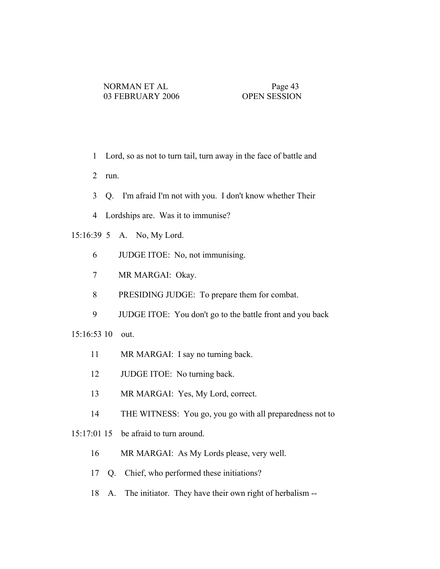- 1 Lord, so as not to turn tail, turn away in the face of battle and
- 2 run.
- 3 Q. I'm afraid I'm not with you. I don't know whether Their
- 4 Lordships are. Was it to immunise?
- 15:16:39 5 A. No, My Lord.
	- 6 JUDGE ITOE: No, not immunising.
	- 7 MR MARGAI: Okay.
	- 8 PRESIDING JUDGE: To prepare them for combat.
	- 9 JUDGE ITOE: You don't go to the battle front and you back

15:16:53 10 out.

- 11 MR MARGAI: I say no turning back.
- 12 JUDGE ITOE: No turning back.
- 13 MR MARGAI: Yes, My Lord, correct.
- 14 THE WITNESS: You go, you go with all preparedness not to
- 15:17:01 15 be afraid to turn around.
	- 16 MR MARGAI: As My Lords please, very well.
	- 17 Q. Chief, who performed these initiations?
	- 18 A. The initiator. They have their own right of herbalism --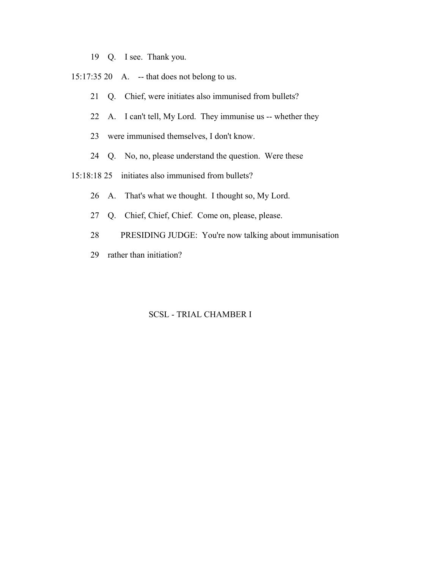- 19 Q. I see. Thank you.
- 15:17:35 20 A. -- that does not belong to us.
	- 21 Q. Chief, were initiates also immunised from bullets?
	- 22 A. I can't tell, My Lord. They immunise us -- whether they
	- 23 were immunised themselves, I don't know.
	- 24 Q. No, no, please understand the question. Were these
- 15:18:18 25 initiates also immunised from bullets?
	- 26 A. That's what we thought. I thought so, My Lord.
	- 27 Q. Chief, Chief, Chief. Come on, please, please.
	- 28 PRESIDING JUDGE: You're now talking about immunisation
	- 29 rather than initiation?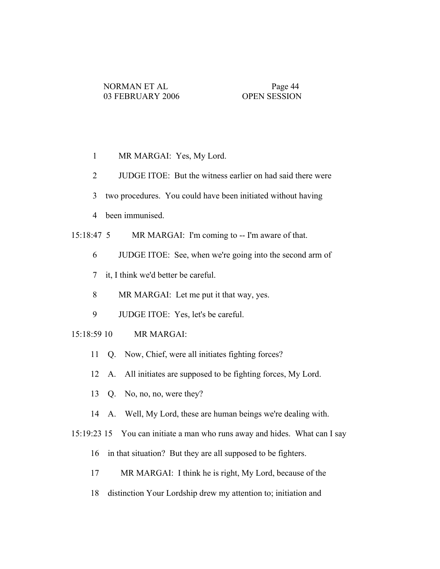- 1 MR MARGAI: Yes, My Lord.
- 2 JUDGE ITOE: But the witness earlier on had said there were
- 3 two procedures. You could have been initiated without having
- 4 been immunised.
- 15:18:47 5 MR MARGAI: I'm coming to -- I'm aware of that.
	- 6 JUDGE ITOE: See, when we're going into the second arm of
	- 7 it, I think we'd better be careful.
	- 8 MR MARGAI: Let me put it that way, yes.
	- 9 JUDGE ITOE: Yes, let's be careful.

## 15:18:59 10 MR MARGAI:

- 11 Q. Now, Chief, were all initiates fighting forces?
- 12 A. All initiates are supposed to be fighting forces, My Lord.
- 13 Q. No, no, no, were they?
- 14 A. Well, My Lord, these are human beings we're dealing with.
- 15:19:23 15 You can initiate a man who runs away and hides. What can I say
	- 16 in that situation? But they are all supposed to be fighters.
	- 17 MR MARGAI: I think he is right, My Lord, because of the
	- 18 distinction Your Lordship drew my attention to; initiation and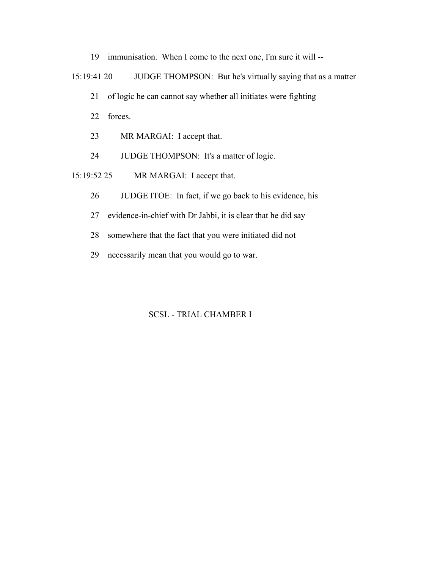- 19 immunisation. When I come to the next one, I'm sure it will --
- 15:19:41 20 JUDGE THOMPSON: But he's virtually saying that as a matter
	- 21 of logic he can cannot say whether all initiates were fighting
	- 22 forces.
	- 23 MR MARGAI: I accept that.
	- 24 JUDGE THOMPSON: It's a matter of logic.
- 15:19:52 25 MR MARGAI: I accept that.
	- 26 JUDGE ITOE: In fact, if we go back to his evidence, his
	- 27 evidence-in-chief with Dr Jabbi, it is clear that he did say
	- 28 somewhere that the fact that you were initiated did not
	- 29 necessarily mean that you would go to war.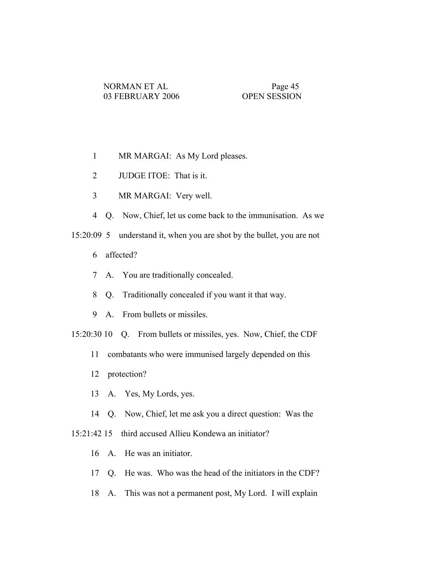- 1 MR MARGAI: As My Lord pleases.
- 2 JUDGE ITOE: That is it.
- 3 MR MARGAI: Very well.
- 4 Q. Now, Chief, let us come back to the immunisation. As we
- 15:20:09 5 understand it, when you are shot by the bullet, you are not
	- 6 affected?
	- 7 A. You are traditionally concealed.
	- 8 Q. Traditionally concealed if you want it that way.
	- 9 A. From bullets or missiles.
- 15:20:30 10 Q. From bullets or missiles, yes. Now, Chief, the CDF
	- 11 combatants who were immunised largely depended on this
	- 12 protection?
	- 13 A. Yes, My Lords, yes.
	- 14 Q. Now, Chief, let me ask you a direct question: Was the
- 15:21:42 15 third accused Allieu Kondewa an initiator?
	- 16 A. He was an initiator.
	- 17 Q. He was. Who was the head of the initiators in the CDF?
	- 18 A. This was not a permanent post, My Lord. I will explain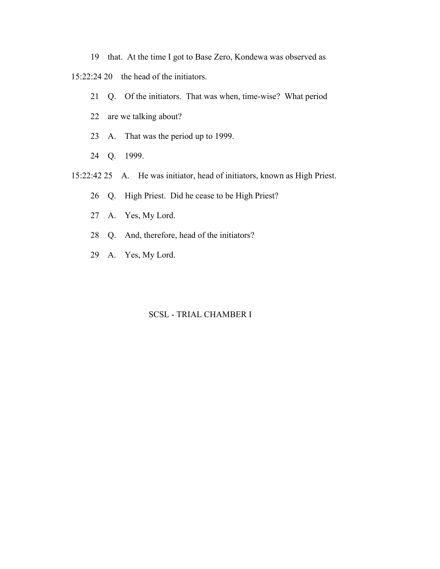19 that. At the time I got to Base Zero, Kondewa was observed as

15:22:24 20 the head of the initiators.

- 21 Q. Of the initiators. That was when, time-wise? What period
- 22 are we talking about?
- 23 A. That was the period up to 1999.
- 24 Q. 1999.
- 15:22:42 25 A. He was initiator, head of initiators, known as High Priest.
	- 26 Q. High Priest. Did he cease to be High Priest?
	- 27 A. Yes, My Lord.
	- 28 Q. And, therefore, head of the initiators?
	- 29 A. Yes, My Lord.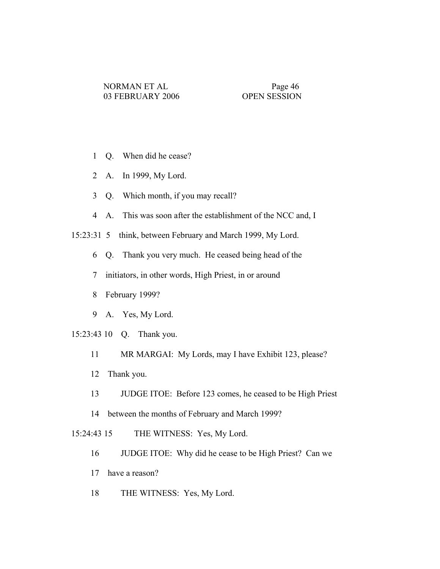- 1 Q. When did he cease?
- 2 A. In 1999, My Lord.
- 3 Q. Which month, if you may recall?
- 4 A. This was soon after the establishment of the NCC and, I

15:23:31 5 think, between February and March 1999, My Lord.

- 6 Q. Thank you very much. He ceased being head of the
- 7 initiators, in other words, High Priest, in or around
- 8 February 1999?
- 9 A. Yes, My Lord.
- 15:23:43 10 Q. Thank you.
	- 11 MR MARGAI: My Lords, may I have Exhibit 123, please?
	- 12 Thank you.
	- 13 JUDGE ITOE: Before 123 comes, he ceased to be High Priest
	- 14 between the months of February and March 1999?

15:24:43 15 THE WITNESS: Yes, My Lord.

- 16 JUDGE ITOE: Why did he cease to be High Priest? Can we
- 17 have a reason?
- 18 THE WITNESS: Yes, My Lord.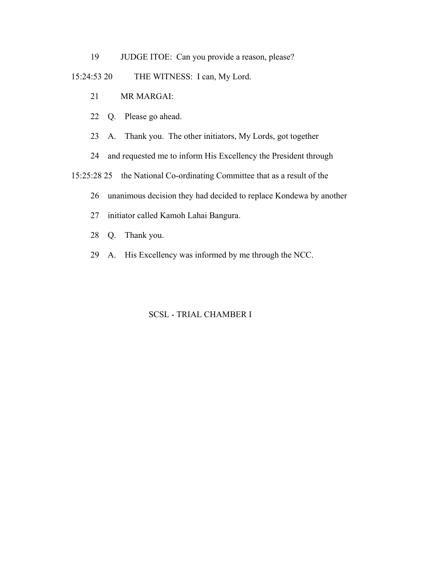19 JUDGE ITOE: Can you provide a reason, please?

## 15:24:53 20 THE WITNESS: I can, My Lord.

- 21 MR MARGAI:
- 22 Q. Please go ahead.
- 23 A. Thank you. The other initiators, My Lords, got together
- 24 and requested me to inform His Excellency the President through

15:25:28 25 the National Co-ordinating Committee that as a result of the

- 26 unanimous decision they had decided to replace Kondewa by another
- 27 initiator called Kamoh Lahai Bangura.
- 28 Q. Thank you.
- 29 A. His Excellency was informed by me through the NCC.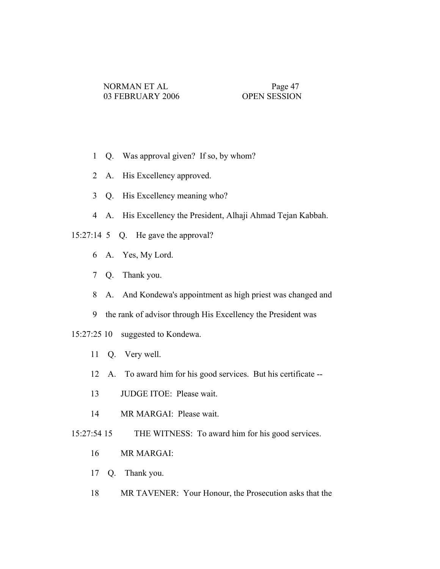- 1 Q. Was approval given? If so, by whom?
- 2 A. His Excellency approved.
- 3 Q. His Excellency meaning who?
- 4 A. His Excellency the President, Alhaji Ahmad Tejan Kabbah.
- 15:27:14 5 Q. He gave the approval?
	- 6 A. Yes, My Lord.
	- 7 Q. Thank you.
	- 8 A. And Kondewa's appointment as high priest was changed and
	- 9 the rank of advisor through His Excellency the President was
- 15:27:25 10 suggested to Kondewa.
	- 11 Q. Very well.
	- 12 A. To award him for his good services. But his certificate --
	- 13 JUDGE ITOE: Please wait.
	- 14 MR MARGAI: Please wait.
- 15:27:54 15 THE WITNESS: To award him for his good services.
	- 16 MR MARGAI:
	- 17 Q. Thank you.
	- 18 MR TAVENER: Your Honour, the Prosecution asks that the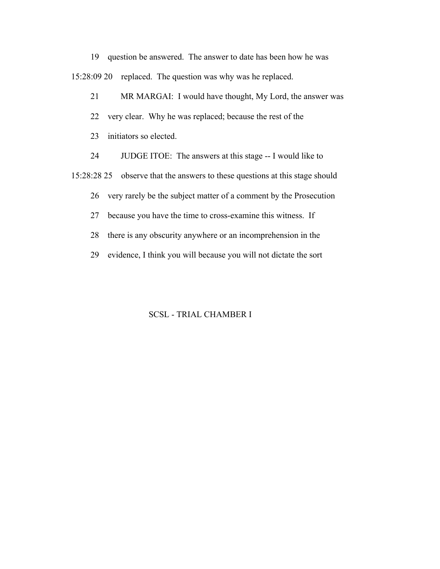19 question be answered. The answer to date has been how he was 15:28:09 20 replaced. The question was why was he replaced.

21 MR MARGAI: I would have thought, My Lord, the answer was

- 22 very clear. Why he was replaced; because the rest of the
- 23 initiators so elected.

24 JUDGE ITOE: The answers at this stage -- I would like to

15:28:28 25 observe that the answers to these questions at this stage should

26 very rarely be the subject matter of a comment by the Prosecution

27 because you have the time to cross-examine this witness. If

28 there is any obscurity anywhere or an incomprehension in the

29 evidence, I think you will because you will not dictate the sort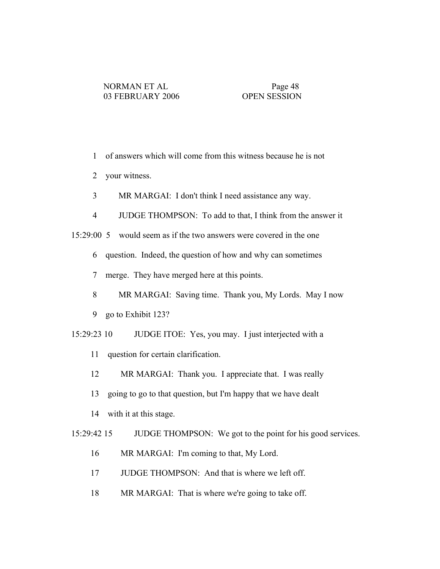- 1 of answers which will come from this witness because he is not
- 2 your witness.
- 3 MR MARGAI: I don't think I need assistance any way.
- 4 JUDGE THOMPSON: To add to that, I think from the answer it
- 15:29:00 5 would seem as if the two answers were covered in the one
	- 6 question. Indeed, the question of how and why can sometimes
	- 7 merge. They have merged here at this points.
	- 8 MR MARGAI: Saving time. Thank you, My Lords. May I now
	- 9 go to Exhibit 123?
- 15:29:23 10 JUDGE ITOE: Yes, you may. I just interjected with a
	- 11 question for certain clarification.
	- 12 MR MARGAI: Thank you. I appreciate that. I was really
	- 13 going to go to that question, but I'm happy that we have dealt
	- 14 with it at this stage.

15:29:42 15 JUDGE THOMPSON: We got to the point for his good services.

- 16 MR MARGAI: I'm coming to that, My Lord.
- 17 JUDGE THOMPSON: And that is where we left off.
- 18 MR MARGAI: That is where we're going to take off.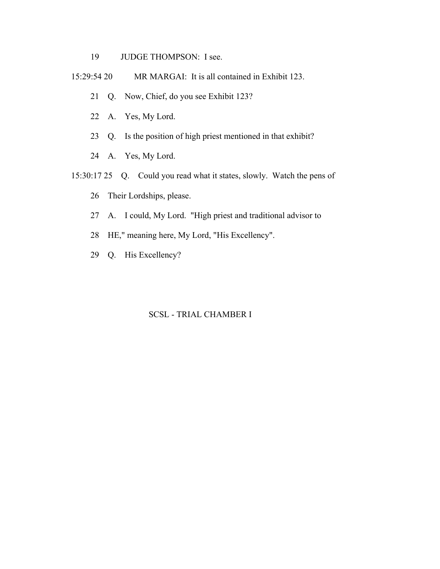- 19 JUDGE THOMPSON: I see.
- 15:29:54 20 MR MARGAI: It is all contained in Exhibit 123.
	- 21 Q. Now, Chief, do you see Exhibit 123?
	- 22 A. Yes, My Lord.
	- 23 Q. Is the position of high priest mentioned in that exhibit?
	- 24 A. Yes, My Lord.
- 15:30:17 25 Q. Could you read what it states, slowly. Watch the pens of
	- 26 Their Lordships, please.
	- 27 A. I could, My Lord. "High priest and traditional advisor to
	- 28 HE," meaning here, My Lord, "His Excellency".
	- 29 Q. His Excellency?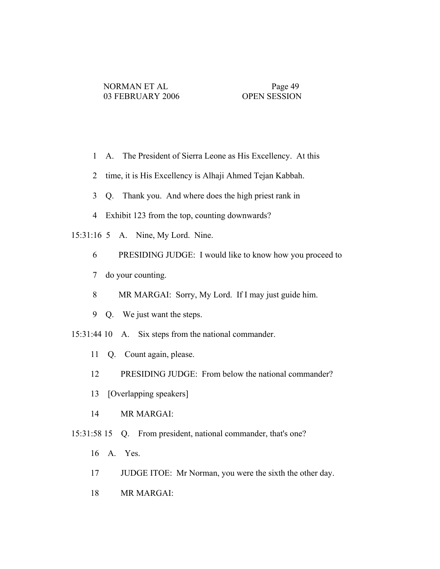- 1 A. The President of Sierra Leone as His Excellency. At this
- 2 time, it is His Excellency is Alhaji Ahmed Tejan Kabbah.
- 3 Q. Thank you. And where does the high priest rank in
- 4 Exhibit 123 from the top, counting downwards?
- 15:31:16 5 A. Nine, My Lord. Nine.
	- 6 PRESIDING JUDGE: I would like to know how you proceed to
	- 7 do your counting.
	- 8 MR MARGAI: Sorry, My Lord. If I may just guide him.
	- 9 Q. We just want the steps.
- 15:31:44 10 A. Six steps from the national commander.
	- 11 Q. Count again, please.
	- 12 PRESIDING JUDGE: From below the national commander?
	- 13 [Overlapping speakers]
	- 14 MR MARGAI:
- 15:31:58 15 Q. From president, national commander, that's one?
	- 16 A. Yes.
	- 17 JUDGE ITOE: Mr Norman, you were the sixth the other day.
	- 18 MR MARGAI: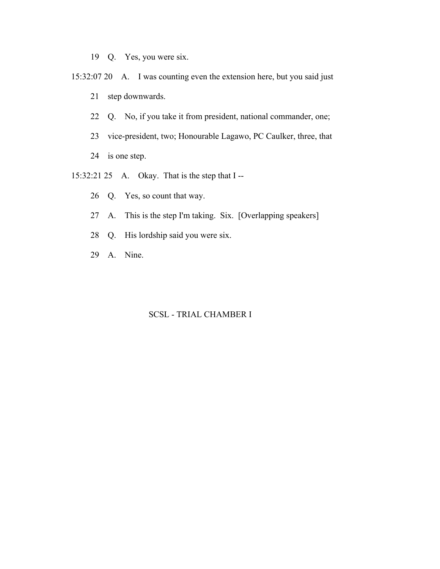- 19 Q. Yes, you were six.
- 15:32:07 20 A. I was counting even the extension here, but you said just 21 step downwards.
	- 22 Q. No, if you take it from president, national commander, one;
	- 23 vice-president, two; Honourable Lagawo, PC Caulker, three, that
	- 24 is one step.
- 15:32:21 25 A. Okay. That is the step that I --
	- 26 Q. Yes, so count that way.
	- 27 A. This is the step I'm taking. Six. [Overlapping speakers]
	- 28 Q. His lordship said you were six.
	- 29 A. Nine.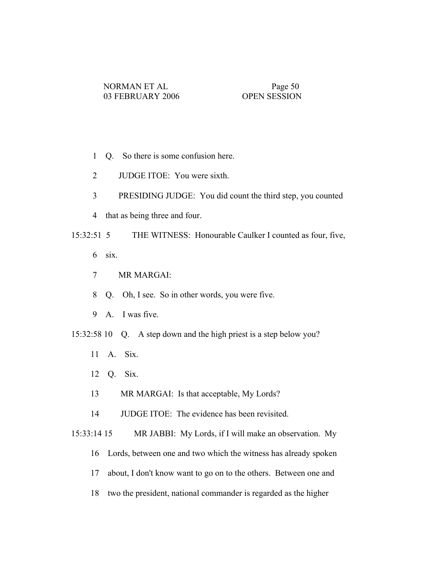- 1 Q. So there is some confusion here.
- 2 JUDGE ITOE: You were sixth.
- 3 PRESIDING JUDGE: You did count the third step, you counted
- 4 that as being three and four.
- 15:32:51 5 THE WITNESS: Honourable Caulker I counted as four, five,
	- 6 six.
	- 7 MR MARGAI:
	- 8 Q. Oh, I see. So in other words, you were five.
	- 9 A. I was five.
- 15:32:58 10 Q. A step down and the high priest is a step below you?
	- 11 A. Six.
	- 12 Q. Six.
	- 13 MR MARGAI: Is that acceptable, My Lords?
	- 14 JUDGE ITOE: The evidence has been revisited.

15:33:14 15 MR JABBI: My Lords, if I will make an observation. My

- 16 Lords, between one and two which the witness has already spoken
- 17 about, I don't know want to go on to the others. Between one and
- 18 two the president, national commander is regarded as the higher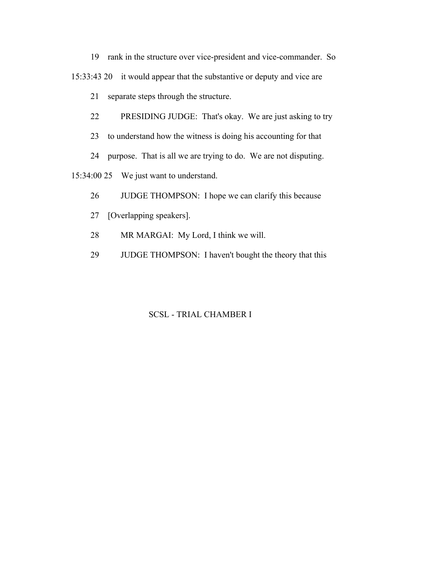19 rank in the structure over vice-president and vice-commander. So

15:33:43 20 it would appear that the substantive or deputy and vice are

21 separate steps through the structure.

- 22 PRESIDING JUDGE: That's okay. We are just asking to try
- 23 to understand how the witness is doing his accounting for that

24 purpose. That is all we are trying to do. We are not disputing.

15:34:00 25 We just want to understand.

- 26 JUDGE THOMPSON: I hope we can clarify this because
- 27 [Overlapping speakers].
- 28 MR MARGAI: My Lord, I think we will.
- 29 JUDGE THOMPSON: I haven't bought the theory that this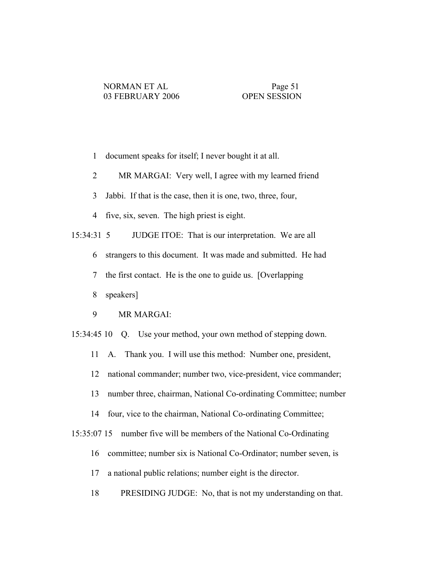- 1 document speaks for itself; I never bought it at all.
- 2 MR MARGAI: Very well, I agree with my learned friend
- 3 Jabbi. If that is the case, then it is one, two, three, four,
- 4 five, six, seven. The high priest is eight.

15:34:31 5 JUDGE ITOE: That is our interpretation. We are all

- 6 strangers to this document. It was made and submitted. He had
- 7 the first contact. He is the one to guide us. [Overlapping
- 8 speakers]
- 9 MR MARGAI:
- 15:34:45 10 Q. Use your method, your own method of stepping down.
	- 11 A. Thank you. I will use this method: Number one, president,
	- 12 national commander; number two, vice-president, vice commander;
	- 13 number three, chairman, National Co-ordinating Committee; number
	- 14 four, vice to the chairman, National Co-ordinating Committee;
- 15:35:07 15 number five will be members of the National Co-Ordinating
	- 16 committee; number six is National Co-Ordinator; number seven, is
	- 17 a national public relations; number eight is the director.
	- 18 PRESIDING JUDGE: No, that is not my understanding on that.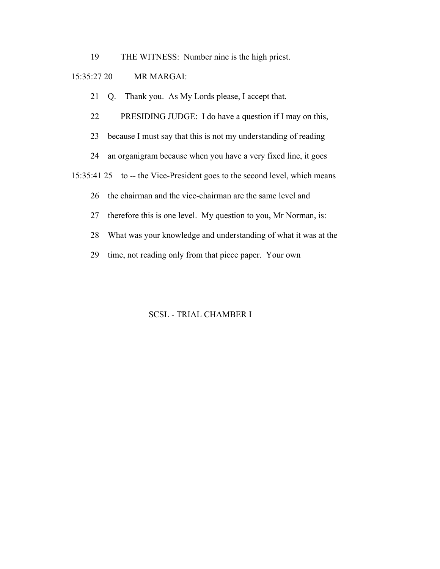19 THE WITNESS: Number nine is the high priest.

## 15:35:27 20 MR MARGAI:

21 Q. Thank you. As My Lords please, I accept that.

22 PRESIDING JUDGE: I do have a question if I may on this,

23 because I must say that this is not my understanding of reading

24 an organigram because when you have a very fixed line, it goes

15:35:41 25 to -- the Vice-President goes to the second level, which means

26 the chairman and the vice-chairman are the same level and

27 therefore this is one level. My question to you, Mr Norman, is:

28 What was your knowledge and understanding of what it was at the

29 time, not reading only from that piece paper. Your own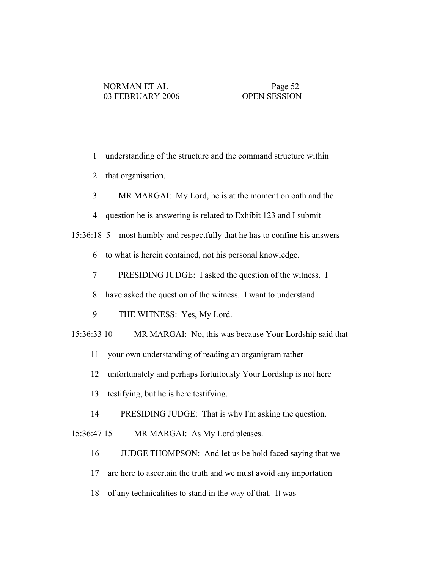- 1 understanding of the structure and the command structure within
- 2 that organisation.
- 3 MR MARGAI: My Lord, he is at the moment on oath and the
- 4 question he is answering is related to Exhibit 123 and I submit
- 15:36:18 5 most humbly and respectfully that he has to confine his answers
	- 6 to what is herein contained, not his personal knowledge.
	- 7 PRESIDING JUDGE: I asked the question of the witness. I
	- 8 have asked the question of the witness. I want to understand.
	- 9 THE WITNESS: Yes, My Lord.
- 15:36:33 10 MR MARGAI: No, this was because Your Lordship said that
	- 11 your own understanding of reading an organigram rather
	- 12 unfortunately and perhaps fortuitously Your Lordship is not here
	- 13 testifying, but he is here testifying.
	- 14 PRESIDING JUDGE: That is why I'm asking the question.

15:36:47 15 MR MARGAI: As My Lord pleases.

- 16 JUDGE THOMPSON: And let us be bold faced saying that we
- 17 are here to ascertain the truth and we must avoid any importation
- 18 of any technicalities to stand in the way of that. It was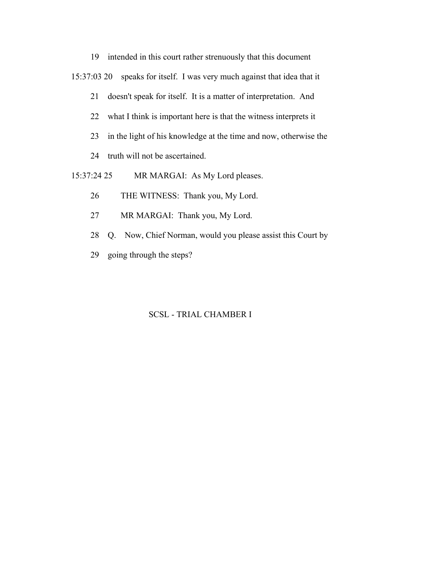19 intended in this court rather strenuously that this document 15:37:03 20 speaks for itself. I was very much against that idea that it 21 doesn't speak for itself. It is a matter of interpretation. And 22 what I think is important here is that the witness interprets it 23 in the light of his knowledge at the time and now, otherwise the 24 truth will not be ascertained. 15:37:24 25 MR MARGAI: As My Lord pleases.

- 26 THE WITNESS: Thank you, My Lord.
- 27 MR MARGAI: Thank you, My Lord.
- 28 Q. Now, Chief Norman, would you please assist this Court by
- 29 going through the steps?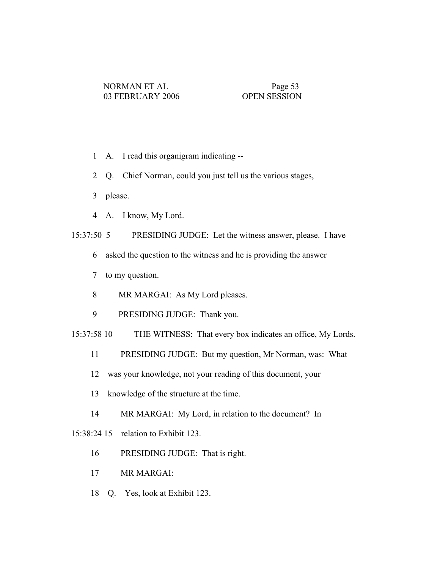- 1 A. I read this organigram indicating --
- 2 Q. Chief Norman, could you just tell us the various stages,
- 3 please.
- 4 A. I know, My Lord.

15:37:50 5 PRESIDING JUDGE: Let the witness answer, please. I have

- 6 asked the question to the witness and he is providing the answer
- 7 to my question.
- 8 MR MARGAI: As My Lord pleases.
- 9 PRESIDING JUDGE: Thank you.
- 15:37:58 10 THE WITNESS: That every box indicates an office, My Lords.
	- 11 PRESIDING JUDGE: But my question, Mr Norman, was: What
	- 12 was your knowledge, not your reading of this document, your
	- 13 knowledge of the structure at the time.
	- 14 MR MARGAI: My Lord, in relation to the document? In

15:38:24 15 relation to Exhibit 123.

- 16 PRESIDING JUDGE: That is right.
- 17 MR MARGAI:
- 18 Q. Yes, look at Exhibit 123.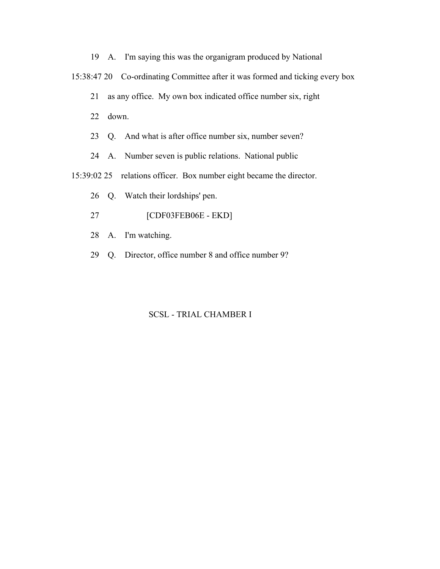19 A. I'm saying this was the organigram produced by National

15:38:47 20 Co-ordinating Committee after it was formed and ticking every box

21 as any office. My own box indicated office number six, right

22 down.

23 Q. And what is after office number six, number seven?

24 A. Number seven is public relations. National public

15:39:02 25 relations officer. Box number eight became the director.

26 Q. Watch their lordships' pen.

- 27 [CDF03FEB06E EKD]
- 28 A. I'm watching.
- 29 Q. Director, office number 8 and office number 9?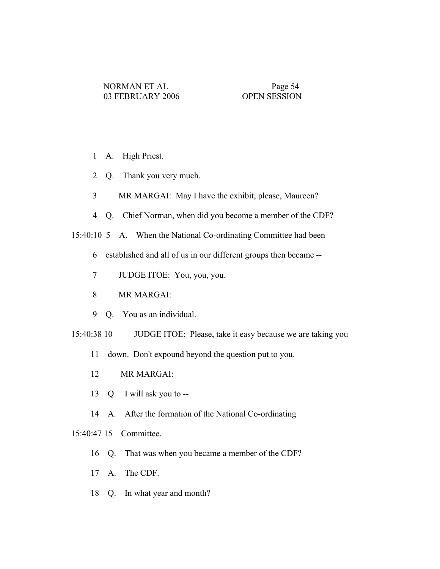- 1 A. High Priest.
- 2 Q. Thank you very much.
- 3 MR MARGAI: May I have the exhibit, please, Maureen?
- 4 Q. Chief Norman, when did you become a member of the CDF?

15:40:10 5 A. When the National Co-ordinating Committee had been

- 6 established and all of us in our different groups then became --
- 7 JUDGE ITOE: You, you, you.
- 8 MR MARGAI:
- 9 Q. You as an individual.
- 15:40:38 10 JUDGE ITOE: Please, take it easy because we are taking you
	- 11 down. Don't expound beyond the question put to you.
	- 12 MR MARGAI:
	- 13 Q. I will ask you to --
	- 14 A. After the formation of the National Co-ordinating

# 15:40:47 15 Committee.

- 16 Q. That was when you became a member of the CDF?
- 17 A. The CDF.
- 18 Q. In what year and month?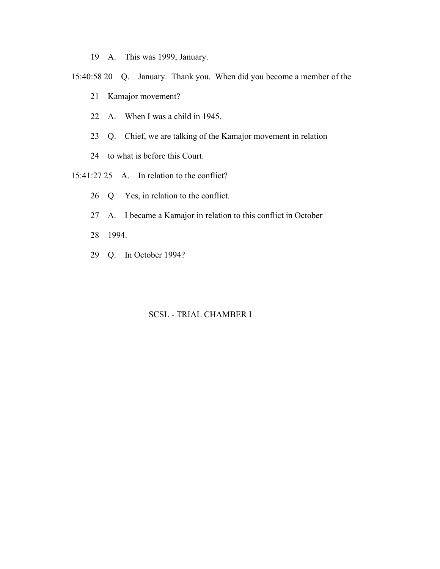- 19 A. This was 1999, January.
- 15:40:58 20 Q. January. Thank you. When did you become a member of the
	- 21 Kamajor movement?
	- 22 A. When I was a child in 1945.
	- 23 Q. Chief, we are talking of the Kamajor movement in relation
	- 24 to what is before this Court.
- 15:41:27 25 A. In relation to the conflict?
	- 26 Q. Yes, in relation to the conflict.
	- 27 A. I became a Kamajor in relation to this conflict in October
	- 28 1994.
	- 29 Q. In October 1994?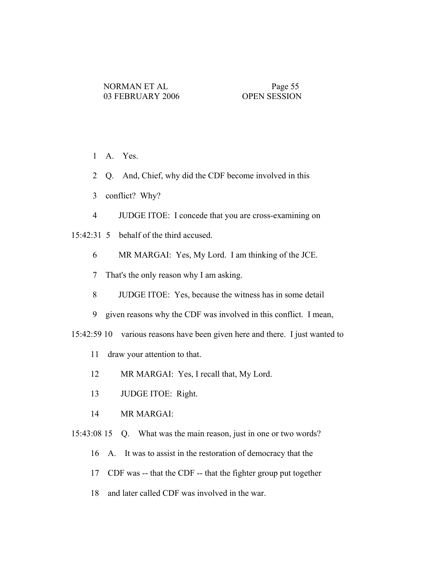- 1 A. Yes.
- 2 Q. And, Chief, why did the CDF become involved in this
- 3 conflict? Why?
- 4 JUDGE ITOE: I concede that you are cross-examining on
- 15:42:31 5 behalf of the third accused.
	- 6 MR MARGAI: Yes, My Lord. I am thinking of the JCE.
	- 7 That's the only reason why I am asking.
	- 8 JUDGE ITOE: Yes, because the witness has in some detail
	- 9 given reasons why the CDF was involved in this conflict. I mean,
- 15:42:59 10 various reasons have been given here and there. I just wanted to
	- 11 draw your attention to that.
	- 12 MR MARGAI: Yes, I recall that, My Lord.
	- 13 JUDGE ITOE: Right.
	- 14 MR MARGAI:
- 15:43:08 15 Q. What was the main reason, just in one or two words?
	- 16 A. It was to assist in the restoration of democracy that the
	- 17 CDF was -- that the CDF -- that the fighter group put together
	- 18 and later called CDF was involved in the war.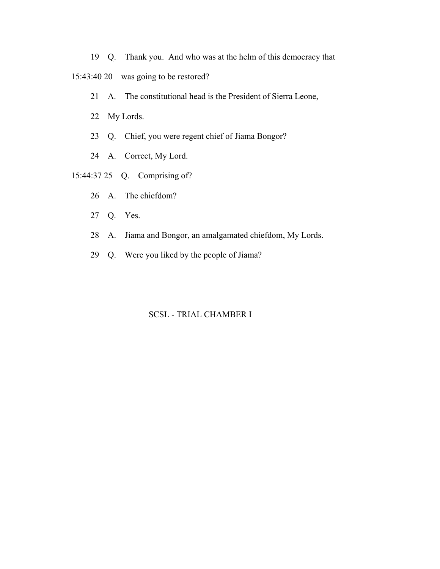19 Q. Thank you. And who was at the helm of this democracy that

15:43:40 20 was going to be restored?

- 21 A. The constitutional head is the President of Sierra Leone,
- 22 My Lords.
- 23 Q. Chief, you were regent chief of Jiama Bongor?
- 24 A. Correct, My Lord.
- 15:44:37 25 Q. Comprising of?
	- 26 A. The chiefdom?
	- 27 Q. Yes.
	- 28 A. Jiama and Bongor, an amalgamated chiefdom, My Lords.
	- 29 Q. Were you liked by the people of Jiama?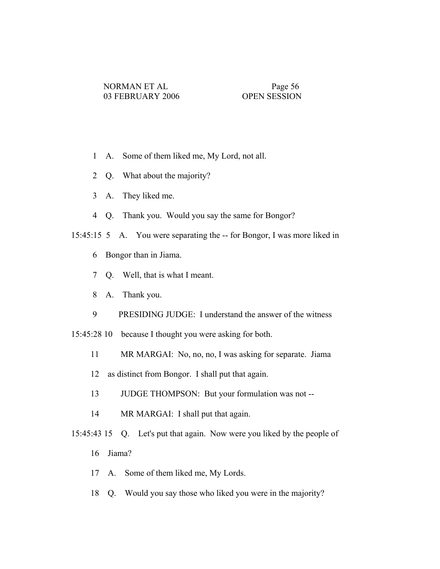- 1 A. Some of them liked me, My Lord, not all.
- 2 Q. What about the majority?
- 3 A. They liked me.
- 4 Q. Thank you. Would you say the same for Bongor?
- 15:45:15 5 A. You were separating the -- for Bongor, I was more liked in
	- 6 Bongor than in Jiama.
	- 7 Q. Well, that is what I meant.
	- 8 A. Thank you.
	- 9 PRESIDING JUDGE: I understand the answer of the witness
- 15:45:28 10 because I thought you were asking for both.
	- 11 MR MARGAI: No, no, no, I was asking for separate. Jiama
	- 12 as distinct from Bongor. I shall put that again.
	- 13 JUDGE THOMPSON: But your formulation was not --
	- 14 MR MARGAI: I shall put that again.
- 15:45:43 15 Q. Let's put that again. Now were you liked by the people of
	- 16 Jiama?
	- 17 A. Some of them liked me, My Lords.
	- 18 Q. Would you say those who liked you were in the majority?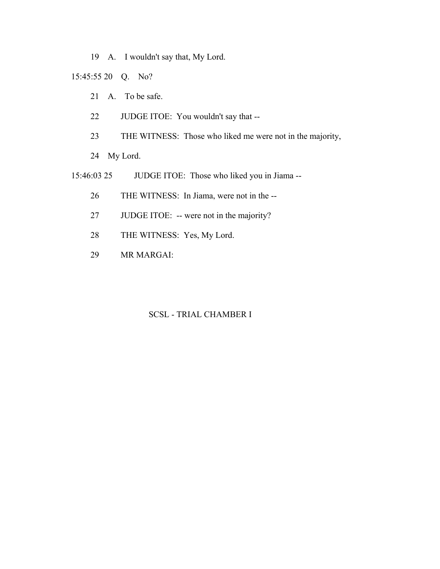19 A. I wouldn't say that, My Lord.

15:45:55 20 Q. No?

- 21 A. To be safe.
- 22 JUDGE ITOE: You wouldn't say that --
- 23 THE WITNESS: Those who liked me were not in the majority,

24 My Lord.

- 15:46:03 25 JUDGE ITOE: Those who liked you in Jiama --
	- 26 THE WITNESS: In Jiama, were not in the --
	- 27 JUDGE ITOE: -- were not in the majority?
	- 28 THE WITNESS: Yes, My Lord.
	- 29 MR MARGAI: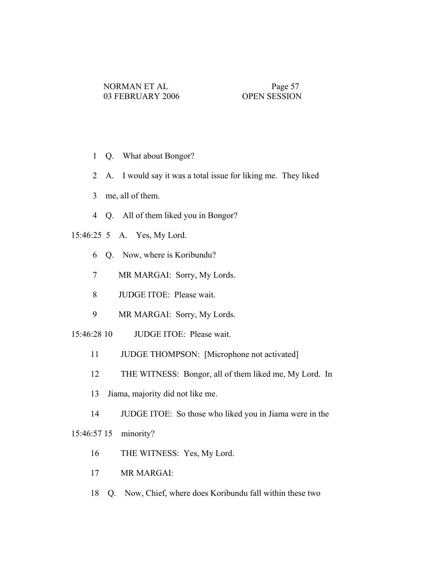- 1 Q. What about Bongor?
- 2 A. I would say it was a total issue for liking me. They liked
- 3 me, all of them.
- 4 Q. All of them liked you in Bongor?
- 15:46:25 5 A. Yes, My Lord.
	- 6 Q. Now, where is Koribundu?
	- 7 MR MARGAI: Sorry, My Lords.
	- 8 JUDGE ITOE: Please wait.
	- 9 MR MARGAI: Sorry, My Lords.
- 15:46:28 10 JUDGE ITOE: Please wait.
	- 11 JUDGE THOMPSON: [Microphone not activated]
	- 12 THE WITNESS: Bongor, all of them liked me, My Lord. In
	- 13 Jiama, majority did not like me.
	- 14 JUDGE ITOE: So those who liked you in Jiama were in the

15:46:57 15 minority?

- 16 THE WITNESS: Yes, My Lord.
- 17 MR MARGAI:
- 18 Q. Now, Chief, where does Koribundu fall within these two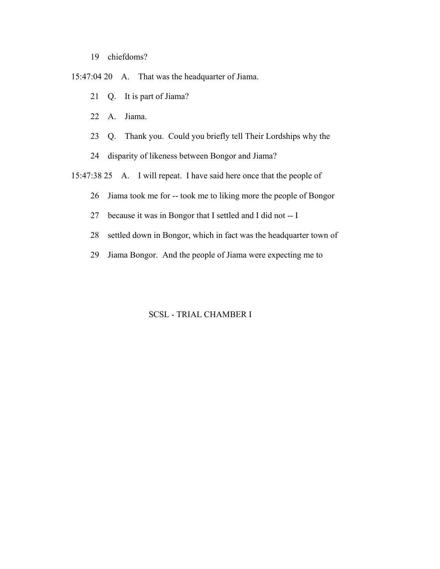- 19 chiefdoms?
- 15:47:04 20 A. That was the headquarter of Jiama.
	- 21 Q. It is part of Jiama?
	- 22 A. Jiama.
	- 23 Q. Thank you. Could you briefly tell Their Lordships why the
	- 24 disparity of likeness between Bongor and Jiama?
- 15:47:38 25 A. I will repeat. I have said here once that the people of
	- 26 Jiama took me for -- took me to liking more the people of Bongor
	- 27 because it was in Bongor that I settled and I did not -- I
	- 28 settled down in Bongor, which in fact was the headquarter town of
	- 29 Jiama Bongor. And the people of Jiama were expecting me to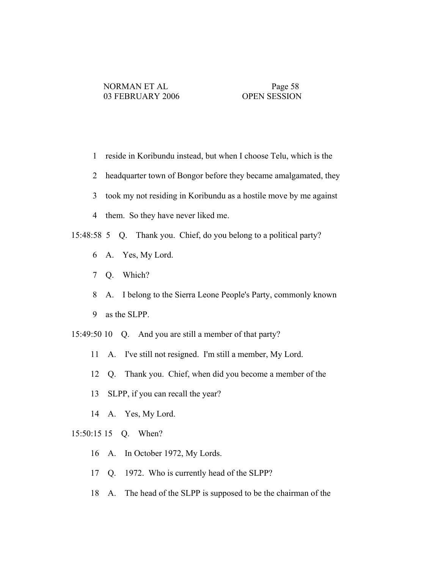- 1 reside in Koribundu instead, but when I choose Telu, which is the
- 2 headquarter town of Bongor before they became amalgamated, they
- 3 took my not residing in Koribundu as a hostile move by me against
- 4 them. So they have never liked me.
- 15:48:58 5 Q. Thank you. Chief, do you belong to a political party?
	- 6 A. Yes, My Lord.
	- 7 Q. Which?
	- 8 A. I belong to the Sierra Leone People's Party, commonly known
	- 9 as the SLPP.
- 15:49:50 10 Q. And you are still a member of that party?
	- 11 A. I've still not resigned. I'm still a member, My Lord.
	- 12 Q. Thank you. Chief, when did you become a member of the
	- 13 SLPP, if you can recall the year?
	- 14 A. Yes, My Lord.

### 15:50:15 15 Q. When?

- 16 A. In October 1972, My Lords.
- 17 Q. 1972. Who is currently head of the SLPP?
- 18 A. The head of the SLPP is supposed to be the chairman of the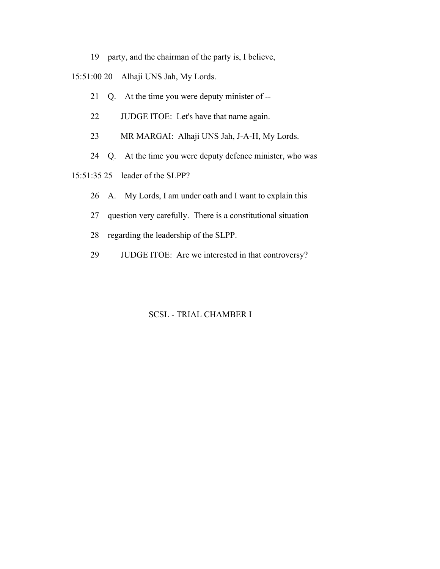- 19 party, and the chairman of the party is, I believe,
- 15:51:00 20 Alhaji UNS Jah, My Lords.
	- 21 Q. At the time you were deputy minister of --
	- 22 JUDGE ITOE: Let's have that name again.
	- 23 MR MARGAI: Alhaji UNS Jah, J-A-H, My Lords.
	- 24 Q. At the time you were deputy defence minister, who was
- 15:51:35 25 leader of the SLPP?
	- 26 A. My Lords, I am under oath and I want to explain this
	- 27 question very carefully. There is a constitutional situation
	- 28 regarding the leadership of the SLPP.
	- 29 JUDGE ITOE: Are we interested in that controversy?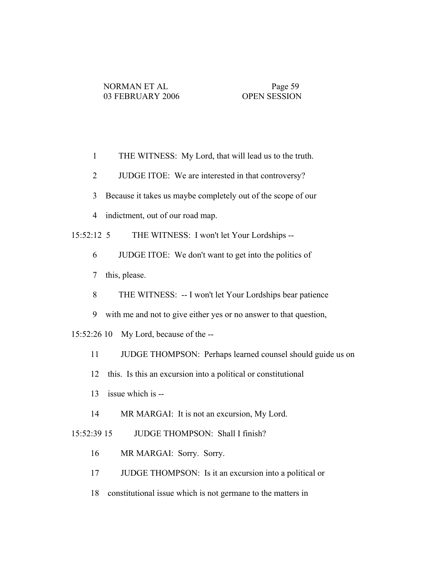- 1 THE WITNESS: My Lord, that will lead us to the truth.
- 2 JUDGE ITOE: We are interested in that controversy?
- 3 Because it takes us maybe completely out of the scope of our
- 4 indictment, out of our road map.

15:52:12 5 THE WITNESS: I won't let Your Lordships --

- 6 JUDGE ITOE: We don't want to get into the politics of
- 7 this, please.
- 8 THE WITNESS: -- I won't let Your Lordships bear patience
- 9 with me and not to give either yes or no answer to that question,
- 15:52:26 10 My Lord, because of the --
	- 11 JUDGE THOMPSON: Perhaps learned counsel should guide us on
	- 12 this. Is this an excursion into a political or constitutional
	- 13 issue which is --
	- 14 MR MARGAI: It is not an excursion, My Lord.

15:52:39 15 JUDGE THOMPSON: Shall I finish?

- 16 MR MARGAI: Sorry. Sorry.
- 17 JUDGE THOMPSON: Is it an excursion into a political or
- 18 constitutional issue which is not germane to the matters in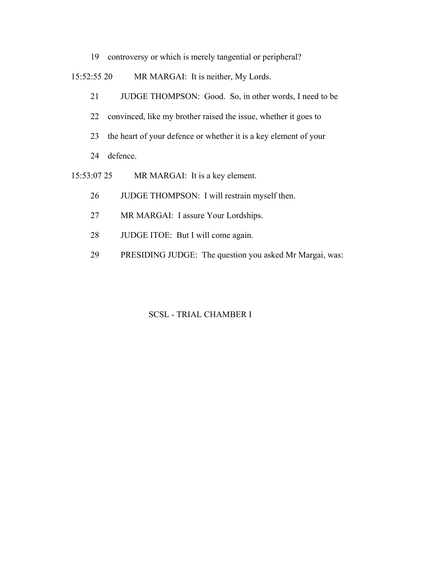19 controversy or which is merely tangential or peripheral?

15:52:55 20 MR MARGAI: It is neither, My Lords.

- 21 JUDGE THOMPSON: Good. So, in other words, I need to be
- 22 convinced, like my brother raised the issue, whether it goes to
- 23 the heart of your defence or whether it is a key element of your
- 24 defence.
- 15:53:07 25 MR MARGAI: It is a key element.
	- 26 JUDGE THOMPSON: I will restrain myself then.
	- 27 MR MARGAI: I assure Your Lordships.
	- 28 JUDGE ITOE: But I will come again.
	- 29 PRESIDING JUDGE: The question you asked Mr Margai, was: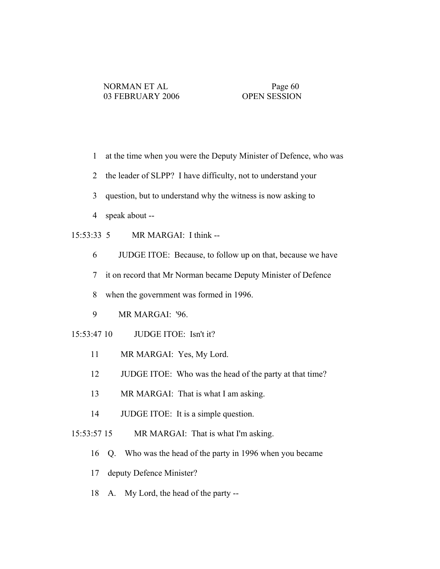- 1 at the time when you were the Deputy Minister of Defence, who was
- 2 the leader of SLPP? I have difficulty, not to understand your
- 3 question, but to understand why the witness is now asking to
- 4 speak about --
- 15:53:33 5 MR MARGAI: I think --
	- 6 JUDGE ITOE: Because, to follow up on that, because we have
	- 7 it on record that Mr Norman became Deputy Minister of Defence
	- 8 when the government was formed in 1996.
	- 9 MR MARGAI: '96.
- 15:53:47 10 JUDGE ITOE: Isn't it?
	- 11 MR MARGAI: Yes, My Lord.
	- 12 JUDGE ITOE: Who was the head of the party at that time?
	- 13 MR MARGAI: That is what I am asking.
	- 14 JUDGE ITOE: It is a simple question.
- 15:53:57 15 MR MARGAI: That is what I'm asking.
	- 16 Q. Who was the head of the party in 1996 when you became
	- 17 deputy Defence Minister?
	- 18 A. My Lord, the head of the party --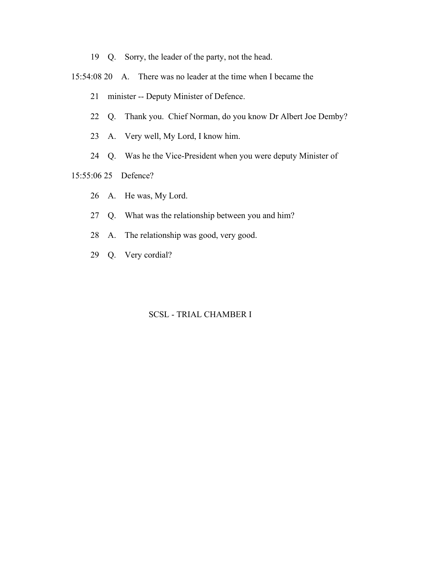- 19 Q. Sorry, the leader of the party, not the head.
- 15:54:08 20 A. There was no leader at the time when I became the
	- 21 minister -- Deputy Minister of Defence.
	- 22 Q. Thank you. Chief Norman, do you know Dr Albert Joe Demby?
	- 23 A. Very well, My Lord, I know him.
	- 24 Q. Was he the Vice-President when you were deputy Minister of

## 15:55:06 25 Defence?

- 26 A. He was, My Lord.
- 27 Q. What was the relationship between you and him?
- 28 A. The relationship was good, very good.
- 29 Q. Very cordial?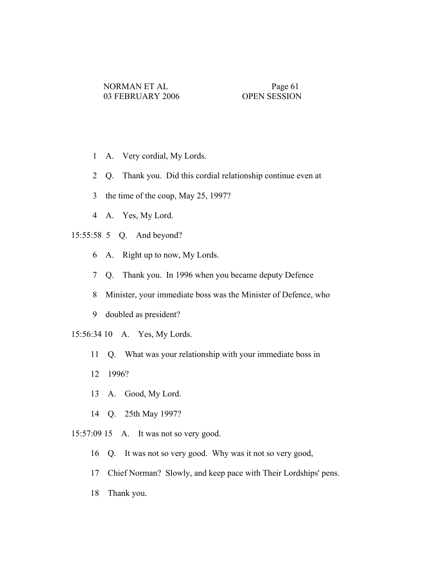- 1 A. Very cordial, My Lords.
- 2 Q. Thank you. Did this cordial relationship continue even at
- 3 the time of the coup, May 25, 1997?
- 4 A. Yes, My Lord.
- 15:55:58 5 Q. And beyond?
	- 6 A. Right up to now, My Lords.
	- 7 Q. Thank you. In 1996 when you became deputy Defence
	- 8 Minister, your immediate boss was the Minister of Defence, who
	- 9 doubled as president?
- 15:56:34 10 A. Yes, My Lords.
	- 11 Q. What was your relationship with your immediate boss in
	- 12 1996?
	- 13 A. Good, My Lord.
	- 14 Q. 25th May 1997?
- 15:57:09 15 A. It was not so very good.
	- 16 Q. It was not so very good. Why was it not so very good,
	- 17 Chief Norman? Slowly, and keep pace with Their Lordships' pens.
	- 18 Thank you.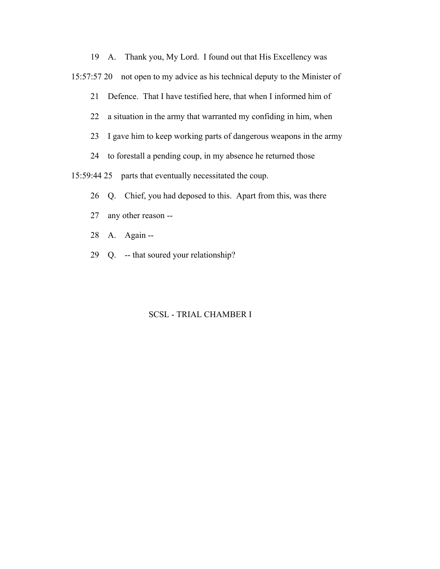19 A. Thank you, My Lord. I found out that His Excellency was

15:57:57 20 not open to my advice as his technical deputy to the Minister of

21 Defence. That I have testified here, that when I informed him of

22 a situation in the army that warranted my confiding in him, when

23 I gave him to keep working parts of dangerous weapons in the army

24 to forestall a pending coup, in my absence he returned those

15:59:44 25 parts that eventually necessitated the coup.

- 26 Q. Chief, you had deposed to this. Apart from this, was there
- 27 any other reason --
- 28 A. Again --
- 29 Q. -- that soured your relationship?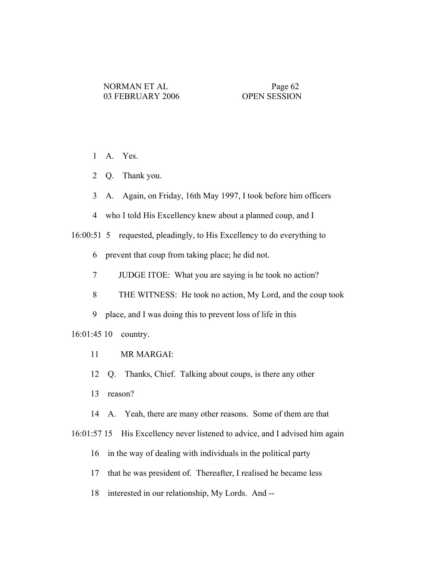1 A. Yes.

2 Q. Thank you.

3 A. Again, on Friday, 16th May 1997, I took before him officers

4 who I told His Excellency knew about a planned coup, and I

16:00:51 5 requested, pleadingly, to His Excellency to do everything to

6 prevent that coup from taking place; he did not.

7 JUDGE ITOE: What you are saying is he took no action?

8 THE WITNESS: He took no action, My Lord, and the coup took

9 place, and I was doing this to prevent loss of life in this

16:01:45 10 country.

11 MR MARGAI:

12 Q. Thanks, Chief. Talking about coups, is there any other

13 reason?

14 A. Yeah, there are many other reasons. Some of them are that

16:01:57 15 His Excellency never listened to advice, and I advised him again

16 in the way of dealing with individuals in the political party

17 that he was president of. Thereafter, I realised he became less

18 interested in our relationship, My Lords. And --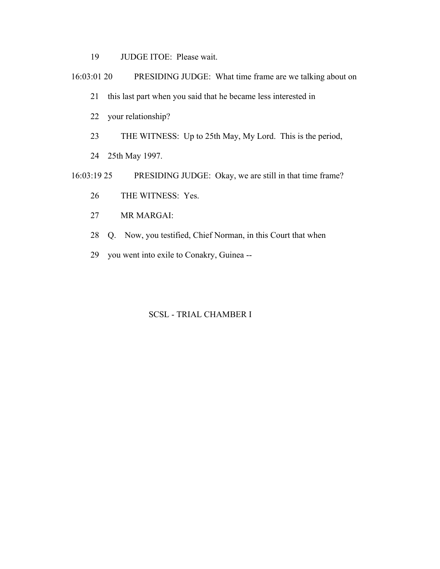- 19 JUDGE ITOE: Please wait.
- 16:03:01 20 PRESIDING JUDGE: What time frame are we talking about on
	- 21 this last part when you said that he became less interested in
	- 22 your relationship?
	- 23 THE WITNESS: Up to 25th May, My Lord. This is the period,
	- 24 25th May 1997.
- 16:03:19 25 PRESIDING JUDGE: Okay, we are still in that time frame?
	- 26 THE WITNESS: Yes.
	- 27 MR MARGAI:
	- 28 Q. Now, you testified, Chief Norman, in this Court that when
	- 29 you went into exile to Conakry, Guinea --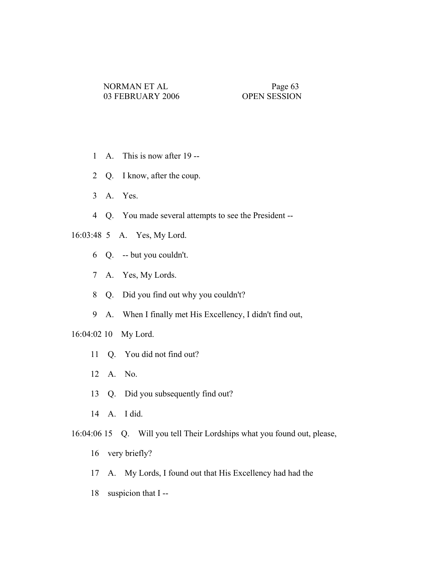- 1 A. This is now after 19 --
- 2 Q. I know, after the coup.
- 3 A. Yes.
- 4 Q. You made several attempts to see the President --
- 16:03:48 5 A. Yes, My Lord.
	- 6 Q. -- but you couldn't.
	- 7 A. Yes, My Lords.
	- 8 Q. Did you find out why you couldn't?
	- 9 A. When I finally met His Excellency, I didn't find out,

## 16:04:02 10 My Lord.

- 11 Q. You did not find out?
- 12 A. No.
- 13 Q. Did you subsequently find out?
- 14 A. I did.
- 16:04:06 15 Q. Will you tell Their Lordships what you found out, please,
	- 16 very briefly?
	- 17 A. My Lords, I found out that His Excellency had had the
	- 18 suspicion that I--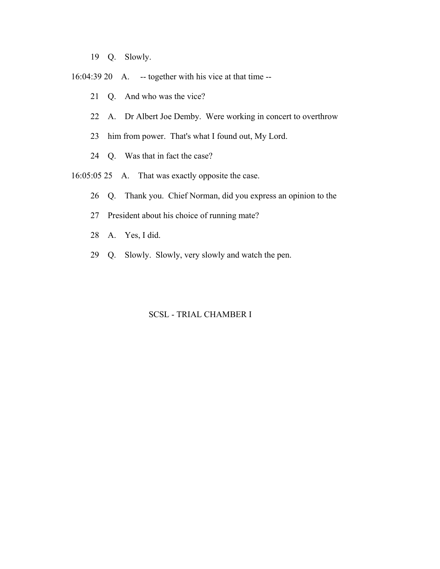- 19 Q. Slowly.
- 16:04:39 20 A. -- together with his vice at that time --
	- 21 Q. And who was the vice?
	- 22 A. Dr Albert Joe Demby. Were working in concert to overthrow
	- 23 him from power. That's what I found out, My Lord.
	- 24 Q. Was that in fact the case?
- 16:05:05 25 A. That was exactly opposite the case.
	- 26 Q. Thank you. Chief Norman, did you express an opinion to the
	- 27 President about his choice of running mate?
	- 28 A. Yes, I did.
	- 29 Q. Slowly. Slowly, very slowly and watch the pen.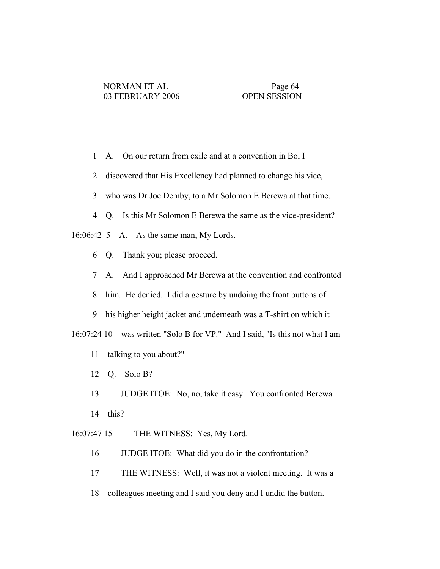- 1 A. On our return from exile and at a convention in Bo, I
- 2 discovered that His Excellency had planned to change his vice,
- 3 who was Dr Joe Demby, to a Mr Solomon E Berewa at that time.
- 4 Q. Is this Mr Solomon E Berewa the same as the vice-president?
- 16:06:42 5 A. As the same man, My Lords.
	- 6 Q. Thank you; please proceed.
	- 7 A. And I approached Mr Berewa at the convention and confronted
	- 8 him. He denied. I did a gesture by undoing the front buttons of
	- 9 his higher height jacket and underneath was a T-shirt on which it
- 16:07:24 10 was written "Solo B for VP." And I said, "Is this not what I am
	- 11 talking to you about?"
	- 12 Q. Solo B?
	- 13 JUDGE ITOE: No, no, take it easy. You confronted Berewa
	- 14 this?
- 16:07:47 15 THE WITNESS: Yes, My Lord.
	- 16 JUDGE ITOE: What did you do in the confrontation?
	- 17 THE WITNESS: Well, it was not a violent meeting. It was a
	- 18 colleagues meeting and I said you deny and I undid the button.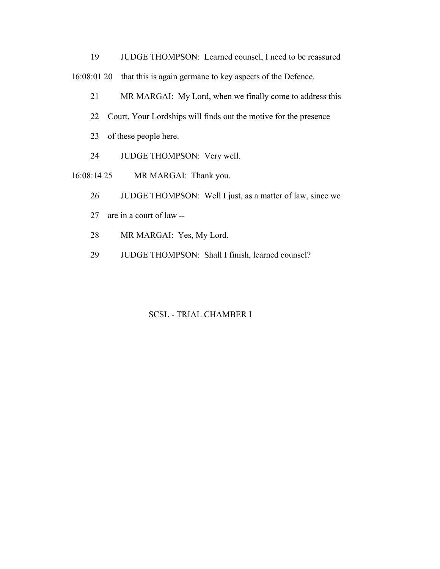19 JUDGE THOMPSON: Learned counsel, I need to be reassured 16:08:01 20 that this is again germane to key aspects of the Defence.

- 21 MR MARGAI: My Lord, when we finally come to address this
- 22 Court, Your Lordships will finds out the motive for the presence
- 23 of these people here.
- 24 JUDGE THOMPSON: Very well.
- 16:08:14 25 MR MARGAI: Thank you.
	- 26 JUDGE THOMPSON: Well I just, as a matter of law, since we
	- 27 are in a court of law --
	- 28 MR MARGAI: Yes, My Lord.
	- 29 JUDGE THOMPSON: Shall I finish, learned counsel?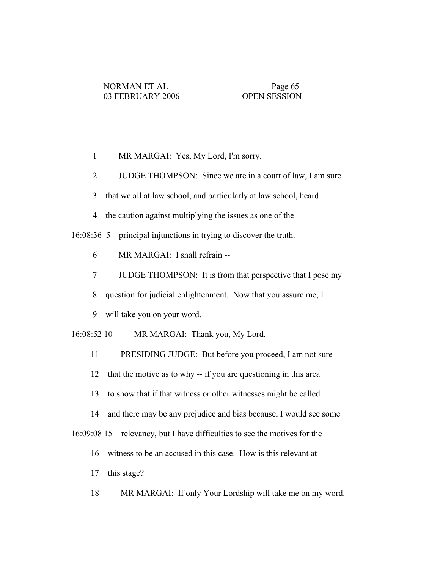- 1 MR MARGAI: Yes, My Lord, I'm sorry.
- 2 JUDGE THOMPSON: Since we are in a court of law, I am sure
- 3 that we all at law school, and particularly at law school, heard
- 4 the caution against multiplying the issues as one of the

16:08:36 5 principal injunctions in trying to discover the truth.

- 6 MR MARGAI: I shall refrain --
- 7 JUDGE THOMPSON: It is from that perspective that I pose my
- 8 question for judicial enlightenment. Now that you assure me, I
- 9 will take you on your word.
- 16:08:52 10 MR MARGAI: Thank you, My Lord.
	- 11 PRESIDING JUDGE: But before you proceed, I am not sure
	- 12 that the motive as to why -- if you are questioning in this area
	- 13 to show that if that witness or other witnesses might be called
	- 14 and there may be any prejudice and bias because, I would see some

16:09:08 15 relevancy, but I have difficulties to see the motives for the

- 16 witness to be an accused in this case. How is this relevant at
- 17 this stage?
- 18 MR MARGAI: If only Your Lordship will take me on my word.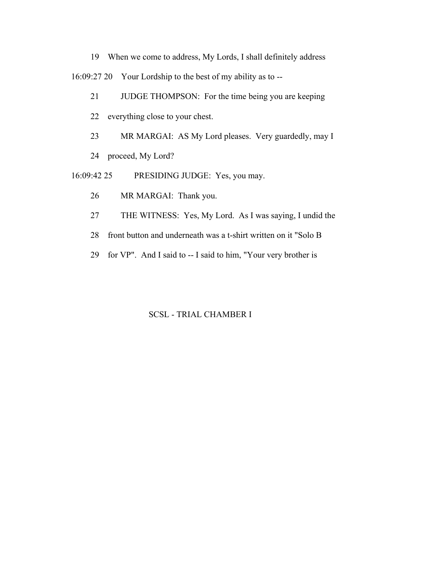19 When we come to address, My Lords, I shall definitely address

16:09:27 20 Your Lordship to the best of my ability as to --

- 21 JUDGE THOMPSON: For the time being you are keeping
- 22 everything close to your chest.
- 23 MR MARGAI: AS My Lord pleases. Very guardedly, may I
- 24 proceed, My Lord?
- 16:09:42 25 PRESIDING JUDGE: Yes, you may.
	- 26 MR MARGAI: Thank you.
	- 27 THE WITNESS: Yes, My Lord. As I was saying, I undid the
	- 28 front button and underneath was a t-shirt written on it "Solo B
	- 29 for VP". And I said to -- I said to him, "Your very brother is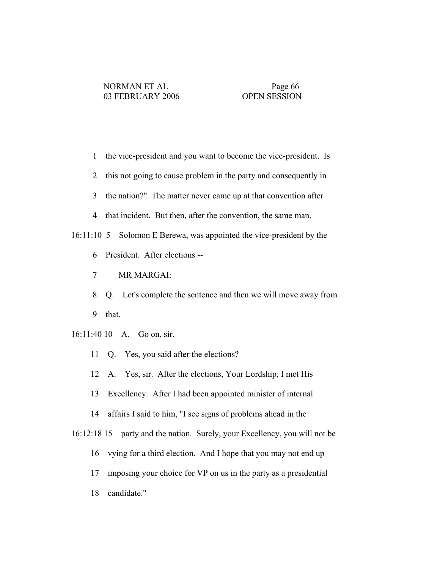- 1 the vice-president and you want to become the vice-president. Is
- 2 this not going to cause problem in the party and consequently in
- 3 the nation?" The matter never came up at that convention after
- 4 that incident. But then, after the convention, the same man,

### 16:11:10 5 Solomon E Berewa, was appointed the vice-president by the

- 6 President. After elections --
- 7 MR MARGAI:
- 8 Q. Let's complete the sentence and then we will move away from 9 that.
- 16:11:40 10 A. Go on, sir.
	- 11 Q. Yes, you said after the elections?
	- 12 A. Yes, sir. After the elections, Your Lordship, I met His
	- 13 Excellency. After I had been appointed minister of internal
	- 14 affairs I said to him, "I see signs of problems ahead in the
- 16:12:18 15 party and the nation. Surely, your Excellency, you will not be
	- 16 vying for a third election. And I hope that you may not end up
	- 17 imposing your choice for VP on us in the party as a presidential
	- 18 candidate."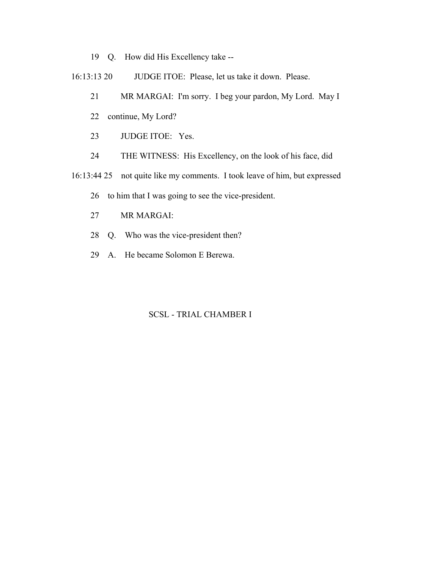- 19 Q. How did His Excellency take --
- 16:13:13 20 JUDGE ITOE: Please, let us take it down. Please.
	- 21 MR MARGAI: I'm sorry. I beg your pardon, My Lord. May I
	- 22 continue, My Lord?
	- 23 JUDGE ITOE: Yes.
	- 24 THE WITNESS: His Excellency, on the look of his face, did
- 16:13:44 25 not quite like my comments. I took leave of him, but expressed
	- 26 to him that I was going to see the vice-president.
	- 27 MR MARGAI:
	- 28 Q. Who was the vice-president then?
	- 29 A. He became Solomon E Berewa.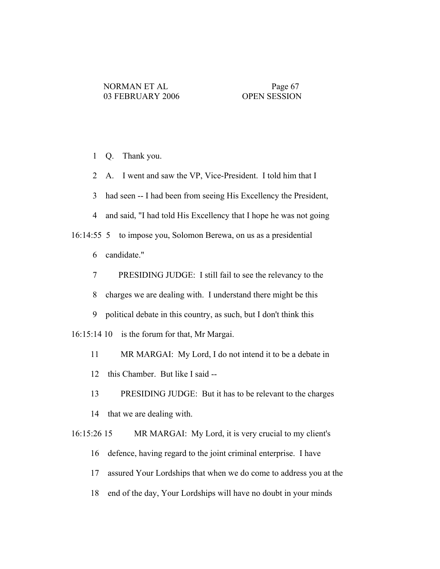1 Q. Thank you.

2 A. I went and saw the VP, Vice-President. I told him that I

3 had seen -- I had been from seeing His Excellency the President,

4 and said, "I had told His Excellency that I hope he was not going

16:14:55 5 to impose you, Solomon Berewa, on us as a presidential

6 candidate."

7 PRESIDING JUDGE: I still fail to see the relevancy to the

8 charges we are dealing with. I understand there might be this

9 political debate in this country, as such, but I don't think this

16:15:14 10 is the forum for that, Mr Margai.

11 MR MARGAI: My Lord, I do not intend it to be a debate in

12 this Chamber. But like I said --

13 PRESIDING JUDGE: But it has to be relevant to the charges

14 that we are dealing with.

16:15:26 15 MR MARGAI: My Lord, it is very crucial to my client's

16 defence, having regard to the joint criminal enterprise. I have

17 assured Your Lordships that when we do come to address you at the

18 end of the day, Your Lordships will have no doubt in your minds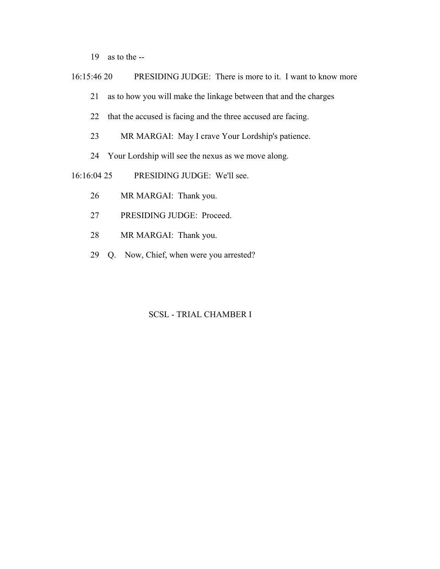19 as to the --

16:15:46 20 PRESIDING JUDGE: There is more to it. I want to know more

21 as to how you will make the linkage between that and the charges

- 22 that the accused is facing and the three accused are facing.
- 23 MR MARGAI: May I crave Your Lordship's patience.
- 24 Your Lordship will see the nexus as we move along.

16:16:04 25 PRESIDING JUDGE: We'll see.

- 26 MR MARGAI: Thank you.
- 27 PRESIDING JUDGE: Proceed.
- 28 MR MARGAI: Thank you.
- 29 Q. Now, Chief, when were you arrested?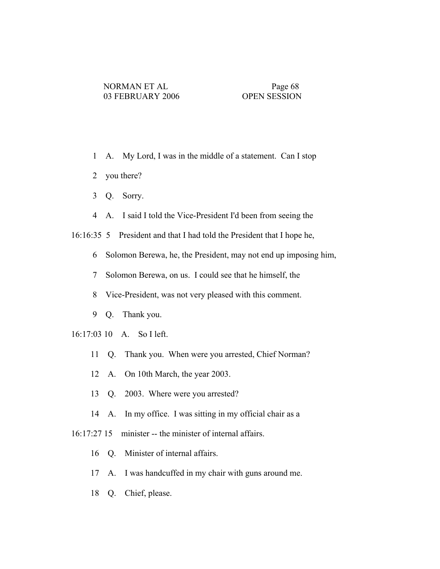- 1 A. My Lord, I was in the middle of a statement. Can I stop
- 2 you there?
- 3 Q. Sorry.
- 4 A. I said I told the Vice-President I'd been from seeing the

16:16:35 5 President and that I had told the President that I hope he,

- 6 Solomon Berewa, he, the President, may not end up imposing him,
- 7 Solomon Berewa, on us. I could see that he himself, the
- 8 Vice-President, was not very pleased with this comment.
- 9 Q. Thank you.
- 16:17:03 10 A. So I left.
	- 11 Q. Thank you. When were you arrested, Chief Norman?
	- 12 A. On 10th March, the year 2003.
	- 13 Q. 2003. Where were you arrested?
	- 14 A. In my office. I was sitting in my official chair as a
- 16:17:27 15 minister -- the minister of internal affairs.
	- 16 Q. Minister of internal affairs.
	- 17 A. I was handcuffed in my chair with guns around me.
	- 18 Q. Chief, please.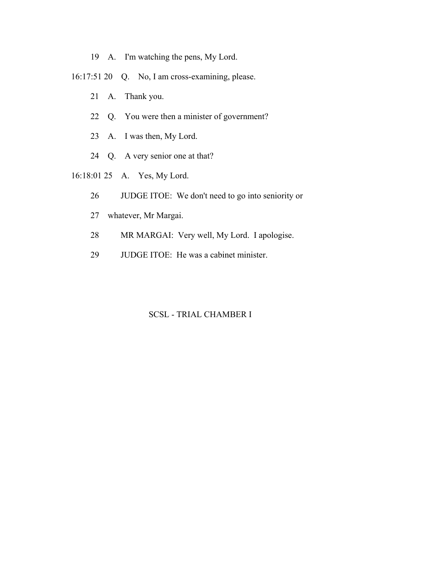- 19 A. I'm watching the pens, My Lord.
- 16:17:51 20 Q. No, I am cross-examining, please.
	- 21 A. Thank you.
	- 22 Q. You were then a minister of government?
	- 23 A. I was then, My Lord.
	- 24 Q. A very senior one at that?
- 16:18:01 25 A. Yes, My Lord.
	- 26 JUDGE ITOE: We don't need to go into seniority or
	- 27 whatever, Mr Margai.
	- 28 MR MARGAI: Very well, My Lord. I apologise.
	- 29 JUDGE ITOE: He was a cabinet minister.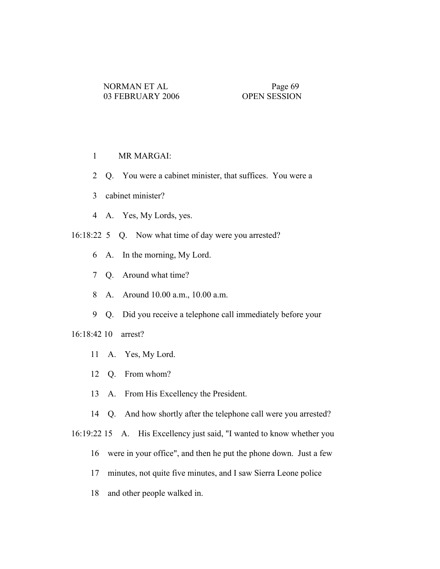## 1 MR MARGAI:

- 2 Q. You were a cabinet minister, that suffices. You were a
- 3 cabinet minister?
- 4 A. Yes, My Lords, yes.
- 16:18:22 5 Q. Now what time of day were you arrested?
	- 6 A. In the morning, My Lord.
	- 7 Q. Around what time?
	- 8 A. Around 10.00 a.m., 10.00 a.m.
	- 9 Q. Did you receive a telephone call immediately before your

## 16:18:42 10 arrest?

- 11 A. Yes, My Lord.
- 12 Q. From whom?
- 13 A. From His Excellency the President.
- 14 Q. And how shortly after the telephone call were you arrested?
- 16:19:22 15 A. His Excellency just said, "I wanted to know whether you
	- 16 were in your office", and then he put the phone down. Just a few
	- 17 minutes, not quite five minutes, and I saw Sierra Leone police
	- 18 and other people walked in.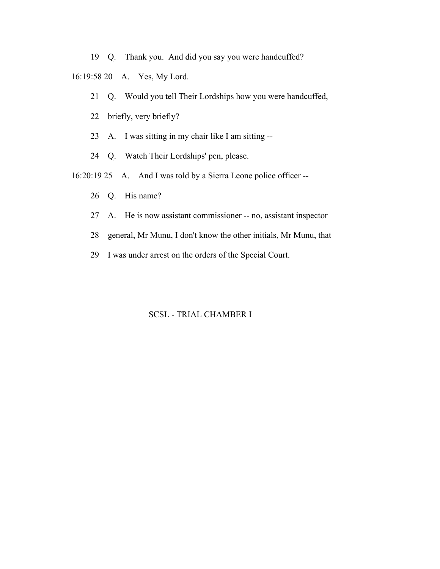19 Q. Thank you. And did you say you were handcuffed?

16:19:58 20 A. Yes, My Lord.

- 21 Q. Would you tell Their Lordships how you were handcuffed,
- 22 briefly, very briefly?
- 23 A. I was sitting in my chair like I am sitting --
- 24 Q. Watch Their Lordships' pen, please.
- 16:20:19 25 A. And I was told by a Sierra Leone police officer --
	- 26 Q. His name?
	- 27 A. He is now assistant commissioner -- no, assistant inspector
	- 28 general, Mr Munu, I don't know the other initials, Mr Munu, that
	- 29 I was under arrest on the orders of the Special Court.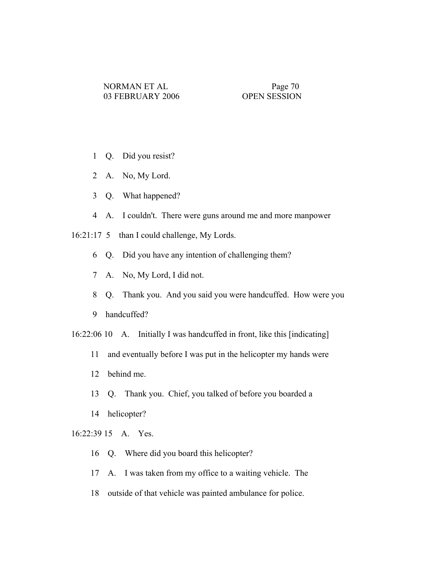- 1 Q. Did you resist?
- 2 A. No, My Lord.
- 3 Q. What happened?
- 4 A. I couldn't. There were guns around me and more manpower
- 16:21:17 5 than I could challenge, My Lords.
	- 6 Q. Did you have any intention of challenging them?
	- 7 A. No, My Lord, I did not.
	- 8 Q. Thank you. And you said you were handcuffed. How were you
	- 9 handcuffed?

16:22:06 10 A. Initially I was handcuffed in front, like this [indicating]

- 11 and eventually before I was put in the helicopter my hands were
- 12 behind me.
- 13 Q. Thank you. Chief, you talked of before you boarded a
- 14 helicopter?

## 16:22:39 15 A. Yes.

- 16 Q. Where did you board this helicopter?
- 17 A. I was taken from my office to a waiting vehicle. The
- 18 outside of that vehicle was painted ambulance for police.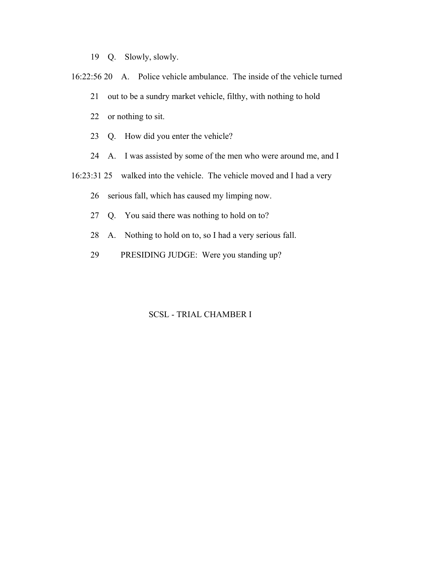- 19 Q. Slowly, slowly.
- 16:22:56 20 A. Police vehicle ambulance. The inside of the vehicle turned
	- 21 out to be a sundry market vehicle, filthy, with nothing to hold
	- 22 or nothing to sit.
	- 23 Q. How did you enter the vehicle?
	- 24 A. I was assisted by some of the men who were around me, and I
- 16:23:31 25 walked into the vehicle. The vehicle moved and I had a very
	- 26 serious fall, which has caused my limping now.
	- 27 Q. You said there was nothing to hold on to?
	- 28 A. Nothing to hold on to, so I had a very serious fall.
	- 29 PRESIDING JUDGE: Were you standing up?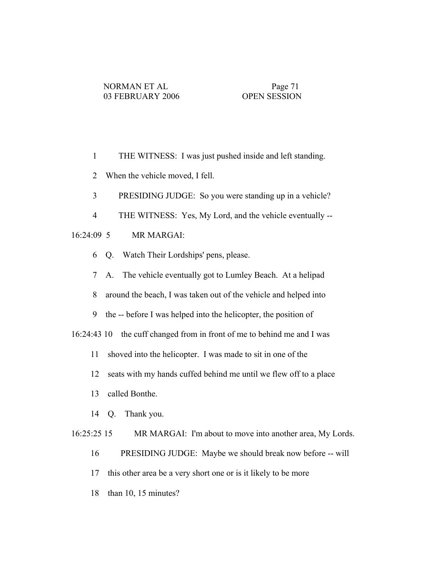- 1 THE WITNESS: I was just pushed inside and left standing.
- 2 When the vehicle moved, I fell.
- 3 PRESIDING JUDGE: So you were standing up in a vehicle?
- 4 THE WITNESS: Yes, My Lord, and the vehicle eventually --

# 16:24:09 5 MR MARGAI:

- 6 Q. Watch Their Lordships' pens, please.
- 7 A. The vehicle eventually got to Lumley Beach. At a helipad
- 8 around the beach, I was taken out of the vehicle and helped into
- 9 the -- before I was helped into the helicopter, the position of

16:24:43 10 the cuff changed from in front of me to behind me and I was

- 11 shoved into the helicopter. I was made to sit in one of the
- 12 seats with my hands cuffed behind me until we flew off to a place
- 13 called Bonthe.
- 14 Q. Thank you.

16:25:25 15 MR MARGAI: I'm about to move into another area, My Lords.

- 16 PRESIDING JUDGE: Maybe we should break now before -- will
- 17 this other area be a very short one or is it likely to be more
- 18 than 10, 15 minutes?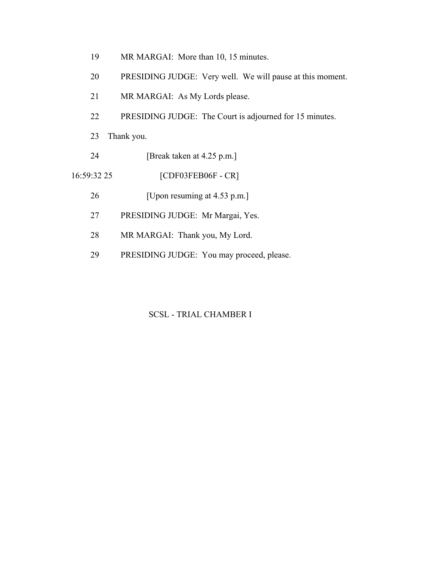- 19 MR MARGAI: More than 10, 15 minutes.
- 20 PRESIDING JUDGE: Very well. We will pause at this moment.
- 21 MR MARGAI: As My Lords please.
- 22 PRESIDING JUDGE: The Court is adjourned for 15 minutes.
- 23 Thank you.
- 24 [Break taken at 4.25 p.m.]
- 16:59:32 25 [CDF03FEB06F CR]
	- 26 [Upon resuming at 4.53 p.m.]
	- 27 PRESIDING JUDGE: Mr Margai, Yes.
	- 28 MR MARGAI: Thank you, My Lord.
	- 29 PRESIDING JUDGE: You may proceed, please.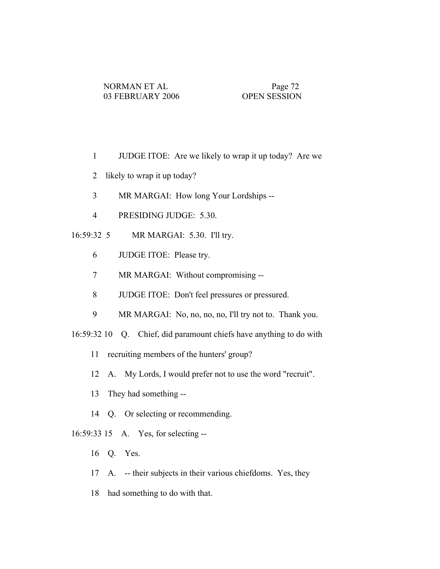- 1 JUDGE ITOE: Are we likely to wrap it up today? Are we
- 2 likely to wrap it up today?
- 3 MR MARGAI: How long Your Lordships --
- 4 PRESIDING JUDGE: 5.30.
- 16:59:32 5 MR MARGAI: 5.30. I'll try.
	- 6 JUDGE ITOE: Please try.
	- 7 MR MARGAI: Without compromising --
	- 8 JUDGE ITOE: Don't feel pressures or pressured.
	- 9 MR MARGAI: No, no, no, no, I'll try not to. Thank you.
- 16:59:32 10 Q. Chief, did paramount chiefs have anything to do with
	- 11 recruiting members of the hunters' group?
	- 12 A. My Lords, I would prefer not to use the word "recruit".
	- 13 They had something --
	- 14 Q. Or selecting or recommending.
- 16:59:33 15 A. Yes, for selecting --
	- 16 Q. Yes.
	- 17 A. -- their subjects in their various chiefdoms. Yes, they
	- 18 had something to do with that.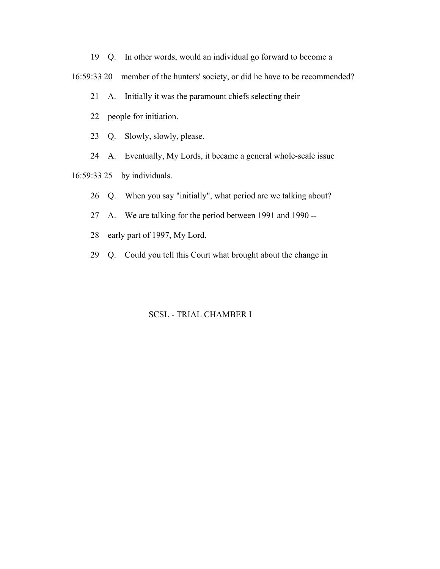19 Q. In other words, would an individual go forward to become a

16:59:33 20 member of the hunters' society, or did he have to be recommended?

21 A. Initially it was the paramount chiefs selecting their

22 people for initiation.

23 Q. Slowly, slowly, please.

24 A. Eventually, My Lords, it became a general whole-scale issue

16:59:33 25 by individuals.

26 Q. When you say "initially", what period are we talking about?

27 A. We are talking for the period between 1991 and 1990 --

28 early part of 1997, My Lord.

29 Q. Could you tell this Court what brought about the change in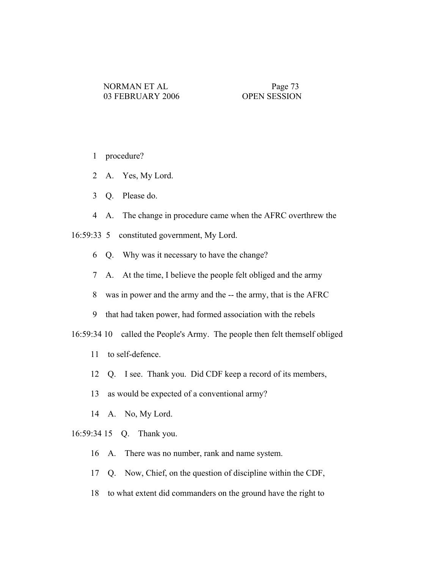- 1 procedure?
- 2 A. Yes, My Lord.
- 3 Q. Please do.
- 4 A. The change in procedure came when the AFRC overthrew the

16:59:33 5 constituted government, My Lord.

- 6 Q. Why was it necessary to have the change?
- 7 A. At the time, I believe the people felt obliged and the army
- 8 was in power and the army and the -- the army, that is the AFRC
- 9 that had taken power, had formed association with the rebels

16:59:34 10 called the People's Army. The people then felt themself obliged

- 11 to self-defence.
- 12 Q. I see. Thank you. Did CDF keep a record of its members,
- 13 as would be expected of a conventional army?
- 14 A. No, My Lord.
- 16:59:34 15 Q. Thank you.
	- 16 A. There was no number, rank and name system.
	- 17 Q. Now, Chief, on the question of discipline within the CDF,
	- 18 to what extent did commanders on the ground have the right to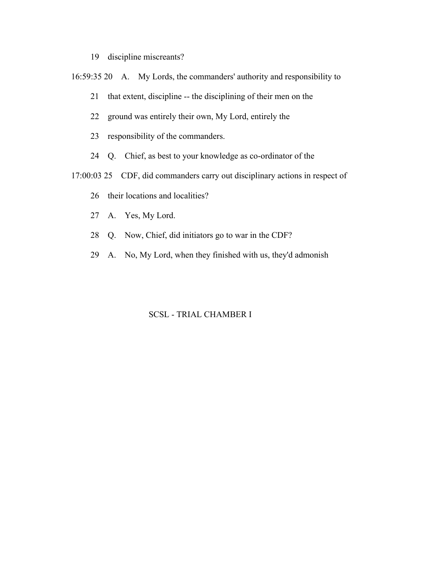- 19 discipline miscreants?
- 16:59:35 20 A. My Lords, the commanders' authority and responsibility to
	- 21 that extent, discipline -- the disciplining of their men on the
	- 22 ground was entirely their own, My Lord, entirely the
	- 23 responsibility of the commanders.
	- 24 Q. Chief, as best to your knowledge as co-ordinator of the
- 17:00:03 25 CDF, did commanders carry out disciplinary actions in respect of
	- 26 their locations and localities?
	- 27 A. Yes, My Lord.
	- 28 Q. Now, Chief, did initiators go to war in the CDF?
	- 29 A. No, My Lord, when they finished with us, they'd admonish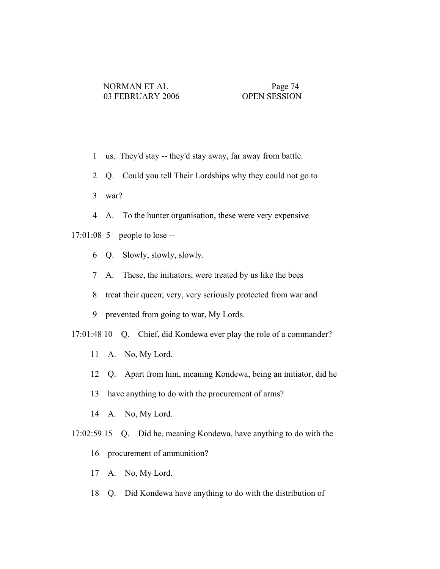- 1 us. They'd stay -- they'd stay away, far away from battle.
- 2 Q. Could you tell Their Lordships why they could not go to
- 3 war?
- 4 A. To the hunter organisation, these were very expensive

# 17:01:08 5 people to lose --

- 6 Q. Slowly, slowly, slowly.
- 7 A. These, the initiators, were treated by us like the bees
- 8 treat their queen; very, very seriously protected from war and
- 9 prevented from going to war, My Lords.

17:01:48 10 Q. Chief, did Kondewa ever play the role of a commander?

- 11 A. No, My Lord.
- 12 Q. Apart from him, meaning Kondewa, being an initiator, did he
- 13 have anything to do with the procurement of arms?
- 14 A. No, My Lord.
- 17:02:59 15 Q. Did he, meaning Kondewa, have anything to do with the
	- 16 procurement of ammunition?
	- 17 A. No, My Lord.
	- 18 Q. Did Kondewa have anything to do with the distribution of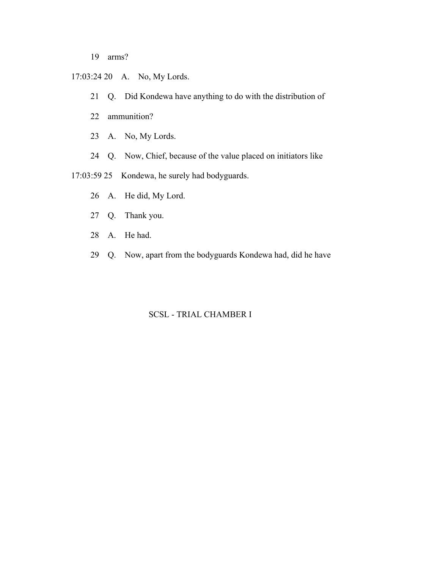- 19 arms?
- 17:03:24 20 A. No, My Lords.
	- 21 Q. Did Kondewa have anything to do with the distribution of
	- 22 ammunition?
	- 23 A. No, My Lords.
	- 24 Q. Now, Chief, because of the value placed on initiators like

17:03:59 25 Kondewa, he surely had bodyguards.

- 26 A. He did, My Lord.
- 27 Q. Thank you.
- 28 A. He had.
- 29 Q. Now, apart from the bodyguards Kondewa had, did he have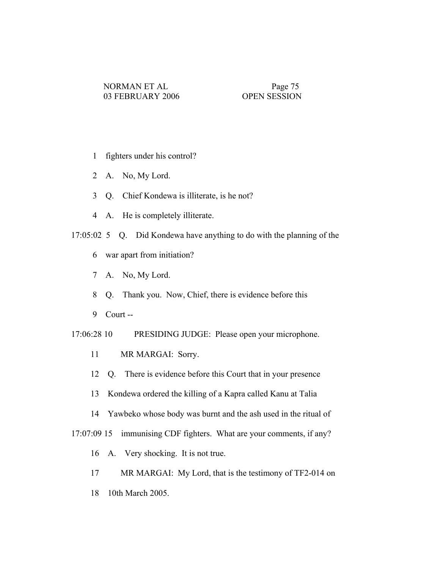- 1 fighters under his control?
- 2 A. No, My Lord.
- 3 Q. Chief Kondewa is illiterate, is he not?
- 4 A. He is completely illiterate.
- 17:05:02 5 Q. Did Kondewa have anything to do with the planning of the
	- 6 war apart from initiation?
	- 7 A. No, My Lord.
	- 8 Q. Thank you. Now, Chief, there is evidence before this
	- 9 Court --

17:06:28 10 PRESIDING JUDGE: Please open your microphone.

- 11 MR MARGAI: Sorry.
- 12 Q. There is evidence before this Court that in your presence
- 13 Kondewa ordered the killing of a Kapra called Kanu at Talia
- 14 Yawbeko whose body was burnt and the ash used in the ritual of

17:07:09 15 immunising CDF fighters. What are your comments, if any?

- 16 A. Very shocking. It is not true.
- 17 MR MARGAI: My Lord, that is the testimony of TF2-014 on
- 18 10th March 2005.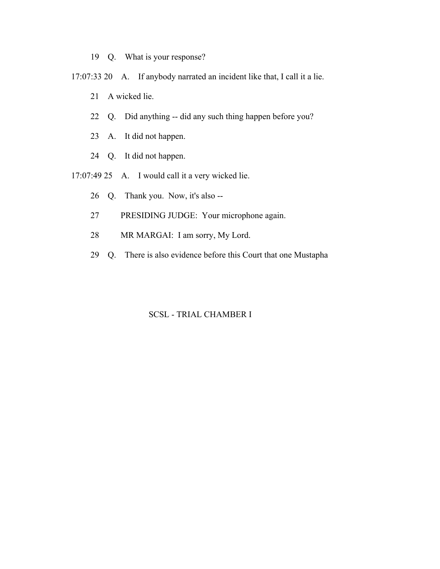- 19 Q. What is your response?
- 17:07:33 20 A. If anybody narrated an incident like that, I call it a lie.
	- 21 A wicked lie.
	- 22 Q. Did anything -- did any such thing happen before you?
	- 23 A. It did not happen.
	- 24 Q. It did not happen.
- 17:07:49 25 A. I would call it a very wicked lie.
	- 26 Q. Thank you. Now, it's also --
	- 27 PRESIDING JUDGE: Your microphone again.
	- 28 MR MARGAI: I am sorry, My Lord.
	- 29 Q. There is also evidence before this Court that one Mustapha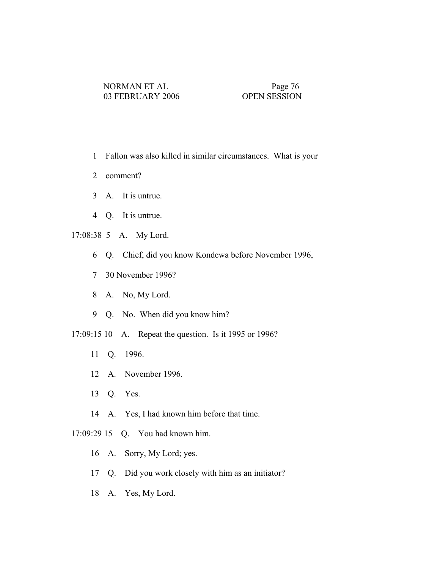- 1 Fallon was also killed in similar circumstances. What is your
- 2 comment?
- 3 A. It is untrue.
- 4 Q. It is untrue.
- 17:08:38 5 A. My Lord.
	- 6 Q. Chief, did you know Kondewa before November 1996,
	- 7 30 November 1996?
	- 8 A. No, My Lord.
	- 9 Q. No. When did you know him?
- 17:09:15 10 A. Repeat the question. Is it 1995 or 1996?
	- 11 Q. 1996.
	- 12 A. November 1996.
	- 13 Q. Yes.
	- 14 A. Yes, I had known him before that time.
- 17:09:29 15 Q. You had known him.
	- 16 A. Sorry, My Lord; yes.
	- 17 Q. Did you work closely with him as an initiator?
	- 18 A. Yes, My Lord.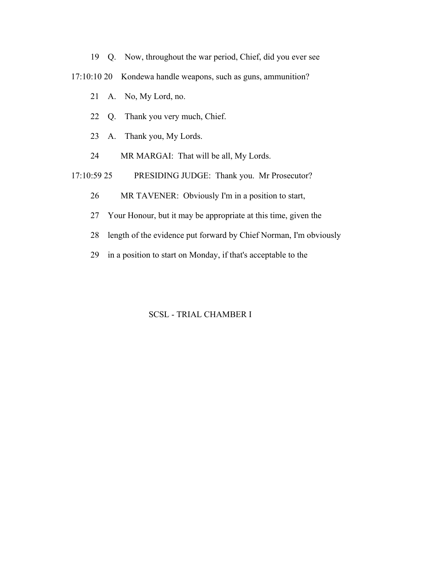- 19 Q. Now, throughout the war period, Chief, did you ever see
- 17:10:10 20 Kondewa handle weapons, such as guns, ammunition?
	- 21 A. No, My Lord, no.
	- 22 Q. Thank you very much, Chief.
	- 23 A. Thank you, My Lords.
	- 24 MR MARGAI: That will be all, My Lords.
- 17:10:59 25 PRESIDING JUDGE: Thank you. Mr Prosecutor?
	- 26 MR TAVENER: Obviously I'm in a position to start,
	- 27 Your Honour, but it may be appropriate at this time, given the
	- 28 length of the evidence put forward by Chief Norman, I'm obviously
	- 29 in a position to start on Monday, if that's acceptable to the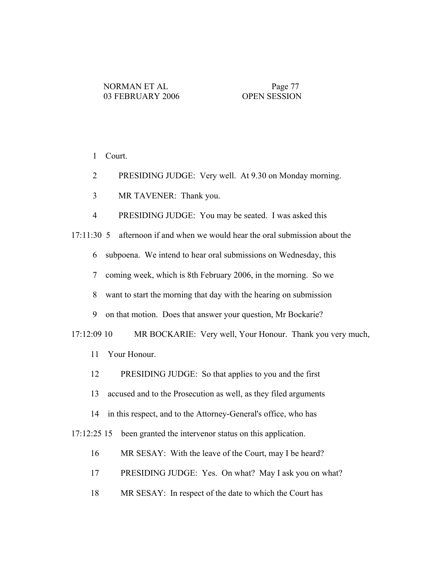1 Court.

- 2 PRESIDING JUDGE: Very well. At 9.30 on Monday morning.
- 3 MR TAVENER: Thank you.

4 PRESIDING JUDGE: You may be seated. I was asked this

17:11:30 5 afternoon if and when we would hear the oral submission about the

6 subpoena. We intend to hear oral submissions on Wednesday, this

7 coming week, which is 8th February 2006, in the morning. So we

8 want to start the morning that day with the hearing on submission

9 on that motion. Does that answer your question, Mr Bockarie?

17:12:09 10 MR BOCKARIE: Very well, Your Honour. Thank you very much,

- 11 Your Honour.
- 12 PRESIDING JUDGE: So that applies to you and the first
- 13 accused and to the Prosecution as well, as they filed arguments
- 14 in this respect, and to the Attorney-General's office, who has

17:12:25 15 been granted the intervenor status on this application.

- 16 MR SESAY: With the leave of the Court, may I be heard?
- 17 PRESIDING JUDGE: Yes. On what? May I ask you on what?
- 18 MR SESAY: In respect of the date to which the Court has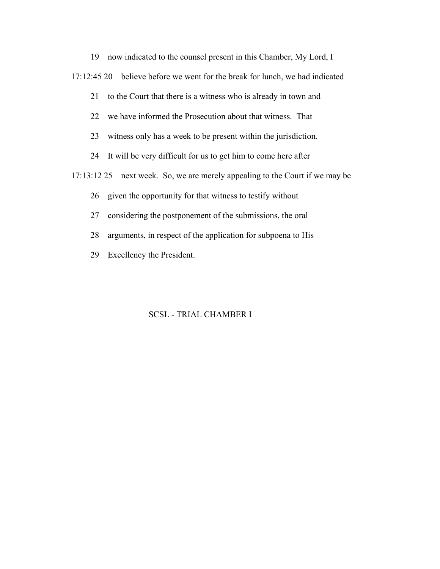19 now indicated to the counsel present in this Chamber, My Lord, I

17:12:45 20 believe before we went for the break for lunch, we had indicated

21 to the Court that there is a witness who is already in town and

22 we have informed the Prosecution about that witness. That

23 witness only has a week to be present within the jurisdiction.

24 It will be very difficult for us to get him to come here after

17:13:12 25 next week. So, we are merely appealing to the Court if we may be

26 given the opportunity for that witness to testify without

27 considering the postponement of the submissions, the oral

28 arguments, in respect of the application for subpoena to His

29 Excellency the President.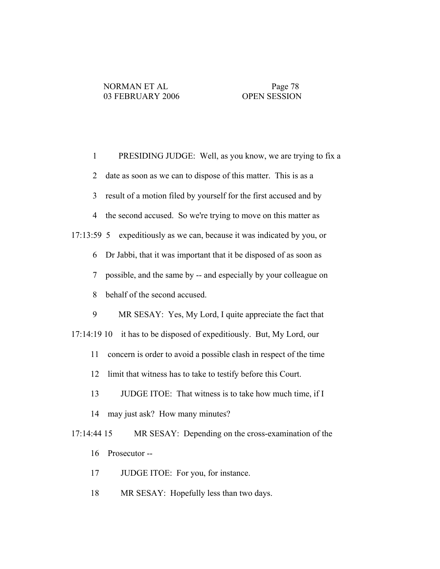1 PRESIDING JUDGE: Well, as you know, we are trying to fix a 2 date as soon as we can to dispose of this matter. This is as a 3 result of a motion filed by yourself for the first accused and by 4 the second accused. So we're trying to move on this matter as 17:13:59 5 expeditiously as we can, because it was indicated by you, or 6 Dr Jabbi, that it was important that it be disposed of as soon as 7 possible, and the same by -- and especially by your colleague on 8 behalf of the second accused. 9 MR SESAY: Yes, My Lord, I quite appreciate the fact that 17:14:19 10 it has to be disposed of expeditiously. But, My Lord, our 11 concern is order to avoid a possible clash in respect of the time 12 limit that witness has to take to testify before this Court. 13 JUDGE ITOE: That witness is to take how much time, if I 14 may just ask? How many minutes? 17:14:44 15 MR SESAY: Depending on the cross-examination of the 16 Prosecutor -- 17 JUDGE ITOE: For you, for instance.

- 
- 18 MR SESAY: Hopefully less than two days.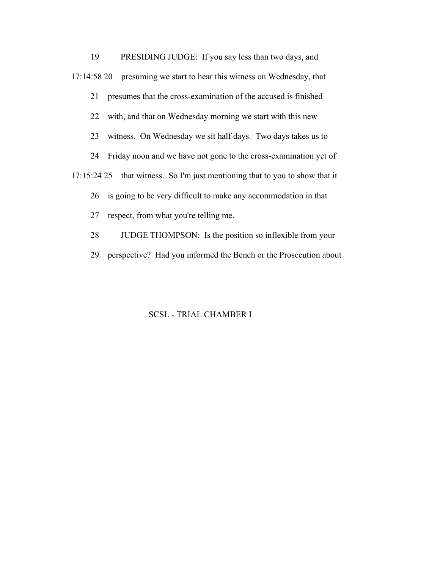19 PRESIDING JUDGE: If you say less than two days, and 17:14:58 20 presuming we start to hear this witness on Wednesday, that 21 presumes that the cross-examination of the accused is finished 22 with, and that on Wednesday morning we start with this new 23 witness. On Wednesday we sit half days. Two days takes us to 24 Friday noon and we have not gone to the cross-examination yet of 17:15:24 25 that witness. So I'm just mentioning that to you to show that it 26 is going to be very difficult to make any accommodation in that 27 respect, from what you're telling me. 28 JUDGE THOMPSON: Is the position so inflexible from your 29 perspective? Had you informed the Bench or the Prosecution about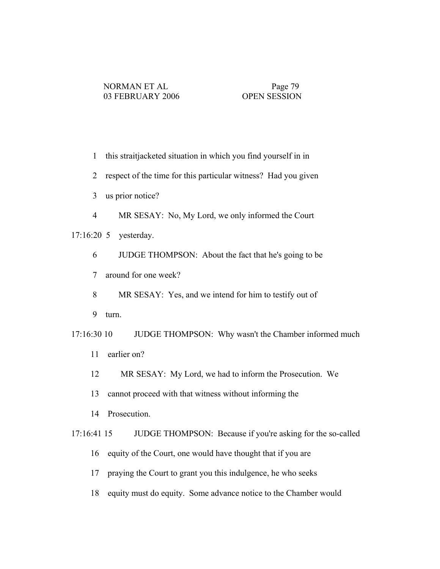- 1 this straitjacketed situation in which you find yourself in in
- 2 respect of the time for this particular witness? Had you given
- 3 us prior notice?
- 4 MR SESAY: No, My Lord, we only informed the Court

17:16:20 5 yesterday.

- 6 JUDGE THOMPSON: About the fact that he's going to be
- 7 around for one week?
- 8 MR SESAY: Yes, and we intend for him to testify out of
- 9 turn.
- 17:16:30 10 JUDGE THOMPSON: Why wasn't the Chamber informed much 11 earlier on?
	- 12 MR SESAY: My Lord, we had to inform the Prosecution. We
	- 13 cannot proceed with that witness without informing the
	- 14 Prosecution.
- 17:16:41 15 JUDGE THOMPSON: Because if you're asking for the so-called
	- 16 equity of the Court, one would have thought that if you are
	- 17 praying the Court to grant you this indulgence, he who seeks
	- 18 equity must do equity. Some advance notice to the Chamber would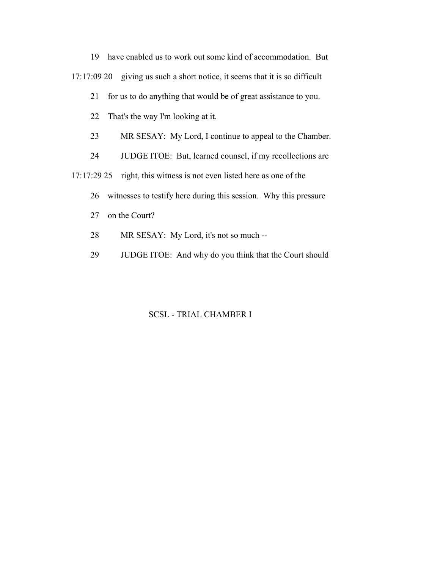19 have enabled us to work out some kind of accommodation. But

17:17:09 20 giving us such a short notice, it seems that it is so difficult

21 for us to do anything that would be of great assistance to you.

22 That's the way I'm looking at it.

23 MR SESAY: My Lord, I continue to appeal to the Chamber.

24 JUDGE ITOE: But, learned counsel, if my recollections are

17:17:29 25 right, this witness is not even listed here as one of the

26 witnesses to testify here during this session. Why this pressure

- 27 on the Court?
- 28 MR SESAY: My Lord, it's not so much --
- 29 JUDGE ITOE: And why do you think that the Court should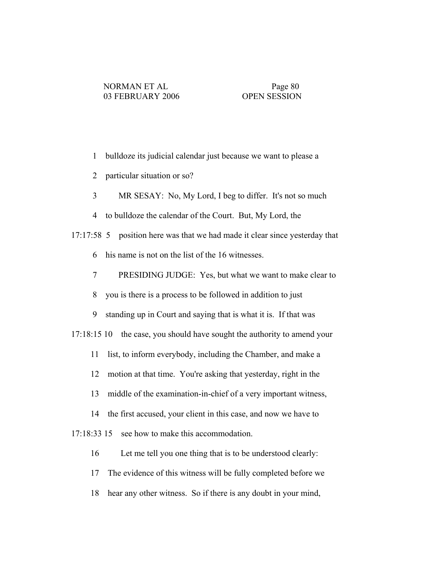- 1 bulldoze its judicial calendar just because we want to please a
- 2 particular situation or so?
- 3 MR SESAY: No, My Lord, I beg to differ. It's not so much
- 4 to bulldoze the calendar of the Court. But, My Lord, the
- 17:17:58 5 position here was that we had made it clear since yesterday that
	- 6 his name is not on the list of the 16 witnesses.
	- 7 PRESIDING JUDGE: Yes, but what we want to make clear to
	- 8 you is there is a process to be followed in addition to just
	- 9 standing up in Court and saying that is what it is. If that was
- 17:18:15 10 the case, you should have sought the authority to amend your
	- 11 list, to inform everybody, including the Chamber, and make a
	- 12 motion at that time. You're asking that yesterday, right in the
	- 13 middle of the examination-in-chief of a very important witness,
	- 14 the first accused, your client in this case, and now we have to
- 17:18:33 15 see how to make this accommodation.
	- 16 Let me tell you one thing that is to be understood clearly:
	- 17 The evidence of this witness will be fully completed before we
	- 18 hear any other witness. So if there is any doubt in your mind,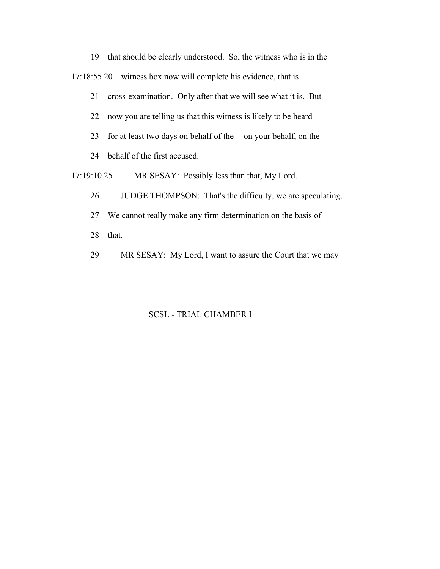19 that should be clearly understood. So, the witness who is in the 17:18:55 20 witness box now will complete his evidence, that is 21 cross-examination. Only after that we will see what it is. But

- 22 now you are telling us that this witness is likely to be heard
- 23 for at least two days on behalf of the -- on your behalf, on the
- 24 behalf of the first accused.

17:19:10 25 MR SESAY: Possibly less than that, My Lord.

- 26 JUDGE THOMPSON: That's the difficulty, we are speculating.
- 27 We cannot really make any firm determination on the basis of
- 28 that.
- 29 MR SESAY: My Lord, I want to assure the Court that we may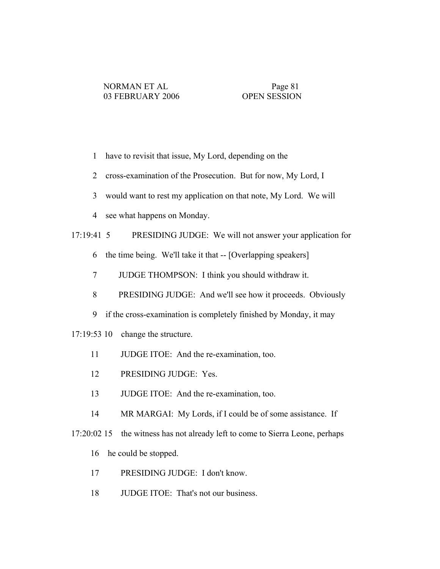- 1 have to revisit that issue, My Lord, depending on the
- 2 cross-examination of the Prosecution. But for now, My Lord, I
- 3 would want to rest my application on that note, My Lord. We will
- 4 see what happens on Monday.

# 17:19:41 5 PRESIDING JUDGE: We will not answer your application for

- 6 the time being. We'll take it that -- [Overlapping speakers]
- 7 JUDGE THOMPSON: I think you should withdraw it.
- 8 PRESIDING JUDGE: And we'll see how it proceeds. Obviously
- 9 if the cross-examination is completely finished by Monday, it may
- 17:19:53 10 change the structure.
	- 11 JUDGE ITOE: And the re-examination, too.
	- 12 PRESIDING JUDGE: Yes.
	- 13 JUDGE ITOE: And the re-examination, too.
	- 14 MR MARGAI: My Lords, if I could be of some assistance. If
- 17:20:02 15 the witness has not already left to come to Sierra Leone, perhaps
	- 16 he could be stopped.
	- 17 PRESIDING JUDGE: I don't know.
	- 18 JUDGE ITOE: That's not our business.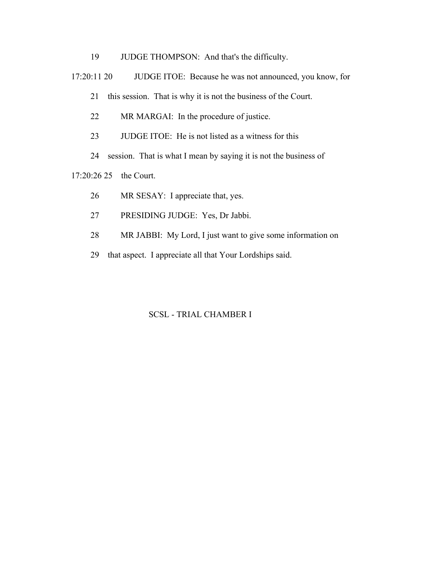- 19 JUDGE THOMPSON: And that's the difficulty.
- 17:20:11 20 JUDGE ITOE: Because he was not announced, you know, for

21 this session. That is why it is not the business of the Court.

- 22 MR MARGAI: In the procedure of justice.
- 23 JUDGE ITOE: He is not listed as a witness for this
- 24 session. That is what I mean by saying it is not the business of

17:20:26 25 the Court.

- 26 MR SESAY: I appreciate that, yes.
- 27 PRESIDING JUDGE: Yes, Dr Jabbi.
- 28 MR JABBI: My Lord, I just want to give some information on
- 29 that aspect. I appreciate all that Your Lordships said.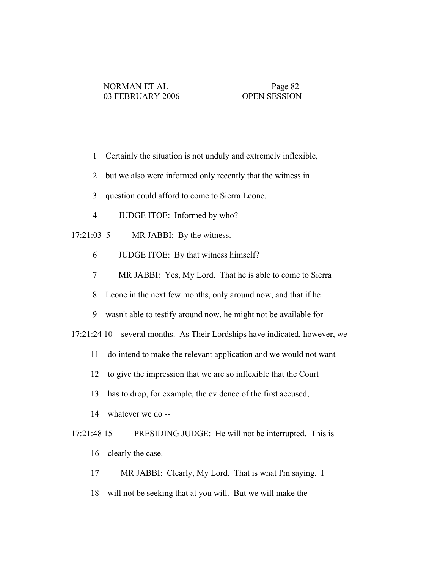- 1 Certainly the situation is not unduly and extremely inflexible,
- 2 but we also were informed only recently that the witness in
- 3 question could afford to come to Sierra Leone.
- 4 JUDGE ITOE: Informed by who?
- 17:21:03 5 MR JABBI: By the witness.
	- 6 JUDGE ITOE: By that witness himself?
	- 7 MR JABBI: Yes, My Lord. That he is able to come to Sierra
	- 8 Leone in the next few months, only around now, and that if he
	- 9 wasn't able to testify around now, he might not be available for

17:21:24 10 several months. As Their Lordships have indicated, however, we

- 11 do intend to make the relevant application and we would not want
- 12 to give the impression that we are so inflexible that the Court
- 13 has to drop, for example, the evidence of the first accused,
- 14 whatever we do --

 17:21:48 15 PRESIDING JUDGE: He will not be interrupted. This is 16 clearly the case.

- 17 MR JABBI: Clearly, My Lord. That is what I'm saying. I
- 18 will not be seeking that at you will. But we will make the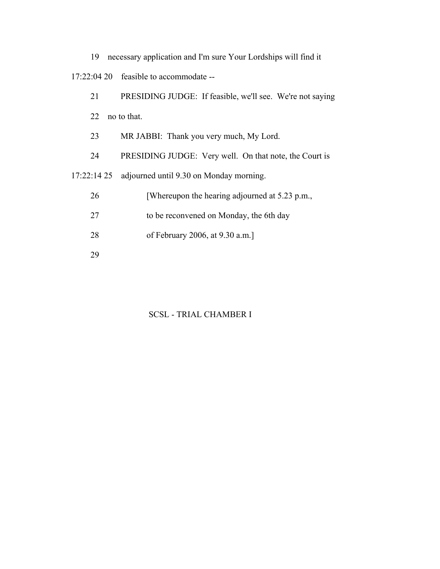|  |  | 19 necessary application and I'm sure Your Lordships will find it |
|--|--|-------------------------------------------------------------------|
|--|--|-------------------------------------------------------------------|

17:22:04 20 feasible to accommodate --

| 21         | PRESIDING JUDGE: If feasible, we'll see. We're not saying |
|------------|-----------------------------------------------------------|
| 22         | no to that.                                               |
| 23         | MR JABBI: Thank you very much, My Lord.                   |
| 24         | PRESIDING JUDGE: Very well. On that note, the Court is    |
| 17:22:1425 | adjourned until 9.30 on Monday morning.                   |
| 26         | [Whereupon the hearing adjourned at 5.23 p.m.,            |
| 27         | to be reconvened on Monday, the 6th day                   |
| 28         | of February 2006, at 9.30 a.m.]                           |
| 29         |                                                           |